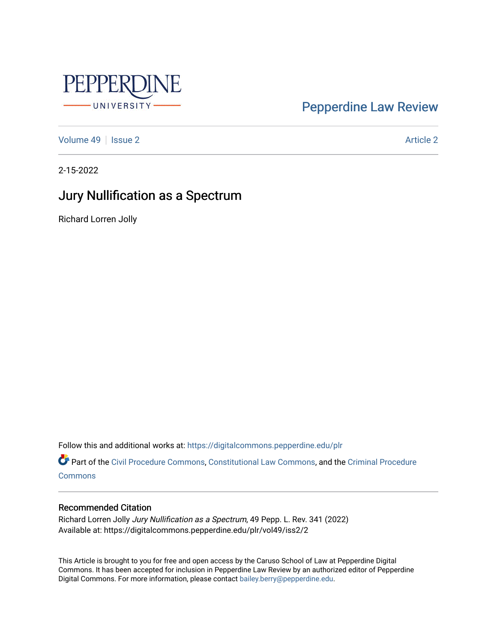

# [Pepperdine Law Review](https://digitalcommons.pepperdine.edu/plr)

[Volume 49](https://digitalcommons.pepperdine.edu/plr/vol49) | [Issue 2](https://digitalcommons.pepperdine.edu/plr/vol49/iss2) Article 2

2-15-2022

# Jury Nullification as a Spectrum

Richard Lorren Jolly

Follow this and additional works at: [https://digitalcommons.pepperdine.edu/plr](https://digitalcommons.pepperdine.edu/plr?utm_source=digitalcommons.pepperdine.edu%2Fplr%2Fvol49%2Fiss2%2F2&utm_medium=PDF&utm_campaign=PDFCoverPages)

Part of the [Civil Procedure Commons,](http://network.bepress.com/hgg/discipline/584?utm_source=digitalcommons.pepperdine.edu%2Fplr%2Fvol49%2Fiss2%2F2&utm_medium=PDF&utm_campaign=PDFCoverPages) [Constitutional Law Commons](http://network.bepress.com/hgg/discipline/589?utm_source=digitalcommons.pepperdine.edu%2Fplr%2Fvol49%2Fiss2%2F2&utm_medium=PDF&utm_campaign=PDFCoverPages), and the [Criminal Procedure](http://network.bepress.com/hgg/discipline/1073?utm_source=digitalcommons.pepperdine.edu%2Fplr%2Fvol49%2Fiss2%2F2&utm_medium=PDF&utm_campaign=PDFCoverPages) **[Commons](http://network.bepress.com/hgg/discipline/1073?utm_source=digitalcommons.pepperdine.edu%2Fplr%2Fvol49%2Fiss2%2F2&utm_medium=PDF&utm_campaign=PDFCoverPages)** 

# Recommended Citation

Richard Lorren Jolly Jury Nullification as a Spectrum, 49 Pepp. L. Rev. 341 (2022) Available at: https://digitalcommons.pepperdine.edu/plr/vol49/iss2/2

This Article is brought to you for free and open access by the Caruso School of Law at Pepperdine Digital Commons. It has been accepted for inclusion in Pepperdine Law Review by an authorized editor of Pepperdine Digital Commons. For more information, please contact [bailey.berry@pepperdine.edu.](mailto:bailey.berry@pepperdine.edu)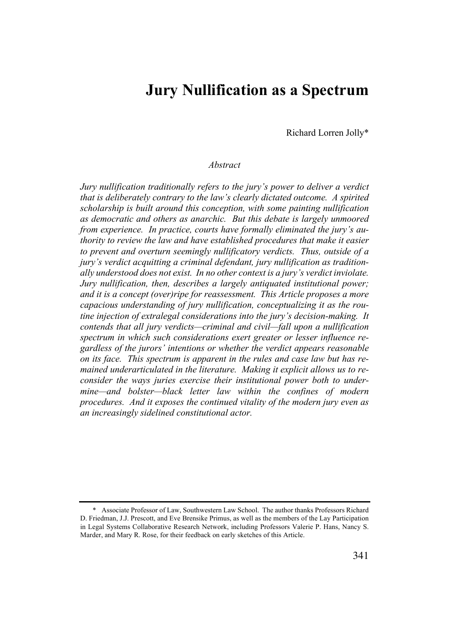# **Jury Nullification as a Spectrum**

Richard Lorren Jolly\*

# *Abstract*

*Jury nullification traditionally refers to the jury's power to deliver a verdict that is deliberately contrary to the law's clearly dictated outcome. A spirited scholarship is built around this conception, with some painting nullification as democratic and others as anarchic. But this debate is largely unmoored from experience. In practice, courts have formally eliminated the jury's authority to review the law and have established procedures that make it easier to prevent and overturn seemingly nullificatory verdicts. Thus, outside of a jury's verdict acquitting a criminal defendant, jury nullification as traditionally understood does not exist. In no other context is a jury's verdict inviolate. Jury nullification, then, describes a largely antiquated institutional power; and it is a concept (over)ripe for reassessment. This Article proposes a more capacious understanding of jury nullification, conceptualizing it as the routine injection of extralegal considerations into the jury's decision-making. It contends that all jury verdicts—criminal and civil—fall upon a nullification spectrum in which such considerations exert greater or lesser influence regardless of the jurors' intentions or whether the verdict appears reasonable on its face. This spectrum is apparent in the rules and case law but has remained underarticulated in the literature. Making it explicit allows us to reconsider the ways juries exercise their institutional power both to undermine—and bolster—black letter law within the confines of modern procedures. And it exposes the continued vitality of the modern jury even as an increasingly sidelined constitutional actor.*

<sup>\*</sup> Associate Professor of Law, Southwestern Law School. The author thanks Professors Richard D. Friedman, J.J. Prescott, and Eve Brensike Primus, as well as the members of the Lay Participation in Legal Systems Collaborative Research Network, including Professors Valerie P. Hans, Nancy S. Marder, and Mary R. Rose, for their feedback on early sketches of this Article.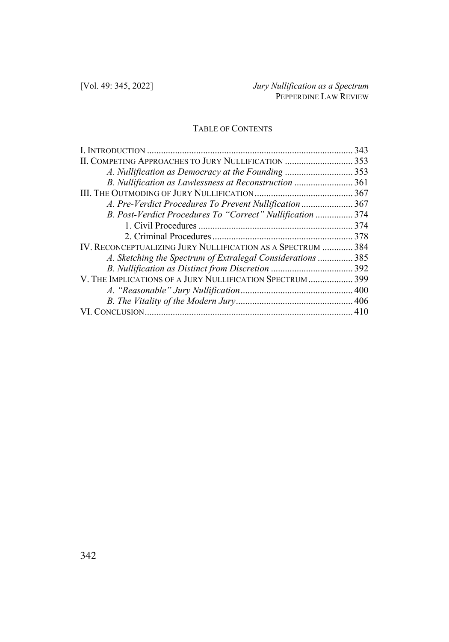# TABLE OF CONTENTS

|                                                             | 343  |
|-------------------------------------------------------------|------|
|                                                             |      |
| A. Nullification as Democracy at the Founding  353          |      |
| B. Nullification as Lawlessness at Reconstruction           | 361  |
|                                                             | .367 |
| A. Pre-Verdict Procedures To Prevent Nullification  367     |      |
| B. Post-Verdict Procedures To "Correct" Nullification  374  |      |
|                                                             |      |
|                                                             |      |
| IV. RECONCEPTUALIZING JURY NULLIFICATION AS A SPECTRUM  384 |      |
| A. Sketching the Spectrum of Extralegal Considerations  385 |      |
|                                                             |      |
| V. THE IMPLICATIONS OF A JURY NULLIFICATION SPECTRUM  399   |      |
|                                                             |      |
|                                                             |      |
|                                                             |      |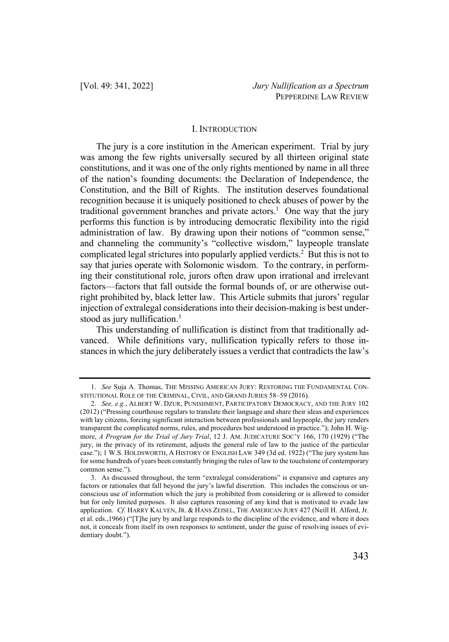# I. INTRODUCTION

The jury is a core institution in the American experiment. Trial by jury was among the few rights universally secured by all thirteen original state constitutions, and it was one of the only rights mentioned by name in all three of the nation's founding documents: the Declaration of Independence, the Constitution, and the Bill of Rights. The institution deserves foundational recognition because it is uniquely positioned to check abuses of power by the traditional government branches and private actors.<sup>1</sup> One way that the jury performs this function is by introducing democratic flexibility into the rigid administration of law. By drawing upon their notions of "common sense," and channeling the community's "collective wisdom," laypeople translate complicated legal strictures into popularly applied verdicts.2 But this is not to say that juries operate with Solomonic wisdom. To the contrary, in performing their constitutional role, jurors often draw upon irrational and irrelevant factors—factors that fall outside the formal bounds of, or are otherwise outright prohibited by, black letter law. This Article submits that jurors' regular injection of extralegal considerations into their decision-making is best understood as jury nullification.<sup>3</sup>

This understanding of nullification is distinct from that traditionally advanced. While definitions vary, nullification typically refers to those instances in which the jury deliberately issues a verdict that contradicts the law's

<sup>1.</sup> *See* Suja A. Thomas, THE MISSING AMERICAN JURY: RESTORING THE FUNDAMENTAL CON-STITUTIONAL ROLE OF THE CRIMINAL, CIVIL, AND GRAND JURIES 58–59 (2016).

<sup>2.</sup> *See, e.g.*, ALBERT W. DZUR, PUNISHMENT, PARTICIPATORY DEMOCRACY, AND THE JURY 102 (2012) ("Pressing courthouse regulars to translate their language and share their ideas and experiences with lay citizens, forcing significant interaction between professionals and laypeople, the jury renders transparent the complicated norms, rules, and procedures best understood in practice."); John H. Wigmore, *A Program for the Trial of Jury Trial*, 12 J. AM. JUDICATURE SOC'Y 166, 170 (1929) ("The jury, in the privacy of its retirement, adjusts the general rule of law to the justice of the particular case."); 1 W.S. HOLDSWORTH, A HISTORY OF ENGLISH LAW 349 (3d ed. 1922) ("The jury system has for some hundreds of years been constantly bringing the rules of law to the touchstone of contemporary common sense.").

<sup>3.</sup> As discussed throughout, the term "extralegal considerations" is expansive and captures any factors or rationales that fall beyond the jury's lawful discretion. This includes the conscious or unconscious use of information which the jury is prohibited from considering or is allowed to consider but for only limited purposes. It also captures reasoning of any kind that is motivated to evade law application. *Cf.* HARRY KALVEN, JR. & HANS ZEISEL, THE AMERICAN JURY 427 (Neill H. Alford, Jr. et al. eds.,1966) ("[T]he jury by and large responds to the discipline of the evidence, and where it does not, it conceals from itself its own responses to sentiment, under the guise of resolving issues of evidentiary doubt.").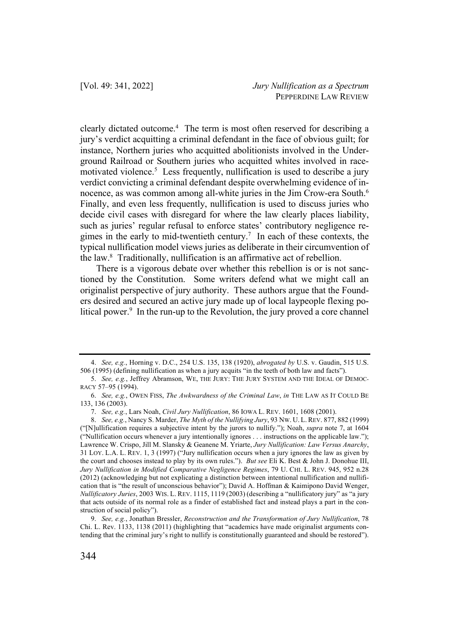clearly dictated outcome.<sup>4</sup> The term is most often reserved for describing a jury's verdict acquitting a criminal defendant in the face of obvious guilt; for instance, Northern juries who acquitted abolitionists involved in the Underground Railroad or Southern juries who acquitted whites involved in racemotivated violence. <sup>5</sup> Less frequently, nullification is used to describe a jury verdict convicting a criminal defendant despite overwhelming evidence of innocence, as was common among all-white juries in the Jim Crow-era South.6 Finally, and even less frequently, nullification is used to discuss juries who decide civil cases with disregard for where the law clearly places liability, such as juries' regular refusal to enforce states' contributory negligence regimes in the early to mid-twentieth century.<sup>7</sup> In each of these contexts, the typical nullification model views juries as deliberate in their circumvention of the law.8 Traditionally, nullification is an affirmative act of rebellion.

There is a vigorous debate over whether this rebellion is or is not sanctioned by the Constitution. Some writers defend what we might call an originalist perspective of jury authority. These authors argue that the Founders desired and secured an active jury made up of local laypeople flexing political power.<sup>9</sup> In the run-up to the Revolution, the jury proved a core channel

<sup>4.</sup> *See, e.g.*, Horning v. D.C., 254 U.S. 135, 138 (1920), *abrogated by* U.S. v. Gaudin, 515 U.S. 506 (1995) (defining nullification as when a jury acquits "in the teeth of both law and facts").

<sup>5.</sup> *See, e.g.*, Jeffrey Abramson, WE, THE JURY: THE JURY SYSTEM AND THE IDEAL OF DEMOC-RACY 57–95 (1994).

<sup>6.</sup> *See, e.g.*, OWEN FISS, *The Awkwardness of the Criminal Law*, *in* THE LAW AS IT COULD BE 133, 136 (2003).

<sup>7.</sup> *See, e.g.*, Lars Noah, *Civil Jury Nullification*, 86 IOWA L. REV. 1601, 1608 (2001).

<sup>8.</sup> *See, e.g.*, Nancy S. Marder, *The Myth of the Nullifying Jury*, 93 NW. U. L. REV. 877, 882 (1999) ("[N]ullification requires a subjective intent by the jurors to nullify."); Noah, *supra* note 7, at 1604 ("Nullification occurs whenever a jury intentionally ignores . . . instructions on the applicable law."); Lawrence W. Crispo, Jill M. Slansky & Geanene M. Yriarte, *Jury Nullification: Law Versus Anarchy*, 31 LOY. L.A. L. REV. 1, 3 (1997) ("Jury nullification occurs when a jury ignores the law as given by the court and chooses instead to play by its own rules."). *But see* Eli K. Best & John J. Donohue III, *Jury Nullification in Modified Comparative Negligence Regimes*, 79 U. CHI. L. REV. 945, 952 n.28 (2012) (acknowledging but not explicating a distinction between intentional nullification and nullification that is "the result of unconscious behavior"); David A. Hoffman & Kaimipono David Wenger, *Nullificatory Juries*, 2003 WIS. L. REV. 1115, 1119 (2003) (describing a "nullificatory jury" as "a jury that acts outside of its normal role as a finder of established fact and instead plays a part in the construction of social policy").

<sup>9.</sup> *See, e.g.*, Jonathan Bressler, *Reconstruction and the Transformation of Jury Nullification*, 78 Chi. L. Rev. 1133, 1138 (2011) (highlighting that "academics have made originalist arguments contending that the criminal jury's right to nullify is constitutionally guaranteed and should be restored").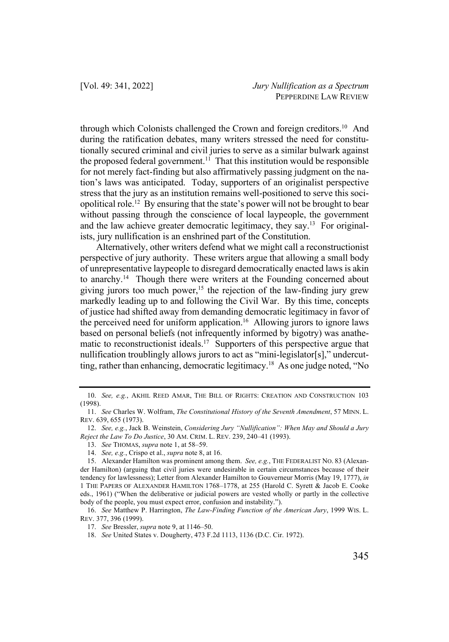through which Colonists challenged the Crown and foreign creditors.10 And during the ratification debates, many writers stressed the need for constitutionally secured criminal and civil juries to serve as a similar bulwark against the proposed federal government.<sup>11</sup> That this institution would be responsible for not merely fact-finding but also affirmatively passing judgment on the nation's laws was anticipated. Today, supporters of an originalist perspective stress that the jury as an institution remains well-positioned to serve this sociopolitical role.12 By ensuring that the state's power will not be brought to bear without passing through the conscience of local laypeople, the government and the law achieve greater democratic legitimacy, they say.<sup>13</sup> For originalists, jury nullification is an enshrined part of the Constitution.

Alternatively, other writers defend what we might call a reconstructionist perspective of jury authority. These writers argue that allowing a small body of unrepresentative laypeople to disregard democratically enacted laws is akin to anarchy.<sup>14</sup> Though there were writers at the Founding concerned about giving jurors too much power,<sup>15</sup> the rejection of the law-finding jury grew markedly leading up to and following the Civil War. By this time, concepts of justice had shifted away from demanding democratic legitimacy in favor of the perceived need for uniform application.<sup>16</sup> Allowing jurors to ignore laws based on personal beliefs (not infrequently informed by bigotry) was anathematic to reconstructionist ideals.<sup>17</sup> Supporters of this perspective argue that nullification troublingly allows jurors to act as "mini-legislator[s]," undercutting, rather than enhancing, democratic legitimacy.<sup>18</sup> As one judge noted, "No

<sup>10.</sup> *See, e.g.*, AKHIL REED AMAR, THE BILL OF RIGHTS: CREATION AND CONSTRUCTION 103 (1998).

<sup>11.</sup> *See* Charles W. Wolfram, *The Constitutional History of the Seventh Amendment*, 57 MINN. L. REV. 639, 655 (1973).

<sup>12.</sup> *See, e.g.*, Jack B. Weinstein, *Considering Jury "Nullification": When May and Should a Jury Reject the Law To Do Justice*, 30 AM. CRIM. L. REV. 239, 240–41 (1993).

<sup>13.</sup> *See* THOMAS, *supra* note 1, at 58–59.

<sup>14.</sup> *See, e.g.*, Crispo et al., *supra* note 8, at 16.

<sup>15.</sup> Alexander Hamilton was prominent among them. *See, e.g.*, THE FEDERALIST NO. 83 (Alexander Hamilton) (arguing that civil juries were undesirable in certain circumstances because of their tendency for lawlessness); Letter from Alexander Hamilton to Gouverneur Morris (May 19, 1777), *in*  1 THE PAPERS OF ALEXANDER HAMILTON 1768–1778, at 255 (Harold C. Syrett & Jacob E. Cooke eds., 1961) ("When the deliberative or judicial powers are vested wholly or partly in the collective body of the people, you must expect error, confusion and instability.").

<sup>16.</sup> *See* Matthew P. Harrington, *The Law-Finding Function of the American Jury*, 1999 WIS. L. REV. 377, 396 (1999).

<sup>17.</sup> *See* Bressler, *supra* note 9, at 1146–50.

<sup>18.</sup> *See* United States v. Dougherty, 473 F.2d 1113, 1136 (D.C. Cir. 1972).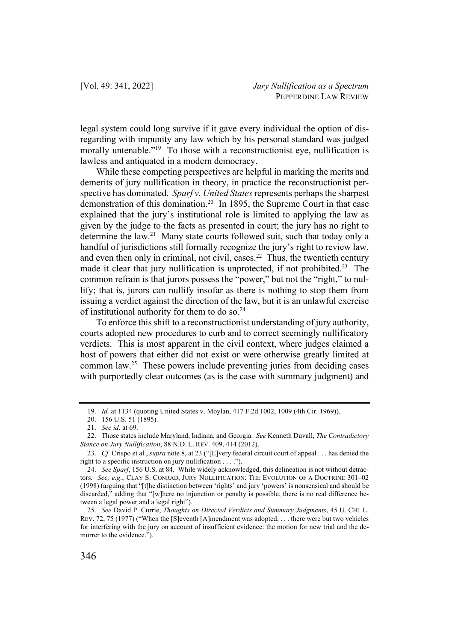legal system could long survive if it gave every individual the option of disregarding with impunity any law which by his personal standard was judged morally untenable.<sup>"19</sup> To those with a reconstructionist eye, nullification is lawless and antiquated in a modern democracy.

While these competing perspectives are helpful in marking the merits and demerits of jury nullification in theory, in practice the reconstructionist perspective has dominated. *Sparf v. United States*represents perhaps the sharpest demonstration of this domination. <sup>20</sup> In 1895, the Supreme Court in that case explained that the jury's institutional role is limited to applying the law as given by the judge to the facts as presented in court; the jury has no right to determine the law.<sup>21</sup> Many state courts followed suit, such that today only a handful of jurisdictions still formally recognize the jury's right to review law, and even then only in criminal, not civil, cases.<sup>22</sup> Thus, the twentieth century made it clear that jury nullification is unprotected, if not prohibited.<sup>23</sup> The common refrain is that jurors possess the "power," but not the "right," to nullify; that is, jurors can nullify insofar as there is nothing to stop them from issuing a verdict against the direction of the law, but it is an unlawful exercise of institutional authority for them to do so.24

To enforce this shift to a reconstructionist understanding of jury authority, courts adopted new procedures to curb and to correct seemingly nullificatory verdicts. This is most apparent in the civil context, where judges claimed a host of powers that either did not exist or were otherwise greatly limited at common law.<sup>25</sup> These powers include preventing juries from deciding cases with purportedly clear outcomes (as is the case with summary judgment) and

<sup>19.</sup> *Id.* at 1134 (quoting United States v. Moylan, 417 F.2d 1002, 1009 (4th Cir. 1969)).

<sup>20.</sup> 156 U.S. 51 (1895).

<sup>21.</sup> *See id.* at 69.

<sup>22.</sup> Those states include Maryland, Indiana, and Georgia. *See* Kenneth Duvall, *The Contradictory Stance on Jury Nullification*, 88 N.D. L. REV. 409, 414 (2012).

<sup>23.</sup> *Cf.* Crispo et al., *supra* note 8, at 23 ("[E]very federal circuit court of appeal . . . has denied the right to a specific instruction on jury nullification . . . .").

<sup>24.</sup> *See Sparf*, 156 U.S. at 84. While widely acknowledged, this delineation is not without detractors. *See, e.g.*, CLAY S. CONRAD, JURY NULLIFICATION: THE EVOLUTION OF A DOCTRINE 301–02 (1998) (arguing that "[t]he distinction between 'rights' and jury 'powers' is nonsensical and should be discarded," adding that "[w]here no injunction or penalty is possible, there is no real difference between a legal power and a legal right").

<sup>25.</sup> *See* David P. Currie, *Thoughts on Directed Verdicts and Summary Judgments*, 45 U. CHI. L. REV. 72, 75 (1977) ("When the [S]eventh [A]mendment was adopted, . . . there were but two vehicles for interfering with the jury on account of insufficient evidence: the motion for new trial and the demurrer to the evidence.").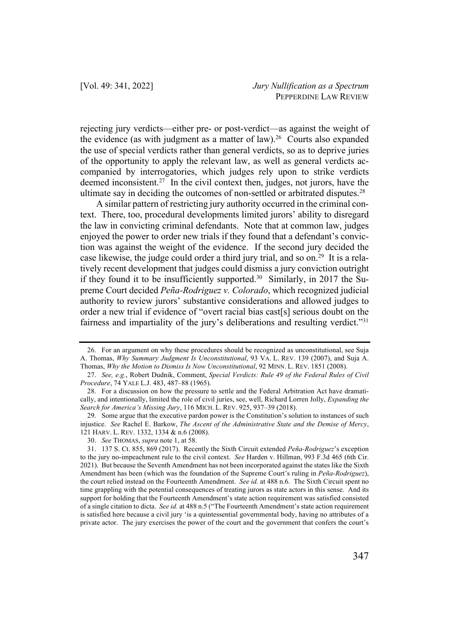rejecting jury verdicts—either pre- or post-verdict—as against the weight of the evidence (as with judgment as a matter of law).<sup>26</sup> Courts also expanded the use of special verdicts rather than general verdicts, so as to deprive juries of the opportunity to apply the relevant law, as well as general verdicts accompanied by interrogatories, which judges rely upon to strike verdicts deemed inconsistent.<sup>27</sup> In the civil context then, judges, not jurors, have the ultimate say in deciding the outcomes of non-settled or arbitrated disputes.<sup>28</sup>

A similar pattern of restricting jury authority occurred in the criminal context. There, too, procedural developments limited jurors' ability to disregard the law in convicting criminal defendants. Note that at common law, judges enjoyed the power to order new trials if they found that a defendant's conviction was against the weight of the evidence. If the second jury decided the case likewise, the judge could order a third jury trial, and so on.<sup>29</sup> It is a relatively recent development that judges could dismiss a jury conviction outright if they found it to be insufficiently supported.<sup>30</sup> Similarly, in 2017 the Supreme Court decided *Peña-Rodriguez v. Colorado*, which recognized judicial authority to review jurors' substantive considerations and allowed judges to order a new trial if evidence of "overt racial bias cast[s] serious doubt on the fairness and impartiality of the jury's deliberations and resulting verdict."31

<sup>26.</sup> For an argument on why these procedures should be recognized as unconstitutional, see Suja A. Thomas, *Why Summary Judgment Is Unconstitutional*, 93 VA. L. REV. 139 (2007), and Suja A. Thomas, *Why the Motion to Dismiss Is Now Unconstitutional*, 92 MINN. L. REV. 1851 (2008).

<sup>27.</sup> *See, e.g.*, Robert Dudnik, Comment, *Special Verdicts: Rule 49 of the Federal Rules of Civil Procedure*, 74 YALE L.J. 483, 487–88 (1965).

<sup>28.</sup> For a discussion on how the pressure to settle and the Federal Arbitration Act have dramatically, and intentionally, limited the role of civil juries, see, well, Richard Lorren Jolly, *Expanding the Search for America's Missing Jury*, 116 MICH. L. REV. 925, 937–39 (2018).

<sup>29.</sup> Some argue that the executive pardon power is the Constitution's solution to instances of such injustice. *See* Rachel E. Barkow, *The Ascent of the Administrative State and the Demise of Mercy*, 121 HARV. L. REV. 1332, 1334 & n.6 (2008).

<sup>30.</sup> *See* THOMAS, *supra* note 1, at 58.

<sup>31.</sup> 137 S. Ct. 855, 869 (2017). Recently the Sixth Circuit extended *Peña-Rodriguez*'s exception to the jury no-impeachment rule to the civil context. *See* Harden v. Hillman, 993 F.3d 465 (6th Cir. 2021). But because the Seventh Amendment has not been incorporated against the states like the Sixth Amendment has been (which was the foundation of the Supreme Court's ruling in *Peña-Rodriguez*), the court relied instead on the Fourteenth Amendment. *See id.* at 488 n.6. The Sixth Circuit spent no time grappling with the potential consequences of treating jurors as state actors in this sense. And its support for holding that the Fourteenth Amendment's state action requirement was satisfied consisted of a single citation to dicta. *See id.* at 488 n.5 ("The Fourteenth Amendment's state action requirement is satisfied here because a civil jury 'is a quintessential governmental body, having no attributes of a private actor. The jury exercises the power of the court and the government that confers the court's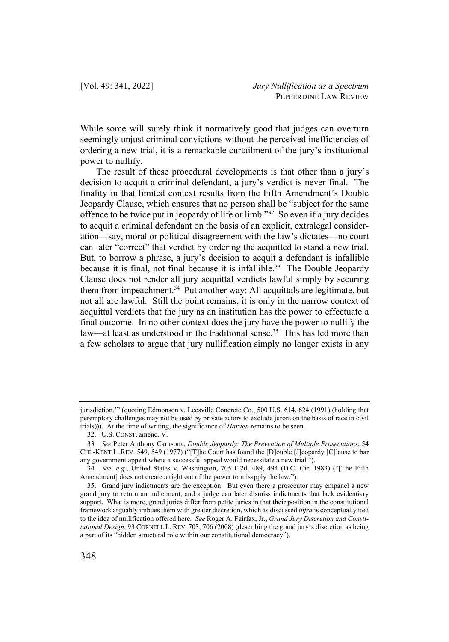While some will surely think it normatively good that judges can overturn seemingly unjust criminal convictions without the perceived inefficiencies of ordering a new trial, it is a remarkable curtailment of the jury's institutional power to nullify.

The result of these procedural developments is that other than a jury's decision to acquit a criminal defendant, a jury's verdict is never final. The finality in that limited context results from the Fifth Amendment's Double Jeopardy Clause, which ensures that no person shall be "subject for the same offence to be twice put in jeopardy of life or limb."32 So even if a jury decides to acquit a criminal defendant on the basis of an explicit, extralegal consideration—say, moral or political disagreement with the law's dictates—no court can later "correct" that verdict by ordering the acquitted to stand a new trial. But, to borrow a phrase, a jury's decision to acquit a defendant is infallible because it is final, not final because it is infallible.<sup>33</sup> The Double Jeopardy Clause does not render all jury acquittal verdicts lawful simply by securing them from impeachment.<sup>34</sup> Put another way: All acquittals are legitimate, but not all are lawful. Still the point remains, it is only in the narrow context of acquittal verdicts that the jury as an institution has the power to effectuate a final outcome. In no other context does the jury have the power to nullify the law—at least as understood in the traditional sense. <sup>35</sup> This has led more than a few scholars to argue that jury nullification simply no longer exists in any

jurisdiction.'" (quoting Edmonson v. Leesville Concrete Co., 500 U.S. 614, 624 (1991) (holding that peremptory challenges may not be used by private actors to exclude jurors on the basis of race in civil trials))). At the time of writing, the significance of *Harden* remains to be seen.

<sup>32.</sup> U.S. CONST. amend. V.

<sup>33</sup>*. See* Peter Anthony Carusona, *Double Jeopardy: The Prevention of Multiple Prosecutions*, 54 CHI.-KENT L. REV. 549, 549 (1977) ("[T]he Court has found the [D]ouble [J]eopardy [C]lause to bar any government appeal where a successful appeal would necessitate a new trial.").

<sup>34.</sup> *See, e.g.*, United States v. Washington, 705 F.2d, 489, 494 (D.C. Cir. 1983) ("[The Fifth Amendment] does not create a right out of the power to misapply the law.").

<sup>35.</sup> Grand jury indictments are the exception. But even there a prosecutor may empanel a new grand jury to return an indictment, and a judge can later dismiss indictments that lack evidentiary support. What is more, grand juries differ from petite juries in that their position in the constitutional framework arguably imbues them with greater discretion, which as discussed *infra* is conceptually tied to the idea of nullification offered here. *See* Roger A. Fairfax, Jr., *Grand Jury Discretion and Constitutional Design*, 93 CORNELL L. REV. 703, 706 (2008) (describing the grand jury's discretion as being a part of its "hidden structural role within our constitutional democracy").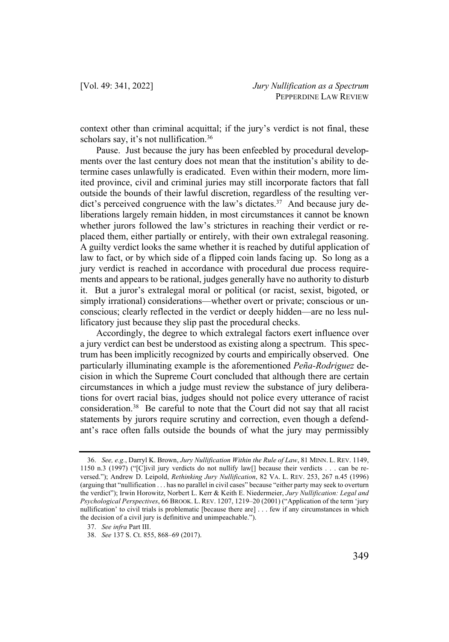context other than criminal acquittal; if the jury's verdict is not final, these scholars say, it's not nullification.<sup>36</sup>

Pause. Just because the jury has been enfeebled by procedural developments over the last century does not mean that the institution's ability to determine cases unlawfully is eradicated. Even within their modern, more limited province, civil and criminal juries may still incorporate factors that fall outside the bounds of their lawful discretion, regardless of the resulting verdict's perceived congruence with the law's dictates. <sup>37</sup> And because jury deliberations largely remain hidden, in most circumstances it cannot be known whether jurors followed the law's strictures in reaching their verdict or replaced them, either partially or entirely, with their own extralegal reasoning. A guilty verdict looks the same whether it is reached by dutiful application of law to fact, or by which side of a flipped coin lands facing up. So long as a jury verdict is reached in accordance with procedural due process requirements and appears to be rational, judges generally have no authority to disturb it. But a juror's extralegal moral or political (or racist, sexist, bigoted, or simply irrational) considerations—whether overt or private; conscious or unconscious; clearly reflected in the verdict or deeply hidden—are no less nullificatory just because they slip past the procedural checks.

Accordingly, the degree to which extralegal factors exert influence over a jury verdict can best be understood as existing along a spectrum. This spectrum has been implicitly recognized by courts and empirically observed. One particularly illuminating example is the aforementioned *Peña-Rodriguez* decision in which the Supreme Court concluded that although there are certain circumstances in which a judge must review the substance of jury deliberations for overt racial bias, judges should not police every utterance of racist consideration.38 Be careful to note that the Court did not say that all racist statements by jurors require scrutiny and correction, even though a defendant's race often falls outside the bounds of what the jury may permissibly

<sup>36.</sup> *See, e.g.*, Darryl K. Brown, *Jury Nullification Within the Rule of Law*, 81 MINN. L. REV. 1149, 1150 n.3 (1997) ("[C]ivil jury verdicts do not nullify law[] because their verdicts . . . can be reversed."); Andrew D. Leipold, *Rethinking Jury Nullification*, 82 VA. L. REV. 253, 267 n.45 (1996) (arguing that "nullification . . . has no parallel in civil cases" because "either party may seek to overturn the verdict"); Irwin Horowitz, Norbert L. Kerr & Keith E. Niedermeier, *Jury Nullification: Legal and Psychological Perspectives*, 66 BROOK. L. REV. 1207, 1219–20 (2001) ("Application of the term 'jury nullification' to civil trials is problematic [because there are] . . . few if any circumstances in which the decision of a civil jury is definitive and unimpeachable.").

<sup>37.</sup> *See infra* Part III.

<sup>38.</sup> *See* 137 S. Ct. 855, 868–69 (2017).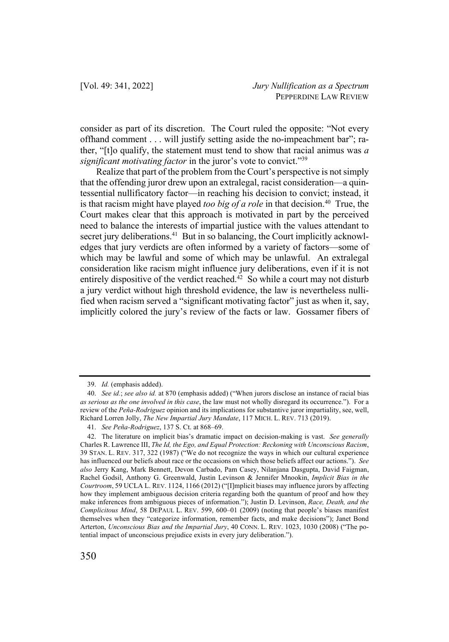consider as part of its discretion. The Court ruled the opposite: "Not every offhand comment . . . will justify setting aside the no-impeachment bar"; rather, "[t]o qualify, the statement must tend to show that racial animus was *a significant motivating factor* in the juror's vote to convict."39

Realize that part of the problem from the Court's perspective is not simply that the offending juror drew upon an extralegal, racist consideration—a quintessential nullificatory factor—in reaching his decision to convict; instead, it is that racism might have played *too big of a role* in that decision.<sup>40</sup> True, the Court makes clear that this approach is motivated in part by the perceived need to balance the interests of impartial justice with the values attendant to secret jury deliberations.<sup>41</sup> But in so balancing, the Court implicitly acknowledges that jury verdicts are often informed by a variety of factors—some of which may be lawful and some of which may be unlawful. An extralegal consideration like racism might influence jury deliberations, even if it is not entirely dispositive of the verdict reached.<sup>42</sup> So while a court may not disturb a jury verdict without high threshold evidence, the law is nevertheless nullified when racism served a "significant motivating factor" just as when it, say, implicitly colored the jury's review of the facts or law. Gossamer fibers of

<sup>39.</sup> *Id.* (emphasis added).

<sup>40.</sup> *See id.*; *see also id.* at 870 (emphasis added) ("When jurors disclose an instance of racial bias *as serious as the one involved in this case*, the law must not wholly disregard its occurrence."). For a review of the *Peña-Rodriguez* opinion and its implications for substantive juror impartiality, see, well, Richard Lorren Jolly, *The New Impartial Jury Mandate*, 117 MICH. L. REV. 713 (2019).

<sup>41.</sup> *See Peña-Rodriguez*, 137 S. Ct. at 868–69.

<sup>42.</sup> The literature on implicit bias's dramatic impact on decision-making is vast. *See generally* Charles R. Lawrence III, *The Id, the Ego, and Equal Protection: Reckoning with Unconscious Racism*, 39 STAN. L. REV. 317, 322 (1987) ("We do not recognize the ways in which our cultural experience has influenced our beliefs about race or the occasions on which those beliefs affect our actions."). *See also* Jerry Kang, Mark Bennett, Devon Carbado, Pam Casey, Nilanjana Dasgupta, David Faigman, Rachel Godsil, Anthony G. Greenwald, Justin Levinson & Jennifer Mnookin, *Implicit Bias in the Courtroom*, 59 UCLA L. REV. 1124, 1166 (2012) ("[I]mplicit biases may influence jurors by affecting how they implement ambiguous decision criteria regarding both the quantum of proof and how they make inferences from ambiguous pieces of information."); Justin D. Levinson, *Race, Death, and the Complicitous Mind*, 58 DEPAUL L. REV. 599, 600–01 (2009) (noting that people's biases manifest themselves when they "categorize information, remember facts, and make decisions"); Janet Bond Arterton, *Unconscious Bias and the Impartial Jury*, 40 CONN. L. REV. 1023, 1030 (2008) ("The potential impact of unconscious prejudice exists in every jury deliberation.").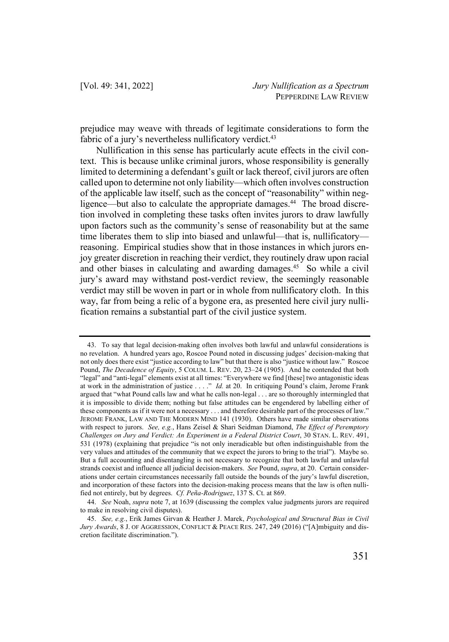prejudice may weave with threads of legitimate considerations to form the fabric of a jury's nevertheless nullificatory verdict.<sup>43</sup>

Nullification in this sense has particularly acute effects in the civil context. This is because unlike criminal jurors, whose responsibility is generally limited to determining a defendant's guilt or lack thereof, civil jurors are often called upon to determine not only liability—which often involves construction of the applicable law itself, such as the concept of "reasonability" within negligence—but also to calculate the appropriate damages.<sup>44</sup> The broad discretion involved in completing these tasks often invites jurors to draw lawfully upon factors such as the community's sense of reasonability but at the same time liberates them to slip into biased and unlawful—that is, nullificatory reasoning. Empirical studies show that in those instances in which jurors enjoy greater discretion in reaching their verdict, they routinely draw upon racial and other biases in calculating and awarding damages.45 So while a civil jury's award may withstand post-verdict review, the seemingly reasonable verdict may still be woven in part or in whole from nullificatory cloth. In this way, far from being a relic of a bygone era, as presented here civil jury nullification remains a substantial part of the civil justice system.

<sup>43.</sup> To say that legal decision-making often involves both lawful and unlawful considerations is no revelation. A hundred years ago, Roscoe Pound noted in discussing judges' decision-making that not only does there exist "justice according to law" but that there is also "justice without law." Roscoe Pound, *The Decadence of Equity*, 5 COLUM. L. REV. 20, 23–24 (1905). And he contended that both "legal" and "anti-legal" elements exist at all times: "Everywhere we find [these] two antagonistic ideas at work in the administration of justice . . . ." *Id.* at 20. In critiquing Pound's claim, Jerome Frank argued that "what Pound calls law and what he calls non-legal . . . are so thoroughly intermingled that it is impossible to divide them; nothing but false attitudes can be engendered by labelling either of these components as if it were not a necessary . . . and therefore desirable part of the processes of law." JEROME FRANK, LAW AND THE MODERN MIND 141 (1930). Others have made similar observations with respect to jurors. *See, e.g.*, Hans Zeisel & Shari Seidman Diamond, *The Effect of Peremptory Challenges on Jury and Verdict: An Experiment in a Federal District Court*, 30 STAN. L. REV. 491, 531 (1978) (explaining that prejudice "is not only ineradicable but often indistinguishable from the very values and attitudes of the community that we expect the jurors to bring to the trial"). Maybe so. But a full accounting and disentangling is not necessary to recognize that both lawful and unlawful strands coexist and influence all judicial decision-makers. *See* Pound, *supra*, at 20. Certain considerations under certain circumstances necessarily fall outside the bounds of the jury's lawful discretion, and incorporation of these factors into the decision-making process means that the law is often nullified not entirely, but by degrees. *Cf. Peña-Rodriguez*, 137 S. Ct. at 869.

<sup>44.</sup> *See* Noah, *supra* note 7, at 1639 (discussing the complex value judgments jurors are required to make in resolving civil disputes).

<sup>45.</sup> *See, e.g.*, Erik James Girvan & Heather J. Marek, *Psychological and Structural Bias in Civil Jury Awards*, 8 J. OF AGGRESSION, CONFLICT & PEACE RES. 247, 249 (2016) ("[A]mbiguity and discretion facilitate discrimination.").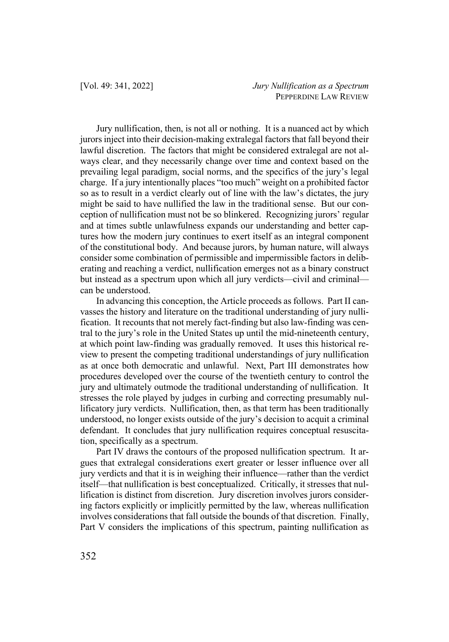Jury nullification, then, is not all or nothing. It is a nuanced act by which jurors inject into their decision-making extralegal factors that fall beyond their lawful discretion. The factors that might be considered extralegal are not always clear, and they necessarily change over time and context based on the prevailing legal paradigm, social norms, and the specifics of the jury's legal charge. If a jury intentionally places "too much" weight on a prohibited factor so as to result in a verdict clearly out of line with the law's dictates, the jury might be said to have nullified the law in the traditional sense. But our conception of nullification must not be so blinkered. Recognizing jurors' regular and at times subtle unlawfulness expands our understanding and better captures how the modern jury continues to exert itself as an integral component of the constitutional body. And because jurors, by human nature, will always consider some combination of permissible and impermissible factors in deliberating and reaching a verdict, nullification emerges not as a binary construct but instead as a spectrum upon which all jury verdicts—civil and criminal can be understood.

In advancing this conception, the Article proceeds as follows. Part II canvasses the history and literature on the traditional understanding of jury nullification. It recounts that not merely fact-finding but also law-finding was central to the jury's role in the United States up until the mid-nineteenth century, at which point law-finding was gradually removed. It uses this historical review to present the competing traditional understandings of jury nullification as at once both democratic and unlawful. Next, Part III demonstrates how procedures developed over the course of the twentieth century to control the jury and ultimately outmode the traditional understanding of nullification. It stresses the role played by judges in curbing and correcting presumably nullificatory jury verdicts. Nullification, then, as that term has been traditionally understood, no longer exists outside of the jury's decision to acquit a criminal defendant. It concludes that jury nullification requires conceptual resuscitation, specifically as a spectrum.

Part IV draws the contours of the proposed nullification spectrum. It argues that extralegal considerations exert greater or lesser influence over all jury verdicts and that it is in weighing their influence—rather than the verdict itself—that nullification is best conceptualized. Critically, it stresses that nullification is distinct from discretion. Jury discretion involves jurors considering factors explicitly or implicitly permitted by the law, whereas nullification involves considerations that fall outside the bounds of that discretion. Finally, Part V considers the implications of this spectrum, painting nullification as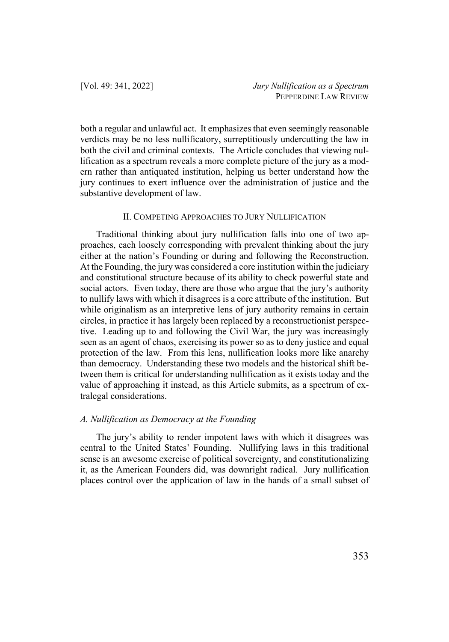both a regular and unlawful act. It emphasizes that even seemingly reasonable verdicts may be no less nullificatory, surreptitiously undercutting the law in both the civil and criminal contexts. The Article concludes that viewing nullification as a spectrum reveals a more complete picture of the jury as a modern rather than antiquated institution, helping us better understand how the jury continues to exert influence over the administration of justice and the substantive development of law.

# II. COMPETING APPROACHES TO JURY NULLIFICATION

Traditional thinking about jury nullification falls into one of two approaches, each loosely corresponding with prevalent thinking about the jury either at the nation's Founding or during and following the Reconstruction. At the Founding, the jury was considered a core institution within the judiciary and constitutional structure because of its ability to check powerful state and social actors. Even today, there are those who argue that the jury's authority to nullify laws with which it disagrees is a core attribute of the institution. But while originalism as an interpretive lens of jury authority remains in certain circles, in practice it has largely been replaced by a reconstructionist perspective. Leading up to and following the Civil War, the jury was increasingly seen as an agent of chaos, exercising its power so as to deny justice and equal protection of the law. From this lens, nullification looks more like anarchy than democracy. Understanding these two models and the historical shift between them is critical for understanding nullification as it exists today and the value of approaching it instead, as this Article submits, as a spectrum of extralegal considerations.

### *A. Nullification as Democracy at the Founding*

The jury's ability to render impotent laws with which it disagrees was central to the United States' Founding. Nullifying laws in this traditional sense is an awesome exercise of political sovereignty, and constitutionalizing it, as the American Founders did, was downright radical. Jury nullification places control over the application of law in the hands of a small subset of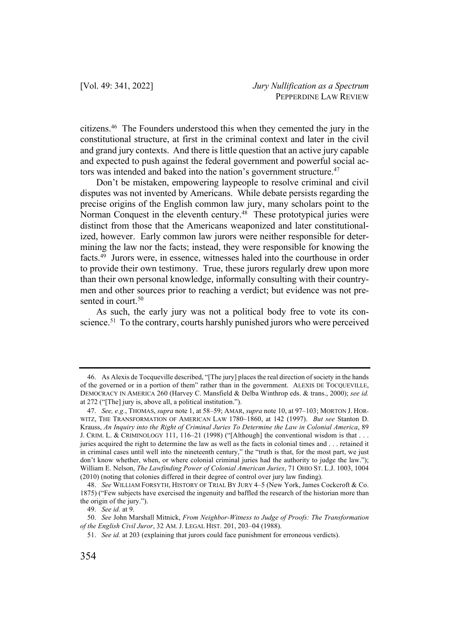citizens.46 The Founders understood this when they cemented the jury in the constitutional structure, at first in the criminal context and later in the civil and grand jury contexts. And there is little question that an active jury capable and expected to push against the federal government and powerful social actors was intended and baked into the nation's government structure.<sup>47</sup>

Don't be mistaken, empowering laypeople to resolve criminal and civil disputes was not invented by Americans. While debate persists regarding the precise origins of the English common law jury, many scholars point to the Norman Conquest in the eleventh century.<sup>48</sup> These prototypical juries were distinct from those that the Americans weaponized and later constitutionalized, however. Early common law jurors were neither responsible for determining the law nor the facts; instead, they were responsible for knowing the facts.49 Jurors were, in essence, witnesses haled into the courthouse in order to provide their own testimony. True, these jurors regularly drew upon more than their own personal knowledge, informally consulting with their countrymen and other sources prior to reaching a verdict; but evidence was not presented in court.<sup>50</sup>

As such, the early jury was not a political body free to vote its conscience.<sup>51</sup> To the contrary, courts harshly punished jurors who were perceived

<sup>46.</sup> As Alexis de Tocqueville described, "[The jury] places the real direction of society in the hands of the governed or in a portion of them" rather than in the government. ALEXIS DE TOCQUEVILLE, DEMOCRACY IN AMERICA 260 (Harvey C. Mansfield & Delba Winthrop eds. & trans., 2000); *see id.*  at 272 ("[The] jury is, above all, a political institution.").

<sup>47.</sup> *See, e.g.*, THOMAS, *supra* note 1, at 58–59; AMAR, *supra* note 10, at 97–103; MORTON J. HOR-WITZ, THE TRANSFORMATION OF AMERICAN LAW 1780–1860, at 142 (1997). *But see* Stanton D. Krauss, *An Inquiry into the Right of Criminal Juries To Determine the Law in Colonial America*, 89 J. CRIM. L. & CRIMINOLOGY 111, 116–21 (1998) ("[Although] the conventional wisdom is that . . . juries acquired the right to determine the law as well as the facts in colonial times and . . . retained it in criminal cases until well into the nineteenth century," the "truth is that, for the most part, we just don't know whether, when, or where colonial criminal juries had the authority to judge the law."); William E. Nelson, *The Lawfinding Power of Colonial American Juries*, 71 OHIO ST. L.J. 1003, 1004 (2010) (noting that colonies differed in their degree of control over jury law finding).

<sup>48.</sup> *See* WILLIAM FORSYTH, HISTORY OF TRIAL BY JURY 4–5 (New York, James Cockcroft & Co. 1875) ("Few subjects have exercised the ingenuity and baffled the research of the historian more than the origin of the jury.").

<sup>49.</sup> *See id.* at 9.

<sup>50.</sup> *See* John Marshall Mitnick, *From Neighbor-Witness to Judge of Proofs: The Transformation of the English Civil Juror*, 32 AM. J. LEGAL HIST. 201, 203–04 (1988).

<sup>51.</sup> *See id.* at 203 (explaining that jurors could face punishment for erroneous verdicts).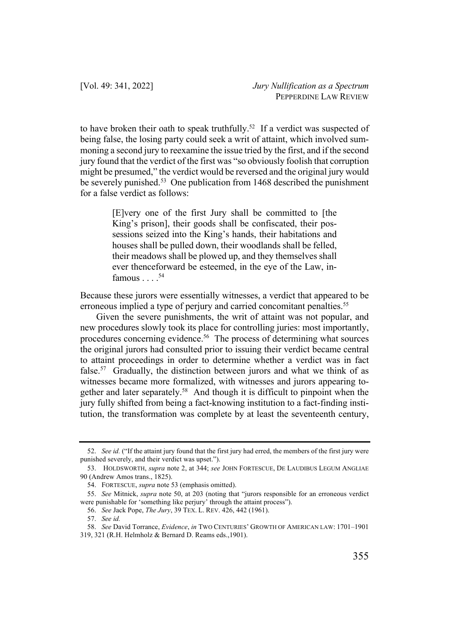to have broken their oath to speak truthfully.<sup>52</sup> If a verdict was suspected of being false, the losing party could seek a writ of attaint, which involved summoning a second jury to reexamine the issue tried by the first, and if the second jury found that the verdict of the first was "so obviously foolish that corruption might be presumed," the verdict would be reversed and the original jury would be severely punished.<sup>53</sup> One publication from 1468 described the punishment for a false verdict as follows:

> [E]very one of the first Jury shall be committed to [the King's prison], their goods shall be confiscated, their possessions seized into the King's hands, their habitations and houses shall be pulled down, their woodlands shall be felled, their meadows shall be plowed up, and they themselves shall ever thenceforward be esteemed, in the eye of the Law, infamous  $\ldots$ .<sup>54</sup>

Because these jurors were essentially witnesses, a verdict that appeared to be erroneous implied a type of perjury and carried concomitant penalties.<sup>55</sup>

Given the severe punishments, the writ of attaint was not popular, and new procedures slowly took its place for controlling juries: most importantly, procedures concerning evidence.56 The process of determining what sources the original jurors had consulted prior to issuing their verdict became central to attaint proceedings in order to determine whether a verdict was in fact false.<sup>57</sup> Gradually, the distinction between jurors and what we think of as witnesses became more formalized, with witnesses and jurors appearing together and later separately.<sup>58</sup> And though it is difficult to pinpoint when the jury fully shifted from being a fact-knowing institution to a fact-finding institution, the transformation was complete by at least the seventeenth century,

<sup>52.</sup> *See id.* ("If the attaint jury found that the first jury had erred, the members of the first jury were punished severely, and their verdict was upset.").

<sup>53.</sup> HOLDSWORTH, *supra* note 2, at 344; *see* JOHN FORTESCUE, DE LAUDIBUS LEGUM ANGLIAE 90 (Andrew Amos trans., 1825).

<sup>54.</sup> FORTESCUE, *supra* note 53 (emphasis omitted).

<sup>55.</sup> *See* Mitnick, *supra* note 50, at 203 (noting that "jurors responsible for an erroneous verdict were punishable for 'something like perjury' through the attaint process").

<sup>56.</sup> *See* Jack Pope, *The Jury*, 39 TEX. L. REV. 426, 442 (1961).

<sup>57.</sup> *See id.*

<sup>58.</sup> *See* David Torrance, *Evidence*, *in* TWO CENTURIES' GROWTH OF AMERICAN LAW: 1701–1901 319, 321 (R.H. Helmholz & Bernard D. Reams eds.,1901).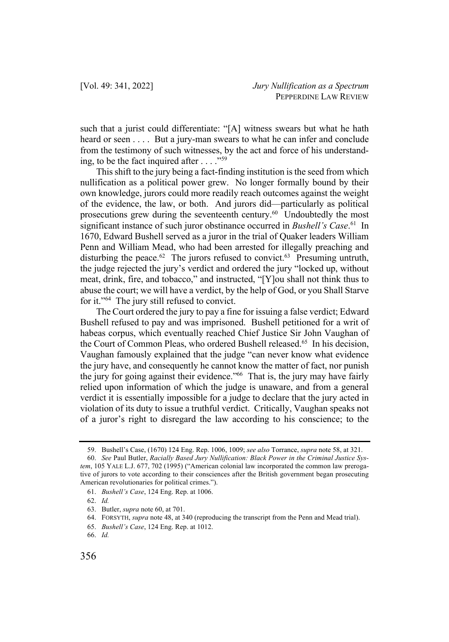such that a jurist could differentiate: "[A] witness swears but what he hath heard or seen . . . . But a jury-man swears to what he can infer and conclude from the testimony of such witnesses, by the act and force of his understanding, to be the fact inquired after  $\dots$ ."<sup>59</sup>

This shift to the jury being a fact-finding institution is the seed from which nullification as a political power grew. No longer formally bound by their own knowledge, jurors could more readily reach outcomes against the weight of the evidence, the law, or both. And jurors did—particularly as political prosecutions grew during the seventeenth century.<sup>60</sup> Undoubtedly the most significant instance of such juror obstinance occurred in *Bushell's Case*. <sup>61</sup> In 1670, Edward Bushell served as a juror in the trial of Quaker leaders William Penn and William Mead, who had been arrested for illegally preaching and disturbing the peace.<sup>62</sup> The jurors refused to convict.<sup>63</sup> Presuming untruth, the judge rejected the jury's verdict and ordered the jury "locked up, without meat, drink, fire, and tobacco," and instructed, "[Y]ou shall not think thus to abuse the court; we will have a verdict, by the help of God, or you Shall Starve for it."64 The jury still refused to convict.

The Court ordered the jury to pay a fine for issuing a false verdict; Edward Bushell refused to pay and was imprisoned. Bushell petitioned for a writ of habeas corpus, which eventually reached Chief Justice Sir John Vaughan of the Court of Common Pleas, who ordered Bushell released.<sup>65</sup> In his decision, Vaughan famously explained that the judge "can never know what evidence the jury have, and consequently he cannot know the matter of fact, nor punish the jury for going against their evidence."66 That is, the jury may have fairly relied upon information of which the judge is unaware, and from a general verdict it is essentially impossible for a judge to declare that the jury acted in violation of its duty to issue a truthful verdict. Critically, Vaughan speaks not of a juror's right to disregard the law according to his conscience; to the

<sup>59.</sup> Bushell's Case, (1670) 124 Eng. Rep. 1006, 1009; *see also* Torrance, *supra* note 58, at 321.

<sup>60.</sup> *See* Paul Butler, *Racially Based Jury Nullification: Black Power in the Criminal Justice System*, 105 YALE L.J. 677, 702 (1995) ("American colonial law incorporated the common law prerogative of jurors to vote according to their consciences after the British government began prosecuting American revolutionaries for political crimes.").

<sup>61.</sup> *Bushell's Case*, 124 Eng. Rep. at 1006.

<sup>62.</sup> *Id.*

<sup>63.</sup> Butler, *supra* note 60, at 701.

<sup>64.</sup> FORSYTH, *supra* note 48, at 340 (reproducing the transcript from the Penn and Mead trial).

<sup>65.</sup> *Bushell's Case*, 124 Eng. Rep. at 1012.

<sup>66.</sup> *Id.*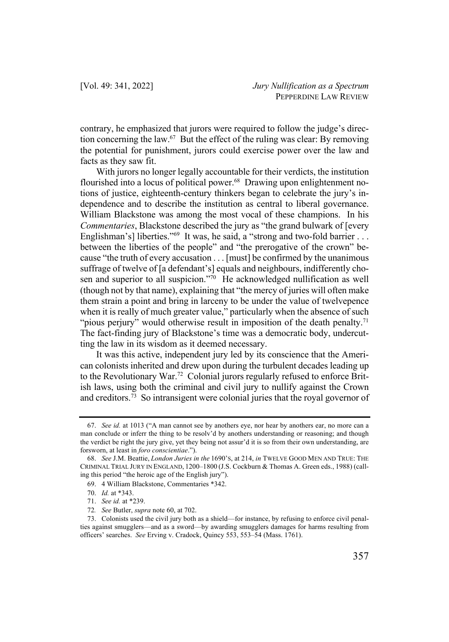contrary, he emphasized that jurors were required to follow the judge's direction concerning the law.67 But the effect of the ruling was clear: By removing the potential for punishment, jurors could exercise power over the law and facts as they saw fit.

With jurors no longer legally accountable for their verdicts, the institution flourished into a locus of political power.<sup>68</sup> Drawing upon enlightenment notions of justice, eighteenth-century thinkers began to celebrate the jury's independence and to describe the institution as central to liberal governance. William Blackstone was among the most vocal of these champions. In his *Commentaries*, Blackstone described the jury as "the grand bulwark of [every Englishman's] liberties."<sup>69</sup> It was, he said, a "strong and two-fold barrier ... between the liberties of the people" and "the prerogative of the crown" because "the truth of every accusation . . . [must] be confirmed by the unanimous suffrage of twelve of [a defendant's] equals and neighbours, indifferently chosen and superior to all suspicion."<sup>70</sup> He acknowledged nullification as well (though not by that name), explaining that "the mercy of juries will often make them strain a point and bring in larceny to be under the value of twelvepence when it is really of much greater value," particularly when the absence of such "pious perjury" would otherwise result in imposition of the death penalty.<sup>71</sup> The fact-finding jury of Blackstone's time was a democratic body, undercutting the law in its wisdom as it deemed necessary.

It was this active, independent jury led by its conscience that the American colonists inherited and drew upon during the turbulent decades leading up to the Revolutionary War.<sup>72</sup> Colonial jurors regularly refused to enforce British laws, using both the criminal and civil jury to nullify against the Crown and creditors.<sup>73</sup> So intransigent were colonial juries that the royal governor of

<sup>67.</sup> *See id.* at 1013 ("A man cannot see by anothers eye, nor hear by anothers ear, no more can a man conclude or inferr the thing to be resolv'd by anothers understanding or reasoning; and though the verdict be right the jury give, yet they being not assur'd it is so from their own understanding, are forsworn, at least in *foro conscientiae*.").

<sup>68.</sup> *See* J.M. Beattie, *London Juries in the* 1690'S, at 214, *in* TWELVE GOOD MEN AND TRUE: THE CRIMINAL TRIAL JURY IN ENGLAND, 1200–1800 (J.S. Cockburn & Thomas A. Green eds., 1988) (calling this period "the heroic age of the English jury").

<sup>69.</sup> 4 William Blackstone, Commentaries \*342.

<sup>70.</sup> *Id.* at \*343.

<sup>71.</sup> *See id.* at \*239.

<sup>72</sup>*. See* Butler, *supra* note 60, at 702.

<sup>73.</sup> Colonists used the civil jury both as a shield—for instance, by refusing to enforce civil penalties against smugglers—and as a sword—by awarding smugglers damages for harms resulting from officers' searches. *See* Erving v. Cradock, Quincy 553, 553–54 (Mass. 1761).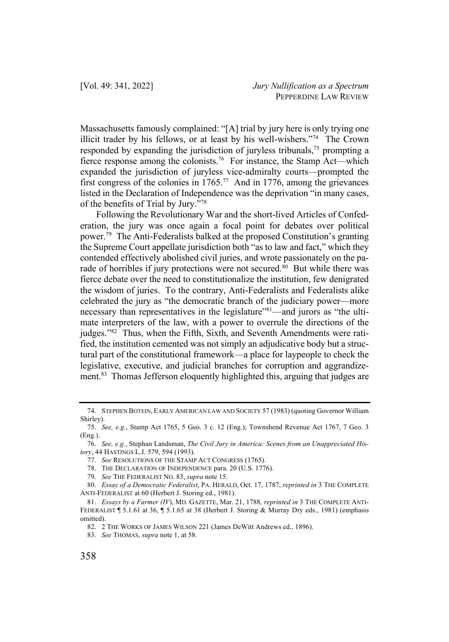Massachusetts famously complained: "[A] trial by jury here is only trying one illicit trader by his fellows, or at least by his well-wishers."74 The Crown responded by expanding the jurisdiction of juryless tribunals,<sup>75</sup> prompting a fierce response among the colonists.<sup>76</sup> For instance, the Stamp Act—which expanded the jurisdiction of juryless vice-admiralty courts—prompted the first congress of the colonies in  $1765$ .<sup>77</sup> And in 1776, among the grievances listed in the Declaration of Independence was the deprivation "in many cases, of the benefits of Trial by Jury."78

Following the Revolutionary War and the short-lived Articles of Confederation, the jury was once again a focal point for debates over political power.79 The Anti-Federalists balked at the proposed Constitution's granting the Supreme Court appellate jurisdiction both "as to law and fact," which they contended effectively abolished civil juries, and wrote passionately on the parade of horribles if jury protections were not secured.<sup>80</sup> But while there was fierce debate over the need to constitutionalize the institution, few denigrated the wisdom of juries. To the contrary, Anti-Federalists and Federalists alike celebrated the jury as "the democratic branch of the judiciary power—more necessary than representatives in the legislature"<sup>81</sup>—and jurors as "the ultimate interpreters of the law, with a power to overrule the directions of the judges."82 Thus, when the Fifth, Sixth, and Seventh Amendments were ratified, the institution cemented was not simply an adjudicative body but a structural part of the constitutional framework—a place for laypeople to check the legislative, executive, and judicial branches for corruption and aggrandizement.83 Thomas Jefferson eloquently highlighted this, arguing that judges are

<sup>74.</sup> STEPHEN BOTEIN, EARLY AMERICAN LAW AND SOCIETY 57 (1983) (quoting Governor William Shirley).

<sup>75.</sup> *See, e.g.*, Stamp Act 1765, 5 Geo. 3 c. 12 (Eng.); Townshend Revenue Act 1767, 7 Geo. 3 (Eng.).

<sup>76.</sup> *See, e.g.*, Stephan Landsman, *The Civil Jury in America: Scenes from an Unappreciated History*, 44 HASTINGS L.J. 579, 594 (1993).

<sup>77.</sup> *See* RESOLUTIONS OF THE STAMP ACT CONGRESS (1765).

<sup>78.</sup> THE DECLARATION OF INDEPENDENCE para. 20 (U.S. 1776).

<sup>79.</sup> *See* THE FEDERALIST NO. 83, *supra* note 15.

<sup>80.</sup> *Essay of a Democratic Federalist*, PA. HERALD, Oct. 17, 1787, *reprinted in* 3 THE COMPLETE ANTI-FEDERALIST at 60 (Herbert J. Storing ed., 1981).

<sup>81.</sup> *Essays by a Farmer (IV*), MD. GAZETTE, Mar. 21, 1788*, reprinted in* 3 THE COMPLETE ANTI-FEDERALIST ¶ 5.1.61 at 36, ¶ 5.1.65 at 38 (Herbert J. Storing & Murray Dry eds., 1981) (emphasis omitted).

<sup>82.</sup> 2 THE WORKS OF JAMES WILSON 221 (James DeWitt Andrews ed., 1896).

<sup>83.</sup> *See* THOMAS, *supra* note 1, at 58.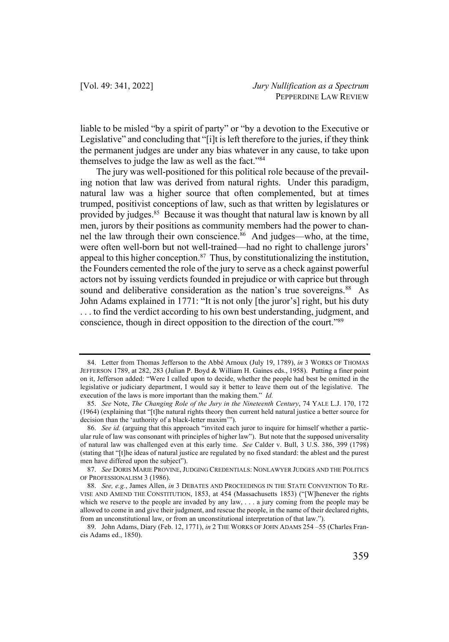liable to be misled "by a spirit of party" or "by a devotion to the Executive or Legislative" and concluding that "[i]t is left therefore to the juries, if they think the permanent judges are under any bias whatever in any cause, to take upon themselves to judge the law as well as the fact."84

The jury was well-positioned for this political role because of the prevailing notion that law was derived from natural rights. Under this paradigm, natural law was a higher source that often complemented, but at times trumped, positivist conceptions of law, such as that written by legislatures or provided by judges.<sup>85</sup> Because it was thought that natural law is known by all men, jurors by their positions as community members had the power to channel the law through their own conscience.<sup>86</sup> And judges—who, at the time, were often well-born but not well-trained—had no right to challenge jurors' appeal to this higher conception. $87$  Thus, by constitutionalizing the institution, the Founders cemented the role of the jury to serve as a check against powerful actors not by issuing verdicts founded in prejudice or with caprice but through sound and deliberative consideration as the nation's true sovereigns.<sup>88</sup> As John Adams explained in 1771: "It is not only [the juror's] right, but his duty . . . to find the verdict according to his own best understanding, judgment, and conscience, though in direct opposition to the direction of the court."89

<sup>84.</sup> Letter from Thomas Jefferson to the Abbé Arnoux (July 19, 1789), *in* 3 WORKS OF THOMAS JEFFERSON 1789, at 282, 283 (Julian P. Boyd & William H. Gaines eds., 1958). Putting a finer point on it, Jefferson added: "Were I called upon to decide, whether the people had best be omitted in the legislative or judiciary department, I would say it better to leave them out of the legislative. The execution of the laws is more important than the making them." *Id.*

<sup>85.</sup> *See* Note, *The Changing Role of the Jury in the Nineteenth Century*, 74 YALE L.J. 170, 172 (1964) (explaining that "[t]he natural rights theory then current held natural justice a better source for decision than the 'authority of a black-letter maxim'").

<sup>86.</sup> *See id.* (arguing that this approach "invited each juror to inquire for himself whether a particular rule of law was consonant with principles of higher law"). But note that the supposed universality of natural law was challenged even at this early time. *See* Calder v. Bull, 3 U.S. 386, 399 (1798) (stating that "[t]he ideas of natural justice are regulated by no fixed standard: the ablest and the purest men have differed upon the subject").

<sup>87.</sup> *See* DORIS MARIE PROVINE,JUDGING CREDENTIALS: NONLAWYER JUDGES AND THE POLITICS OF PROFESSIONALISM 3 (1986).

<sup>88.</sup> *See, e.g.*, James Allen, *in* 3 DEBATES AND PROCEEDINGS IN THE STATE CONVENTION TO RE-VISE AND AMEND THE CONSTITUTION, 1853, at 454 (Massachusetts 1853) ("[W]henever the rights which we reserve to the people are invaded by any law, . . . a jury coming from the people may be allowed to come in and give their judgment, and rescue the people, in the name of their declared rights, from an unconstitutional law, or from an unconstitutional interpretation of that law.").

<sup>89.</sup> John Adams, Diary (Feb. 12, 1771), *in* 2 THE WORKS OF JOHN ADAMS 254 –55 (Charles Francis Adams ed., 1850).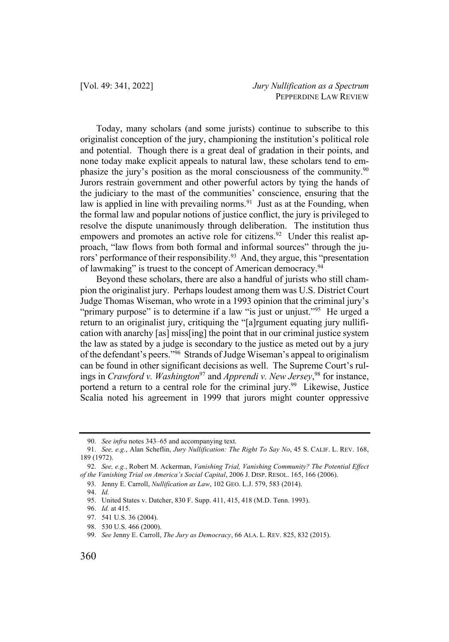Today, many scholars (and some jurists) continue to subscribe to this originalist conception of the jury, championing the institution's political role and potential. Though there is a great deal of gradation in their points, and none today make explicit appeals to natural law, these scholars tend to emphasize the jury's position as the moral consciousness of the community.90 Jurors restrain government and other powerful actors by tying the hands of the judiciary to the mast of the communities' conscience, ensuring that the law is applied in line with prevailing norms.<sup>91</sup> Just as at the Founding, when the formal law and popular notions of justice conflict, the jury is privileged to resolve the dispute unanimously through deliberation. The institution thus empowers and promotes an active role for citizens.<sup>92</sup> Under this realist approach, "law flows from both formal and informal sources" through the jurors' performance of their responsibility.<sup>93</sup> And, they argue, this "presentation of lawmaking" is truest to the concept of American democracy.<sup>94</sup>

Beyond these scholars, there are also a handful of jurists who still champion the originalist jury. Perhaps loudest among them was U.S. District Court Judge Thomas Wiseman, who wrote in a 1993 opinion that the criminal jury's "primary purpose" is to determine if a law "is just or unjust."<sup>95</sup> He urged a return to an originalist jury, critiquing the "[a]rgument equating jury nullification with anarchy [as] miss[ing] the point that in our criminal justice system the law as stated by a judge is secondary to the justice as meted out by a jury of the defendant's peers."96 Strands of Judge Wiseman's appeal to originalism can be found in other significant decisions as well. The Supreme Court's rulings in *Crawford v. Washington*<sup>97</sup> and *Apprendi v. New Jersey*, <sup>98</sup> for instance, portend a return to a central role for the criminal jury.<sup>99</sup> Likewise, Justice Scalia noted his agreement in 1999 that jurors might counter oppressive

<sup>90.</sup> *See infra* notes 343–65 and accompanying text.

<sup>91.</sup> *See, e.g.*, Alan Scheflin, *Jury Nullification: The Right To Say No*, 45 S. CALIF. L. REV. 168, 189 (1972).

<sup>92.</sup> *See, e.g.*, Robert M. Ackerman, *Vanishing Trial, Vanishing Community? The Potential Effect of the Vanishing Trial on America's Social Capital*, 2006 J. DISP. RESOL. 165, 166 (2006).

<sup>93.</sup> Jenny E. Carroll, *Nullification as Law*, 102 GEO. L.J. 579, 583 (2014).

<sup>94.</sup> *Id.*

<sup>95.</sup> United States v. Datcher, 830 F. Supp. 411, 415, 418 (M.D. Tenn. 1993).

<sup>96.</sup> *Id.* at 415.

<sup>97.</sup> 541 U.S. 36 (2004).

<sup>98.</sup> 530 U.S. 466 (2000).

<sup>99.</sup> *See* Jenny E. Carroll, *The Jury as Democracy*, 66 ALA. L. REV. 825, 832 (2015).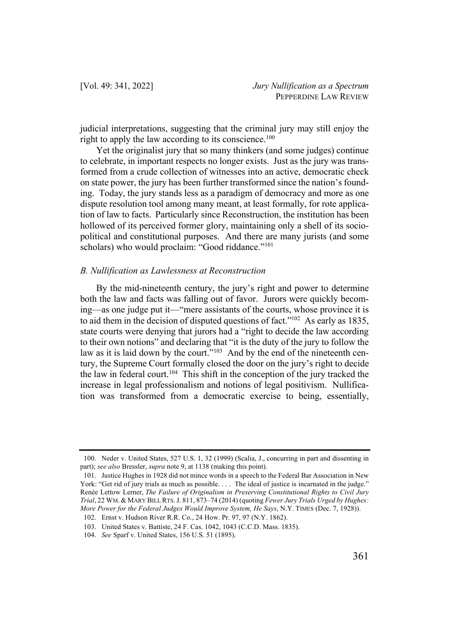judicial interpretations, suggesting that the criminal jury may still enjoy the right to apply the law according to its conscience.<sup>100</sup>

Yet the originalist jury that so many thinkers (and some judges) continue to celebrate, in important respects no longer exists. Just as the jury was transformed from a crude collection of witnesses into an active, democratic check on state power, the jury has been further transformed since the nation's founding. Today, the jury stands less as a paradigm of democracy and more as one dispute resolution tool among many meant, at least formally, for rote application of law to facts. Particularly since Reconstruction, the institution has been hollowed of its perceived former glory, maintaining only a shell of its sociopolitical and constitutional purposes. And there are many jurists (and some scholars) who would proclaim: "Good riddance."<sup>101</sup>

### *B. Nullification as Lawlessness at Reconstruction*

By the mid-nineteenth century, the jury's right and power to determine both the law and facts was falling out of favor. Jurors were quickly becoming—as one judge put it—"mere assistants of the courts, whose province it is to aid them in the decision of disputed questions of fact."<sup>102</sup> As early as 1835, state courts were denying that jurors had a "right to decide the law according to their own notions" and declaring that "it is the duty of the jury to follow the law as it is laid down by the court."<sup>103</sup> And by the end of the nineteenth century, the Supreme Court formally closed the door on the jury's right to decide the law in federal court.<sup>104</sup> This shift in the conception of the jury tracked the increase in legal professionalism and notions of legal positivism. Nullification was transformed from a democratic exercise to being, essentially,

<sup>100.</sup> Neder v. United States, 527 U.S. 1, 32 (1999) (Scalia, J., concurring in part and dissenting in part); *see also* Bressler, *supra* note 9, at 1138 (making this point).

<sup>101.</sup> Justice Hughes in 1928 did not mince words in a speech to the Federal Bar Association in New York: "Get rid of jury trials as much as possible. . . . The ideal of justice is incarnated in the judge." Renée Lettow Lerner, *The Failure of Originalism in Preserving Constitutional Rights to Civil Jury Trial*, 22 WM. & MARY BILL RTS.J. 811, 873–74 (2014) (quoting *Fewer Jury Trials Urged by Hughes: More Power for the Federal Judges Would Improve System, He Says*, N.Y. TIMES (Dec. 7, 1928)).

<sup>102.</sup> Ernst v. Hudson River R.R. Co., 24 How. Pr. 97, 97 (N.Y. 1862).

<sup>103.</sup> United States v. Battiste, 24 F. Cas. 1042, 1043 (C.C.D. Mass. 1835).

<sup>104.</sup> *See* Sparf v. United States, 156 U.S. 51 (1895).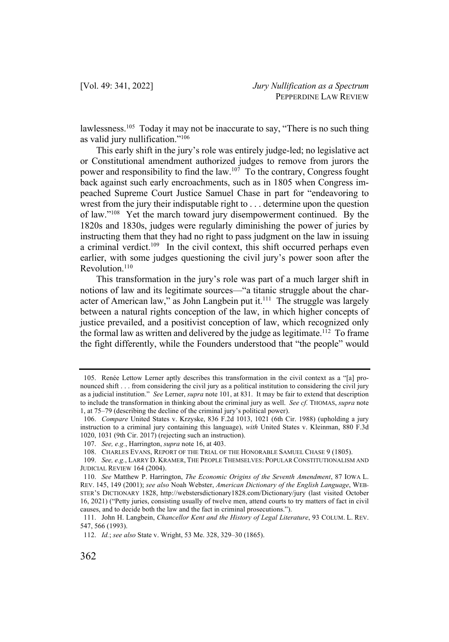lawlessness.<sup>105</sup> Today it may not be inaccurate to say, "There is no such thing as valid jury nullification."106

This early shift in the jury's role was entirely judge-led; no legislative act or Constitutional amendment authorized judges to remove from jurors the power and responsibility to find the law.<sup>107</sup> To the contrary, Congress fought back against such early encroachments, such as in 1805 when Congress impeached Supreme Court Justice Samuel Chase in part for "endeavoring to wrest from the jury their indisputable right to . . . determine upon the question of law."108 Yet the march toward jury disempowerment continued. By the 1820s and 1830s, judges were regularly diminishing the power of juries by instructing them that they had no right to pass judgment on the law in issuing a criminal verdict.<sup>109</sup> In the civil context, this shift occurred perhaps even earlier, with some judges questioning the civil jury's power soon after the Revolution.<sup>110</sup>

This transformation in the jury's role was part of a much larger shift in notions of law and its legitimate sources—"a titanic struggle about the character of American law," as John Langbein put it. $111$  The struggle was largely between a natural rights conception of the law, in which higher concepts of justice prevailed, and a positivist conception of law, which recognized only the formal law as written and delivered by the judge as legitimate.<sup>112</sup> To frame the fight differently, while the Founders understood that "the people" would

<sup>105.</sup> Renée Lettow Lerner aptly describes this transformation in the civil context as a "[a] pronounced shift . . . from considering the civil jury as a political institution to considering the civil jury as a judicial institution." *See* Lerner, *supra* note 101, at 831. It may be fair to extend that description to include the transformation in thinking about the criminal jury as well. *See cf.* THOMAS, *supra* note 1, at 75–79 (describing the decline of the criminal jury's political power).

<sup>106.</sup> *Compare* United States v. Krzyske, 836 F.2d 1013, 1021 (6th Cir. 1988) (upholding a jury instruction to a criminal jury containing this language), *with* United States v. Kleinman, 880 F.3d 1020, 1031 (9th Cir. 2017) (rejecting such an instruction).

<sup>107.</sup> *See, e.g.*, Harrington, *supra* note 16, at 403.

<sup>108.</sup> CHARLES EVANS, REPORT OF THE TRIAL OF THE HONORABLE SAMUEL CHASE 9 (1805).

<sup>109.</sup> *See, e.g.*, LARRY D. KRAMER, THE PEOPLE THEMSELVES: POPULAR CONSTITUTIONALISM AND JUDICIAL REVIEW 164 (2004).

<sup>110.</sup> *See* Matthew P. Harrington, *The Economic Origins of the Seventh Amendment*, 87 IOWA L. REV. 145, 149 (2001); *see also* Noah Webster, *American Dictionary of the English Language*, WEB-STER'S DICTIONARY 1828, http://webstersdictionary1828.com/Dictionary/jury (last visited October 16, 2021) ("Petty juries, consisting usually of twelve men, attend courts to try matters of fact in civil causes, and to decide both the law and the fact in criminal prosecutions.").

<sup>111.</sup> John H. Langbein, *Chancellor Kent and the History of Legal Literature*, 93 COLUM. L. REV. 547, 566 (1993).

<sup>112.</sup> *Id.*; *see also* State v. Wright, 53 Me. 328, 329–30 (1865).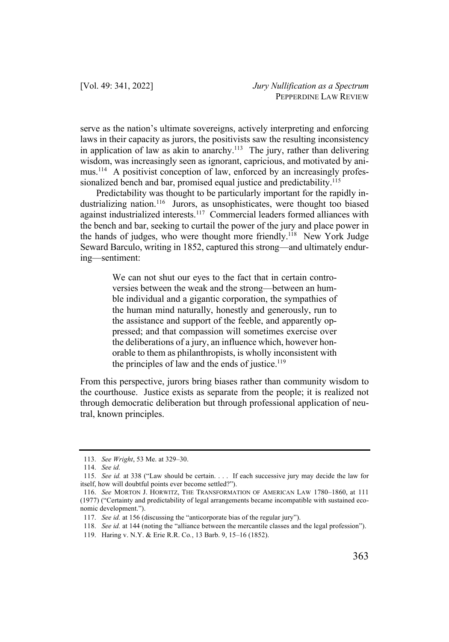serve as the nation's ultimate sovereigns, actively interpreting and enforcing laws in their capacity as jurors, the positivists saw the resulting inconsistency in application of law as akin to anarchy.<sup>113</sup> The jury, rather than delivering wisdom, was increasingly seen as ignorant, capricious, and motivated by animus.<sup>114</sup> A positivist conception of law, enforced by an increasingly professionalized bench and bar, promised equal justice and predictability.<sup>115</sup>

Predictability was thought to be particularly important for the rapidly industrializing nation.<sup>116</sup> Jurors, as unsophisticates, were thought too biased against industrialized interests.<sup>117</sup> Commercial leaders formed alliances with the bench and bar, seeking to curtail the power of the jury and place power in the hands of judges, who were thought more friendly.<sup>118</sup> New York Judge Seward Barculo, writing in 1852, captured this strong—and ultimately enduring—sentiment:

> We can not shut our eyes to the fact that in certain controversies between the weak and the strong—between an humble individual and a gigantic corporation, the sympathies of the human mind naturally, honestly and generously, run to the assistance and support of the feeble, and apparently oppressed; and that compassion will sometimes exercise over the deliberations of a jury, an influence which, however honorable to them as philanthropists, is wholly inconsistent with the principles of law and the ends of justice.<sup>119</sup>

From this perspective, jurors bring biases rather than community wisdom to the courthouse. Justice exists as separate from the people; it is realized not through democratic deliberation but through professional application of neutral, known principles.

<sup>113.</sup> *See Wright*, 53 Me. at 329–30.

<sup>114.</sup> *See id.*

<sup>115.</sup> *See id.* at 338 ("Law should be certain. . . . If each successive jury may decide the law for itself, how will doubtful points ever become settled?").

<sup>116.</sup> *See* MORTON J. HORWITZ, THE TRANSFORMATION OF AMERICAN LAW 1780–1860, at 111 (1977) ("Certainty and predictability of legal arrangements became incompatible with sustained economic development.").

<sup>117.</sup> *See id.* at 156 (discussing the "anticorporate bias of the regular jury").

<sup>118.</sup> *See id.* at 144 (noting the "alliance between the mercantile classes and the legal profession").

<sup>119.</sup> Haring v. N.Y. & Erie R.R. Co*.*, 13 Barb. 9, 15–16 (1852).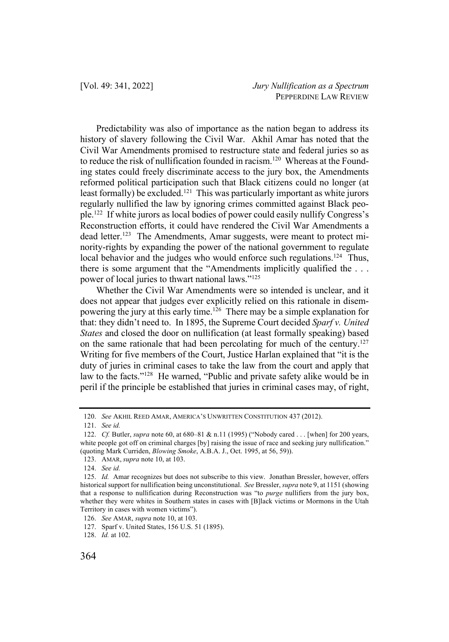Predictability was also of importance as the nation began to address its history of slavery following the Civil War. Akhil Amar has noted that the Civil War Amendments promised to restructure state and federal juries so as to reduce the risk of nullification founded in racism.<sup>120</sup> Whereas at the Founding states could freely discriminate access to the jury box, the Amendments reformed political participation such that Black citizens could no longer (at least formally) be excluded.<sup>121</sup> This was particularly important as white jurors regularly nullified the law by ignoring crimes committed against Black people.122 If white jurors as local bodies of power could easily nullify Congress's Reconstruction efforts, it could have rendered the Civil War Amendments a dead letter.<sup>123</sup> The Amendments, Amar suggests, were meant to protect minority-rights by expanding the power of the national government to regulate local behavior and the judges who would enforce such regulations.<sup>124</sup> Thus, there is some argument that the "Amendments implicitly qualified the . . . power of local juries to thwart national laws."125

Whether the Civil War Amendments were so intended is unclear, and it does not appear that judges ever explicitly relied on this rationale in disempowering the jury at this early time. <sup>126</sup> There may be a simple explanation for that: they didn't need to. In 1895, the Supreme Court decided *Sparf v. United States* and closed the door on nullification (at least formally speaking) based on the same rationale that had been percolating for much of the century.<sup>127</sup> Writing for five members of the Court, Justice Harlan explained that "it is the duty of juries in criminal cases to take the law from the court and apply that law to the facts."<sup>128</sup> He warned, "Public and private safety alike would be in peril if the principle be established that juries in criminal cases may, of right,

<sup>120.</sup> *See* AKHIL REED AMAR, AMERICA'S UNWRITTEN CONSTITUTION 437 (2012).

<sup>121.</sup> *See id.*

<sup>122.</sup> *Cf.* Butler, *supra* note 60, at 680–81 & n.11 (1995) ("Nobody cared . . . [when] for 200 years, white people got off on criminal charges [by] raising the issue of race and seeking jury nullification." (quoting Mark Curriden, *Blowing Smoke*, A.B.A. J., Oct. 1995, at 56, 59)).

<sup>123.</sup> AMAR, *supra* note 10, at 103.

<sup>124.</sup> *See id.* 

<sup>125.</sup> *Id.* Amar recognizes but does not subscribe to this view. Jonathan Bressler, however, offers historical support for nullification being unconstitutional. *See* Bressler, *supra* note 9, at 1151 (showing that a response to nullification during Reconstruction was "to *purge* nullifiers from the jury box, whether they were whites in Southern states in cases with [B]lack victims or Mormons in the Utah Territory in cases with women victims").

<sup>126.</sup> *See* AMAR, *supra* note 10, at 103.

<sup>127.</sup> Sparf v. United States, 156 U.S. 51 (1895).

<sup>128.</sup> *Id.* at 102.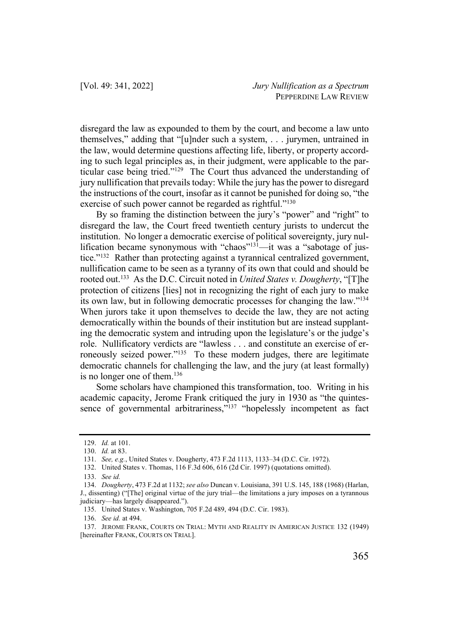disregard the law as expounded to them by the court, and become a law unto themselves," adding that "[u]nder such a system, . . . jurymen, untrained in the law, would determine questions affecting life, liberty, or property according to such legal principles as, in their judgment, were applicable to the particular case being tried."129 The Court thus advanced the understanding of jury nullification that prevails today: While the jury has the power to disregard the instructions of the court, insofar as it cannot be punished for doing so, "the exercise of such power cannot be regarded as rightful."<sup>130</sup>

By so framing the distinction between the jury's "power" and "right" to disregard the law, the Court freed twentieth century jurists to undercut the institution. No longer a democratic exercise of political sovereignty, jury nullification became synonymous with "chaos"<sup>131</sup>—it was a "sabotage of justice."132 Rather than protecting against a tyrannical centralized government, nullification came to be seen as a tyranny of its own that could and should be rooted out.133 As the D.C. Circuit noted in *United States v. Dougherty*, "[T]he protection of citizens [lies] not in recognizing the right of each jury to make its own law, but in following democratic processes for changing the law."134 When jurors take it upon themselves to decide the law, they are not acting democratically within the bounds of their institution but are instead supplanting the democratic system and intruding upon the legislature's or the judge's role. Nullificatory verdicts are "lawless . . . and constitute an exercise of erroneously seized power."<sup>135</sup> To these modern judges, there are legitimate democratic channels for challenging the law, and the jury (at least formally) is no longer one of them.136

Some scholars have championed this transformation, too. Writing in his academic capacity, Jerome Frank critiqued the jury in 1930 as "the quintessence of governmental arbitrariness,"<sup>137</sup> "hopelessly incompetent as fact

<sup>129.</sup> *Id.* at 101.

<sup>130.</sup> *Id.* at 83.

<sup>131.</sup> *See, e.g.*, United States v. Dougherty, 473 F.2d 1113, 1133–34 (D.C. Cir. 1972).

<sup>132.</sup> United States v. Thomas, 116 F.3d 606, 616 (2d Cir. 1997) (quotations omitted).

<sup>133.</sup> *See id.*

<sup>134.</sup> *Dougherty*, 473 F.2d at 1132; *see also* Duncan v. Louisiana, 391 U.S. 145, 188 (1968) (Harlan, J., dissenting) ("[The] original virtue of the jury trial—the limitations a jury imposes on a tyrannous judiciary—has largely disappeared.").

<sup>135.</sup> United States v. Washington, 705 F.2d 489, 494 (D.C. Cir. 1983).

<sup>136.</sup> *See id.* at 494.

<sup>137.</sup> JEROME FRANK, COURTS ON TRIAL: MYTH AND REALITY IN AMERICAN JUSTICE 132 (1949) [hereinafter FRANK, COURTS ON TRIAL].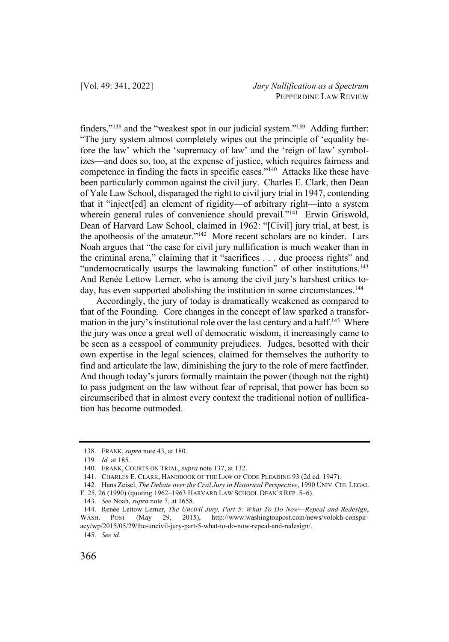finders,"138 and the "weakest spot in our judicial system."139 Adding further: "The jury system almost completely wipes out the principle of 'equality before the law' which the 'supremacy of law' and the 'reign of law' symbolizes—and does so, too, at the expense of justice, which requires fairness and competence in finding the facts in specific cases."140 Attacks like these have been particularly common against the civil jury. Charles E. Clark, then Dean of Yale Law School, disparaged the right to civil jury trial in 1947, contending that it "inject[ed] an element of rigidity—of arbitrary right—into a system wherein general rules of convenience should prevail."<sup>141</sup> Erwin Griswold, Dean of Harvard Law School, claimed in 1962: "[Civil] jury trial, at best, is the apotheosis of the amateur."142 More recent scholars are no kinder. Lars Noah argues that "the case for civil jury nullification is much weaker than in the criminal arena," claiming that it "sacrifices . . . due process rights" and "undemocratically usurps the lawmaking function" of other institutions.<sup>143</sup> And Renée Lettow Lerner, who is among the civil jury's harshest critics today, has even supported abolishing the institution in some circumstances. 144

Accordingly, the jury of today is dramatically weakened as compared to that of the Founding. Core changes in the concept of law sparked a transformation in the jury's institutional role over the last century and a half.<sup>145</sup> Where the jury was once a great well of democratic wisdom, it increasingly came to be seen as a cesspool of community prejudices. Judges, besotted with their own expertise in the legal sciences, claimed for themselves the authority to find and articulate the law, diminishing the jury to the role of mere factfinder. And though today's jurors formally maintain the power (though not the right) to pass judgment on the law without fear of reprisal, that power has been so circumscribed that in almost every context the traditional notion of nullification has become outmoded.

141. CHARLES E. CLARK, HANDBOOK OF THE LAW OF CODE PLEADING 93 (2d ed. 1947).

145. *See id.* 

<sup>138.</sup> FRANK, *supra* note 43, at 180.

<sup>139.</sup> *Id.* at 185.

<sup>140.</sup> FRANK, COURTS ON TRIAL, *supra* note 137, at 132.

<sup>142.</sup> Hans Zeisel, *The Debate over the Civil Jury in Historical Perspective*, 1990 UNIV. CHI. LEGAL F. 25, 26 (1990) (quoting 1962–1963 HARVARD LAW SCHOOL DEAN'S REP. 5–6).

<sup>143.</sup> *See* Noah, *supra* note 7, at 1658.

<sup>144.</sup> Renée Lettow Lerner, *The Uncivil Jury, Part 5: What To Do Now—Repeal and Redesign*, WASH. POST (May 29, 2015), http://www.washingtonpost.com/news/volokh-conspiracy/wp/2015/05/29/the-uncivil-jury-part-5-what-to-do-now-repeal-and-redesign/.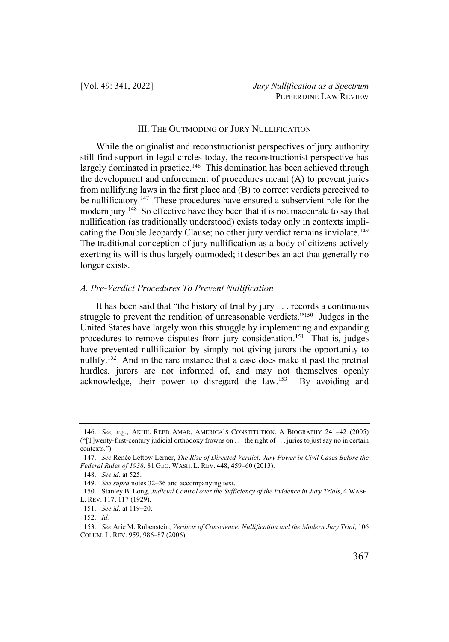# III. THE OUTMODING OF JURY NULLIFICATION

While the originalist and reconstructionist perspectives of jury authority still find support in legal circles today, the reconstructionist perspective has largely dominated in practice.<sup>146</sup> This domination has been achieved through the development and enforcement of procedures meant (A) to prevent juries from nullifying laws in the first place and (B) to correct verdicts perceived to be nullificatory.<sup>147</sup> These procedures have ensured a subservient role for the modern jury.<sup>148</sup> So effective have they been that it is not inaccurate to say that nullification (as traditionally understood) exists today only in contexts implicating the Double Jeopardy Clause; no other jury verdict remains inviolate.<sup>149</sup> The traditional conception of jury nullification as a body of citizens actively exerting its will is thus largely outmoded; it describes an act that generally no longer exists.

### *A. Pre-Verdict Procedures To Prevent Nullification*

It has been said that "the history of trial by jury . . . records a continuous struggle to prevent the rendition of unreasonable verdicts."<sup>150</sup> Judges in the United States have largely won this struggle by implementing and expanding procedures to remove disputes from jury consideration.<sup>151</sup> That is, judges have prevented nullification by simply not giving jurors the opportunity to nullify.152 And in the rare instance that a case does make it past the pretrial hurdles, jurors are not informed of, and may not themselves openly acknowledge, their power to disregard the law.153 By avoiding and

<sup>146.</sup> *See, e.g.*, AKHIL REED AMAR, AMERICA'S CONSTITUTION: A BIOGRAPHY 241–42 (2005) ("[T]wenty-first-century judicial orthodoxy frowns on . . . the right of . . . juries to just say no in certain contexts.").

<sup>147.</sup> *See* Renée Lettow Lerner, *The Rise of Directed Verdict: Jury Power in Civil Cases Before the Federal Rules of 1938*, 81 GEO. WASH. L. REV. 448, 459–60 (2013).

<sup>148.</sup> *See id.* at 525.

<sup>149.</sup> *See supra* notes 32–36 and accompanying text.

<sup>150.</sup> Stanley B. Long, *Judicial Control over the Sufficiency of the Evidence in Jury Trials*, 4 WASH. L. REV. 117, 117 (1929).

<sup>151.</sup> *See id.* at 119–20.

<sup>152.</sup> *Id.* 

<sup>153.</sup> *See* Arie M. Rubenstein, *Verdicts of Conscience: Nullification and the Modern Jury Trial*, 106 COLUM. L. REV. 959, 986–87 (2006).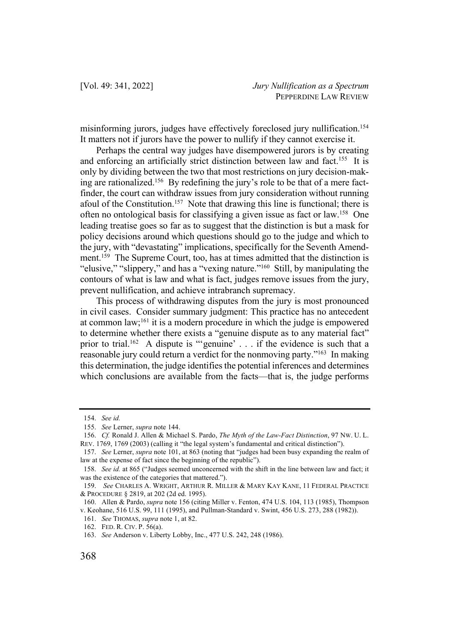misinforming jurors, judges have effectively foreclosed jury nullification.154 It matters not if jurors have the power to nullify if they cannot exercise it.

Perhaps the central way judges have disempowered jurors is by creating and enforcing an artificially strict distinction between law and fact.<sup>155</sup> It is only by dividing between the two that most restrictions on jury decision-making are rationalized.156 By redefining the jury's role to be that of a mere factfinder, the court can withdraw issues from jury consideration without running afoul of the Constitution.<sup>157</sup> Note that drawing this line is functional; there is often no ontological basis for classifying a given issue as fact or law.158 One leading treatise goes so far as to suggest that the distinction is but a mask for policy decisions around which questions should go to the judge and which to the jury, with "devastating" implications, specifically for the Seventh Amendment.<sup>159</sup> The Supreme Court, too, has at times admitted that the distinction is "elusive," "slippery," and has a "vexing nature."160 Still, by manipulating the contours of what is law and what is fact, judges remove issues from the jury, prevent nullification, and achieve intrabranch supremacy.

This process of withdrawing disputes from the jury is most pronounced in civil cases. Consider summary judgment: This practice has no antecedent at common law;<sup>161</sup> it is a modern procedure in which the judge is empowered to determine whether there exists a "genuine dispute as to any material fact" prior to trial.<sup>162</sup> A dispute is "'genuine' . . . if the evidence is such that a reasonable jury could return a verdict for the nonmoving party."163 In making this determination, the judge identifies the potential inferences and determines which conclusions are available from the facts—that is, the judge performs

<sup>154.</sup> *See id.* 

<sup>155.</sup> *See* Lerner, *supra* note 144.

<sup>156.</sup> *Cf.* Ronald J. Allen & Michael S. Pardo, *The Myth of the Law-Fact Distinction*, 97 NW. U. L. REV. 1769, 1769 (2003) (calling it "the legal system's fundamental and critical distinction").

<sup>157.</sup> *See* Lerner, *supra* note 101, at 863 (noting that "judges had been busy expanding the realm of law at the expense of fact since the beginning of the republic").

<sup>158.</sup> *See id.* at 865 ("Judges seemed unconcerned with the shift in the line between law and fact; it was the existence of the categories that mattered.").

<sup>159.</sup> *See* CHARLES A. WRIGHT, ARTHUR R. MILLER & MARY KAY KANE, 11 FEDERAL PRACTICE & PROCEDURE § 2819, at 202 (2d ed. 1995).

<sup>160.</sup> Allen & Pardo, *supra* note 156 (citing Miller v. Fenton, 474 U.S. 104, 113 (1985), Thompson v. Keohane, 516 U.S. 99, 111 (1995), and Pullman-Standard v. Swint, 456 U.S. 273, 288 (1982)).

<sup>161.</sup> *See* THOMAS, *supra* note 1, at 82.

<sup>162.</sup> FED. R. CIV. P. 56(a).

<sup>163.</sup> *See* Anderson v. Liberty Lobby, Inc., 477 U.S. 242, 248 (1986).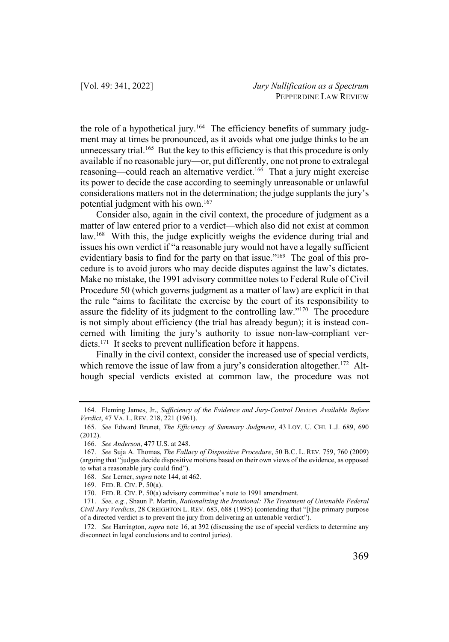the role of a hypothetical jury.<sup>164</sup> The efficiency benefits of summary judgment may at times be pronounced, as it avoids what one judge thinks to be an unnecessary trial.<sup>165</sup> But the key to this efficiency is that this procedure is only available if no reasonable jury—or, put differently, one not prone to extralegal reasoning—could reach an alternative verdict.<sup>166</sup> That a jury might exercise its power to decide the case according to seemingly unreasonable or unlawful considerations matters not in the determination; the judge supplants the jury's potential judgment with his own.167

Consider also, again in the civil context, the procedure of judgment as a matter of law entered prior to a verdict—which also did not exist at common law.<sup>168</sup> With this, the judge explicitly weighs the evidence during trial and issues his own verdict if "a reasonable jury would not have a legally sufficient evidentiary basis to find for the party on that issue."<sup>169</sup> The goal of this procedure is to avoid jurors who may decide disputes against the law's dictates. Make no mistake, the 1991 advisory committee notes to Federal Rule of Civil Procedure 50 (which governs judgment as a matter of law) are explicit in that the rule "aims to facilitate the exercise by the court of its responsibility to assure the fidelity of its judgment to the controlling law."170 The procedure is not simply about efficiency (the trial has already begun); it is instead concerned with limiting the jury's authority to issue non-law-compliant verdicts.<sup>171</sup> It seeks to prevent nullification before it happens.

Finally in the civil context, consider the increased use of special verdicts, which remove the issue of law from a jury's consideration altogether.<sup>172</sup> Although special verdicts existed at common law, the procedure was not

<sup>164.</sup> Fleming James, Jr., *Sufficiency of the Evidence and Jury-Control Devices Available Before Verdict*, 47 VA. L. REV. 218, 221 (1961).

<sup>165.</sup> *See* Edward Brunet, *The Efficiency of Summary Judgment*, 43 LOY. U. CHI. L.J. 689, 690 (2012).

<sup>166.</sup> *See Anderson*, 477 U.S. at 248.

<sup>167.</sup> *See* Suja A. Thomas, *The Fallacy of Dispositive Procedure*, 50 B.C. L. REV. 759, 760 (2009) (arguing that "judges decide dispositive motions based on their own views of the evidence, as opposed to what a reasonable jury could find").

<sup>168.</sup> *See* Lerner, *supra* note 144, at 462.

<sup>169.</sup> FED. R. CIV. P. 50(a).

<sup>170.</sup> FED. R. CIV. P. 50(a) advisory committee's note to 1991 amendment.

<sup>171.</sup> *See, e.g.*, Shaun P. Martin, *Rationalizing the Irrational: The Treatment of Untenable Federal Civil Jury Verdicts*, 28 CREIGHTON L. REV. 683, 688 (1995) (contending that "[t]he primary purpose of a directed verdict is to prevent the jury from delivering an untenable verdict").

<sup>172.</sup> *See* Harrington, *supra* note 16, at 392 (discussing the use of special verdicts to determine any disconnect in legal conclusions and to control juries).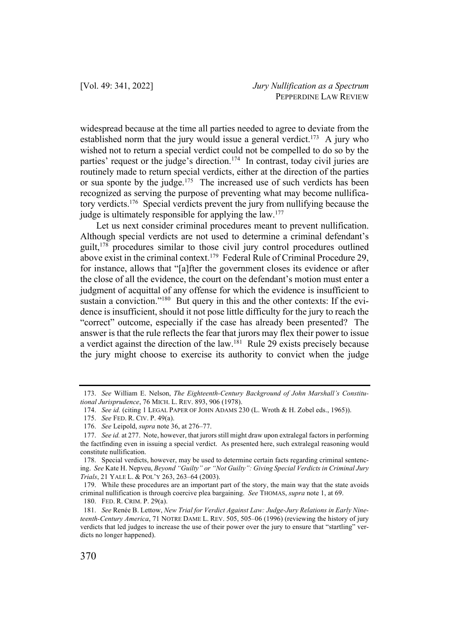widespread because at the time all parties needed to agree to deviate from the established norm that the jury would issue a general verdict.<sup>173</sup> A jury who wished not to return a special verdict could not be compelled to do so by the parties' request or the judge's direction.<sup>174</sup> In contrast, today civil juries are routinely made to return special verdicts, either at the direction of the parties or sua sponte by the judge.<sup>175</sup> The increased use of such verdicts has been recognized as serving the purpose of preventing what may become nullificatory verdicts.176 Special verdicts prevent the jury from nullifying because the judge is ultimately responsible for applying the law.<sup>177</sup>

Let us next consider criminal procedures meant to prevent nullification. Although special verdicts are not used to determine a criminal defendant's guilt,<sup>178</sup> procedures similar to those civil jury control procedures outlined above exist in the criminal context.<sup>179</sup> Federal Rule of Criminal Procedure 29, for instance, allows that "[a]fter the government closes its evidence or after the close of all the evidence, the court on the defendant's motion must enter a judgment of acquittal of any offense for which the evidence is insufficient to sustain a conviction."<sup>180</sup> But query in this and the other contexts: If the evidence is insufficient, should it not pose little difficulty for the jury to reach the "correct" outcome, especially if the case has already been presented? The answer is that the rule reflects the fear that jurors may flex their power to issue a verdict against the direction of the law.<sup>181</sup> Rule 29 exists precisely because the jury might choose to exercise its authority to convict when the judge

<sup>173.</sup> *See* William E. Nelson, *The Eighteenth-Century Background of John Marshall's Constitutional Jurisprudence*, 76 MICH. L. REV. 893, 906 (1978).

<sup>174.</sup> *See id.* (citing 1 LEGAL PAPER OF JOHN ADAMS 230 (L. Wroth & H. Zobel eds., 1965)).

<sup>175.</sup> *See* FED. R. CIV. P. 49(a).

<sup>176.</sup> *See* Leipold, *supra* note 36, at 276–77.

<sup>177.</sup> *See id.* at 277. Note, however, that jurors still might draw upon extralegal factors in performing the factfinding even in issuing a special verdict. As presented here, such extralegal reasoning would constitute nullification.

<sup>178.</sup> Special verdicts, however, may be used to determine certain facts regarding criminal sentencing. *See* Kate H. Nepveu, *Beyond "Guilty" or "Not Guilty": Giving Special Verdicts in Criminal Jury Trials*, 21 YALE L. & POL'Y 263, 263–64 (2003).

<sup>179.</sup> While these procedures are an important part of the story, the main way that the state avoids criminal nullification is through coercive plea bargaining. *See* THOMAS, *supra* note 1, at 69.

<sup>180.</sup> FED. R. CRIM. P. 29(a).

<sup>181.</sup> *See* Renée B. Lettow, *New Trial for Verdict Against Law: Judge-Jury Relations in Early Nineteenth-Century America*, 71 NOTRE DAME L. REV. 505, 505–06 (1996) (reviewing the history of jury verdicts that led judges to increase the use of their power over the jury to ensure that "startling" verdicts no longer happened).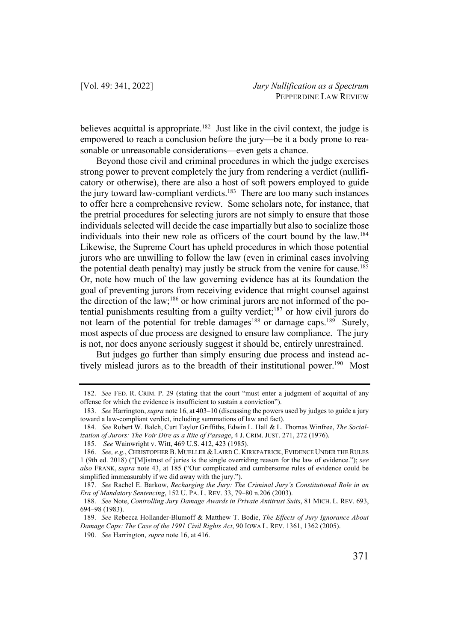believes acquittal is appropriate.<sup>182</sup> Just like in the civil context, the judge is empowered to reach a conclusion before the jury—be it a body prone to reasonable or unreasonable considerations—even gets a chance.

Beyond those civil and criminal procedures in which the judge exercises strong power to prevent completely the jury from rendering a verdict (nullificatory or otherwise), there are also a host of soft powers employed to guide the jury toward law-compliant verdicts.183 There are too many such instances to offer here a comprehensive review. Some scholars note, for instance, that the pretrial procedures for selecting jurors are not simply to ensure that those individuals selected will decide the case impartially but also to socialize those individuals into their new role as officers of the court bound by the law. 184 Likewise, the Supreme Court has upheld procedures in which those potential jurors who are unwilling to follow the law (even in criminal cases involving the potential death penalty) may justly be struck from the venire for cause.<sup>185</sup> Or, note how much of the law governing evidence has at its foundation the goal of preventing jurors from receiving evidence that might counsel against the direction of the law;<sup>186</sup> or how criminal jurors are not informed of the potential punishments resulting from a guilty verdict; <sup>187</sup> or how civil jurors do not learn of the potential for treble damages<sup>188</sup> or damage caps.<sup>189</sup> Surely, most aspects of due process are designed to ensure law compliance. The jury is not, nor does anyone seriously suggest it should be, entirely unrestrained.

But judges go further than simply ensuring due process and instead actively mislead jurors as to the breadth of their institutional power.<sup>190</sup> Most

187. *See* Rachel E. Barkow, *Recharging the Jury: The Criminal Jury's Constitutional Role in an Era of Mandatory Sentencing*, 152 U. PA. L. REV. 33, 79–80 n.206 (2003).

190. *See* Harrington, *supra* note 16, at 416.

<sup>182.</sup> *See* FED. R. CRIM. P. 29 (stating that the court "must enter a judgment of acquittal of any offense for which the evidence is insufficient to sustain a conviction").

<sup>183.</sup> *See* Harrington, *supra* note 16, at 403–10 (discussing the powers used by judges to guide a jury toward a law-compliant verdict, including summations of law and fact).

<sup>184.</sup> *See* Robert W. Balch, Curt Taylor Griffiths, Edwin L. Hall & L. Thomas Winfree, *The Socialization of Jurors: The Voir Dire as a Rite of Passage*, 4 J. CRIM. JUST. 271, 272 (1976).

<sup>185.</sup> *See* Wainwright v. Witt, 469 U.S. 412, 423 (1985).

<sup>186.</sup> *See, e.g.*, CHRISTOPHER B. MUELLER & LAIRD C. KIRKPATRICK, EVIDENCE UNDER THE RULES 1 (9th ed. 2018) ("[M]istrust of juries is the single overriding reason for the law of evidence."); *see also* FRANK, *supra* note 43, at 185 ("Our complicated and cumbersome rules of evidence could be simplified immeasurably if we did away with the jury.").

<sup>188.</sup> *See* Note, *Controlling Jury Damage Awards in Private Antitrust Suits*, 81 MICH. L. REV. 693, 694–98 (1983).

<sup>189.</sup> *See* Rebecca Hollander-Blumoff & Matthew T. Bodie, *The Effects of Jury Ignorance About Damage Caps: The Case of the 1991 Civil Rights Act*, 90 IOWA L. REV. 1361, 1362 (2005).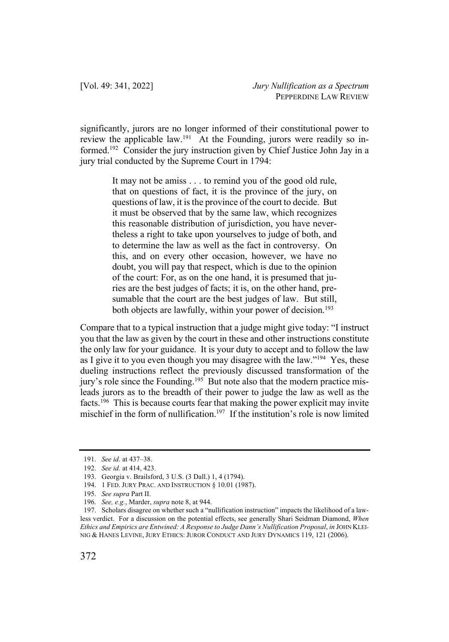significantly, jurors are no longer informed of their constitutional power to review the applicable law.<sup>191</sup> At the Founding, jurors were readily so informed.192 Consider the jury instruction given by Chief Justice John Jay in a jury trial conducted by the Supreme Court in 1794:

> It may not be amiss . . . to remind you of the good old rule, that on questions of fact, it is the province of the jury, on questions of law, it is the province of the court to decide. But it must be observed that by the same law, which recognizes this reasonable distribution of jurisdiction, you have nevertheless a right to take upon yourselves to judge of both, and to determine the law as well as the fact in controversy. On this, and on every other occasion, however, we have no doubt, you will pay that respect, which is due to the opinion of the court: For, as on the one hand, it is presumed that juries are the best judges of facts; it is, on the other hand, presumable that the court are the best judges of law. But still, both objects are lawfully, within your power of decision.<sup>193</sup>

Compare that to a typical instruction that a judge might give today: "I instruct you that the law as given by the court in these and other instructions constitute the only law for your guidance. It is your duty to accept and to follow the law as I give it to you even though you may disagree with the law."<sup>194</sup> Yes, these dueling instructions reflect the previously discussed transformation of the jury's role since the Founding.195 But note also that the modern practice misleads jurors as to the breadth of their power to judge the law as well as the facts.<sup>196</sup> This is because courts fear that making the power explicit may invite mischief in the form of nullification.<sup>197</sup> If the institution's role is now limited

<sup>191.</sup> *See id.* at 437–38.

<sup>192.</sup> *See id.* at 414, 423.

<sup>193.</sup> Georgia v. Brailsford, 3 U.S. (3 Dall.) 1, 4 (1794).

<sup>194.</sup> 1 FED. JURY PRAC. AND INSTRUCTION § 10.01 (1987).

<sup>195.</sup> *See supra* Part II.

<sup>196.</sup> *See, e.g.*, Marder, *supra* note 8, at 944.

<sup>197.</sup> Scholars disagree on whether such a "nullification instruction" impacts the likelihood of a lawless verdict. For a discussion on the potential effects, see generally Shari Seidman Diamond, *When Ethics and Empirics are Entwined: A Response to Judge Dann's Nullification Proposal*, *in* JOHN KLEI-NIG & HANES LEVINE, JURY ETHICS: JUROR CONDUCT AND JURY DYNAMICS 119, 121 (2006).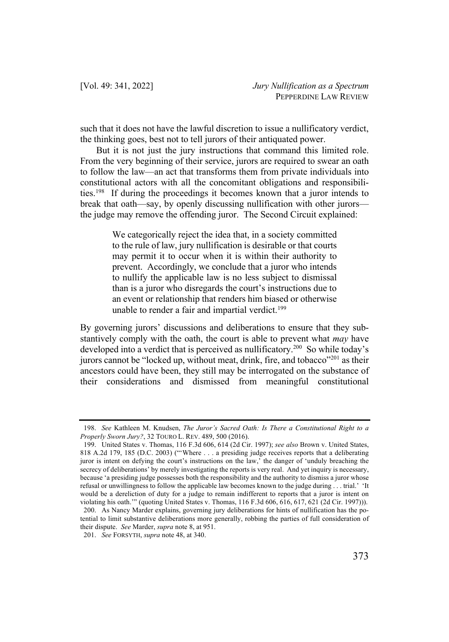such that it does not have the lawful discretion to issue a nullificatory verdict, the thinking goes, best not to tell jurors of their antiquated power.

But it is not just the jury instructions that command this limited role. From the very beginning of their service, jurors are required to swear an oath to follow the law—an act that transforms them from private individuals into constitutional actors with all the concomitant obligations and responsibilities.198 If during the proceedings it becomes known that a juror intends to break that oath—say, by openly discussing nullification with other jurors the judge may remove the offending juror. The Second Circuit explained:

> We categorically reject the idea that, in a society committed to the rule of law, jury nullification is desirable or that courts may permit it to occur when it is within their authority to prevent. Accordingly, we conclude that a juror who intends to nullify the applicable law is no less subject to dismissal than is a juror who disregards the court's instructions due to an event or relationship that renders him biased or otherwise unable to render a fair and impartial verdict.<sup>199</sup>

By governing jurors' discussions and deliberations to ensure that they substantively comply with the oath, the court is able to prevent what *may* have developed into a verdict that is perceived as nullificatory.<sup>200</sup> So while today's jurors cannot be "locked up, without meat, drink, fire, and tobacco"<sup>201</sup> as their ancestors could have been, they still may be interrogated on the substance of their considerations and dismissed from meaningful constitutional

<sup>198.</sup> *See* Kathleen M. Knudsen, *The Juror's Sacred Oath: Is There a Constitutional Right to a Properly Sworn Jury?*, 32 TOURO L. REV. 489, 500 (2016).

<sup>199.</sup> United States v. Thomas, 116 F.3d 606, 614 (2d Cir. 1997); *see also* Brown v. United States, 818 A.2d 179, 185 (D.C. 2003) ("'Where . . . a presiding judge receives reports that a deliberating juror is intent on defying the court's instructions on the law,' the danger of 'unduly breaching the secrecy of deliberations' by merely investigating the reports is very real. And yet inquiry is necessary, because 'a presiding judge possesses both the responsibility and the authority to dismiss a juror whose refusal or unwillingness to follow the applicable law becomes known to the judge during . . . trial.' 'It would be a dereliction of duty for a judge to remain indifferent to reports that a juror is intent on violating his oath.'" (quoting United States v. Thomas, 116 F.3d 606, 616, 617, 621 (2d Cir. 1997))). 200. As Nancy Marder explains, governing jury deliberations for hints of nullification has the potential to limit substantive deliberations more generally, robbing the parties of full consideration of their dispute. *See* Marder, *supra* note 8, at 951.

<sup>201.</sup> *See* FORSYTH, *supra* note 48, at 340.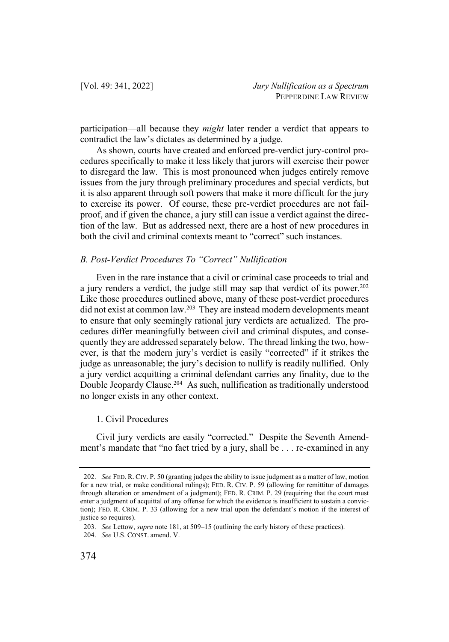participation—all because they *might* later render a verdict that appears to contradict the law's dictates as determined by a judge.

As shown, courts have created and enforced pre-verdict jury-control procedures specifically to make it less likely that jurors will exercise their power to disregard the law. This is most pronounced when judges entirely remove issues from the jury through preliminary procedures and special verdicts, but it is also apparent through soft powers that make it more difficult for the jury to exercise its power. Of course, these pre-verdict procedures are not failproof, and if given the chance, a jury still can issue a verdict against the direction of the law. But as addressed next, there are a host of new procedures in both the civil and criminal contexts meant to "correct" such instances.

# *B. Post-Verdict Procedures To "Correct" Nullification*

Even in the rare instance that a civil or criminal case proceeds to trial and a jury renders a verdict, the judge still may sap that verdict of its power.<sup>202</sup> Like those procedures outlined above, many of these post-verdict procedures did not exist at common law.<sup>203</sup> They are instead modern developments meant to ensure that only seemingly rational jury verdicts are actualized. The procedures differ meaningfully between civil and criminal disputes, and consequently they are addressed separately below. The thread linking the two, however, is that the modern jury's verdict is easily "corrected" if it strikes the judge as unreasonable; the jury's decision to nullify is readily nullified. Only a jury verdict acquitting a criminal defendant carries any finality, due to the Double Jeopardy Clause.<sup>204</sup> As such, nullification as traditionally understood no longer exists in any other context.

# 1. Civil Procedures

Civil jury verdicts are easily "corrected." Despite the Seventh Amendment's mandate that "no fact tried by a jury, shall be . . . re-examined in any

<sup>202.</sup> *See* FED. R. CIV. P. 50 (granting judges the ability to issue judgment as a matter of law, motion for a new trial, or make conditional rulings); FED. R. CIV. P. 59 (allowing for remittitur of damages through alteration or amendment of a judgment); FED. R. CRIM. P. 29 (requiring that the court must enter a judgment of acquittal of any offense for which the evidence is insufficient to sustain a conviction); FED. R. CRIM. P. 33 (allowing for a new trial upon the defendant's motion if the interest of justice so requires).

<sup>203.</sup> *See* Lettow, *supra* note 181, at 509–15 (outlining the early history of these practices).

<sup>204.</sup> *See* U.S. CONST. amend. V.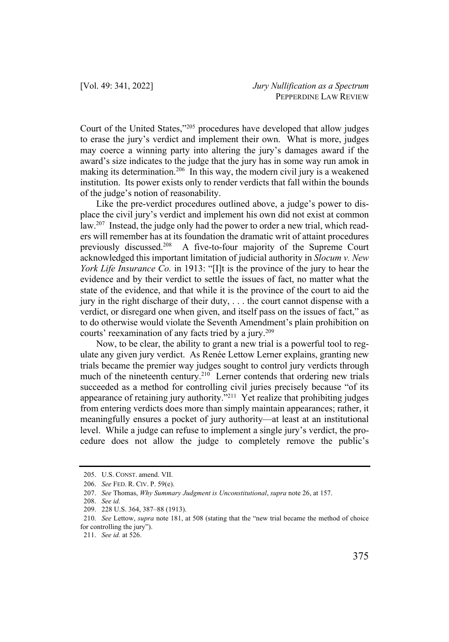Court of the United States,"205 procedures have developed that allow judges to erase the jury's verdict and implement their own. What is more, judges may coerce a winning party into altering the jury's damages award if the award's size indicates to the judge that the jury has in some way run amok in making its determination. <sup>206</sup> In this way, the modern civil jury is a weakened institution. Its power exists only to render verdicts that fall within the bounds of the judge's notion of reasonability.

Like the pre-verdict procedures outlined above, a judge's power to displace the civil jury's verdict and implement his own did not exist at common law.<sup>207</sup> Instead, the judge only had the power to order a new trial, which readers will remember has at its foundation the dramatic writ of attaint procedures previously discussed.208 A five-to-four majority of the Supreme Court acknowledged this important limitation of judicial authority in *Slocum v. New York Life Insurance Co.* in 1913: "[I]t is the province of the jury to hear the evidence and by their verdict to settle the issues of fact, no matter what the state of the evidence, and that while it is the province of the court to aid the jury in the right discharge of their duty, . . . the court cannot dispense with a verdict, or disregard one when given, and itself pass on the issues of fact," as to do otherwise would violate the Seventh Amendment's plain prohibition on courts' reexamination of any facts tried by a jury.<sup>209</sup>

Now, to be clear, the ability to grant a new trial is a powerful tool to regulate any given jury verdict. As Renée Lettow Lerner explains, granting new trials became the premier way judges sought to control jury verdicts through much of the nineteenth century.<sup>210</sup> Lerner contends that ordering new trials succeeded as a method for controlling civil juries precisely because "of its appearance of retaining jury authority."211 Yet realize that prohibiting judges from entering verdicts does more than simply maintain appearances; rather, it meaningfully ensures a pocket of jury authority—at least at an institutional level. While a judge can refuse to implement a single jury's verdict, the procedure does not allow the judge to completely remove the public's

<sup>205.</sup> U.S. CONST. amend. VII.

<sup>206.</sup> *See* FED. R. CIV. P. 59(e).

<sup>207.</sup> *See* Thomas, *Why Summary Judgment is Unconstitutional*, *supra* note 26, at 157.

<sup>208.</sup> *See id.*

<sup>209.</sup> 228 U.S. 364, 387–88 (1913).

<sup>210.</sup> *See* Lettow, *supra* note 181, at 508 (stating that the "new trial became the method of choice for controlling the jury").

<sup>211.</sup> *See id.* at 526.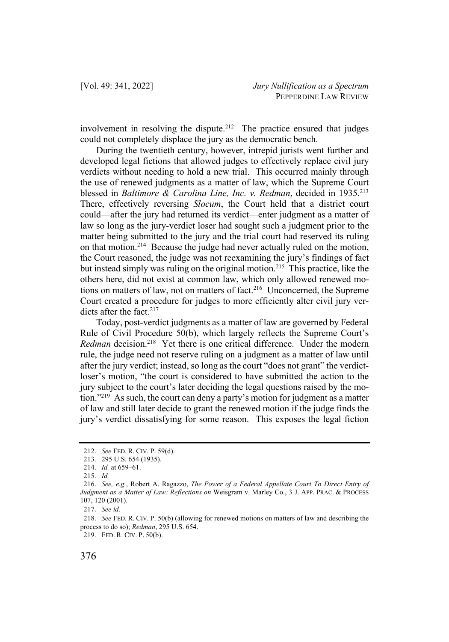involvement in resolving the dispute.<sup>212</sup> The practice ensured that judges could not completely displace the jury as the democratic bench.

During the twentieth century, however, intrepid jurists went further and developed legal fictions that allowed judges to effectively replace civil jury verdicts without needing to hold a new trial. This occurred mainly through the use of renewed judgments as a matter of law, which the Supreme Court blessed in *Baltimore & Carolina Line, Inc. v. Redman*, decided in 1935.<sup>213</sup> There, effectively reversing *Slocum*, the Court held that a district court could—after the jury had returned its verdict—enter judgment as a matter of law so long as the jury-verdict loser had sought such a judgment prior to the matter being submitted to the jury and the trial court had reserved its ruling on that motion.214 Because the judge had never actually ruled on the motion, the Court reasoned, the judge was not reexamining the jury's findings of fact but instead simply was ruling on the original motion.<sup>215</sup> This practice, like the others here, did not exist at common law, which only allowed renewed motions on matters of law, not on matters of fact.<sup>216</sup> Unconcerned, the Supreme Court created a procedure for judges to more efficiently alter civil jury verdicts after the fact. 217

Today, post-verdict judgments as a matter of law are governed by Federal Rule of Civil Procedure 50(b), which largely reflects the Supreme Court's *Redman* decision.<sup>218</sup> Yet there is one critical difference. Under the modern rule, the judge need not reserve ruling on a judgment as a matter of law until after the jury verdict; instead, so long as the court "does not grant" the verdictloser's motion, "the court is considered to have submitted the action to the jury subject to the court's later deciding the legal questions raised by the motion."219 As such, the court can deny a party's motion for judgment as a matter of law and still later decide to grant the renewed motion if the judge finds the jury's verdict dissatisfying for some reason. This exposes the legal fiction

<sup>212.</sup> *See* FED. R. CIV. P. 59(d).

<sup>213.</sup> 295 U.S. 654 (1935).

<sup>214.</sup> *Id.* at 659–61.

<sup>215.</sup> *Id.*

<sup>216.</sup> *See, e.g.*, Robert A. Ragazzo, *The Power of a Federal Appellate Court To Direct Entry of Judgment as a Matter of Law: Reflections on* Weisgram v. Marley Co., 3 J. APP. PRAC. & PROCESS 107, 120 (2001).

<sup>217.</sup> *See id.*

<sup>218.</sup> *See* FED. R. CIV. P. 50(b) (allowing for renewed motions on matters of law and describing the process to do so); *Redman*, 295 U.S. 654.

<sup>219.</sup> FED. R. CIV. P. 50(b).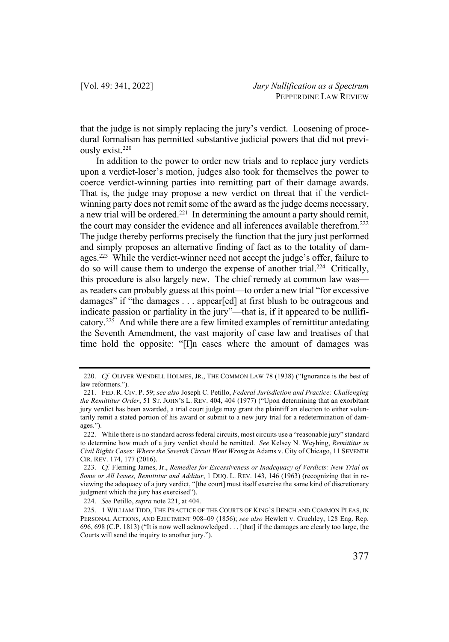that the judge is not simply replacing the jury's verdict. Loosening of procedural formalism has permitted substantive judicial powers that did not previously exist.220

In addition to the power to order new trials and to replace jury verdicts upon a verdict-loser's motion, judges also took for themselves the power to coerce verdict-winning parties into remitting part of their damage awards. That is, the judge may propose a new verdict on threat that if the verdictwinning party does not remit some of the award as the judge deems necessary, a new trial will be ordered.<sup>221</sup> In determining the amount a party should remit, the court may consider the evidence and all inferences available therefrom.222 The judge thereby performs precisely the function that the jury just performed and simply proposes an alternative finding of fact as to the totality of damages.<sup>223</sup> While the verdict-winner need not accept the judge's offer, failure to do so will cause them to undergo the expense of another trial.<sup>224</sup> Critically, this procedure is also largely new. The chief remedy at common law was as readers can probably guess at this point—to order a new trial "for excessive damages" if "the damages . . . appear[ed] at first blush to be outrageous and indicate passion or partiality in the jury"—that is, if it appeared to be nullificatory. <sup>225</sup> And while there are a few limited examples of remittitur antedating the Seventh Amendment, the vast majority of case law and treatises of that time hold the opposite: "[I]n cases where the amount of damages was

<sup>220.</sup> *Cf.* OLIVER WENDELL HOLMES, JR., THE COMMON LAW 78 (1938) ("Ignorance is the best of law reformers.").

<sup>221.</sup> FED. R. CIV. P. 59; *see also* Joseph C. Petillo, *Federal Jurisdiction and Practice: Challenging the Remittitur Order*, 51 ST. JOHN'S L. REV. 404, 404 (1977) ("Upon determining that an exorbitant jury verdict has been awarded, a trial court judge may grant the plaintiff an election to either voluntarily remit a stated portion of his award or submit to a new jury trial for a redetermination of damages.").

<sup>222.</sup> While there is no standard across federal circuits, most circuits use a "reasonable jury" standard to determine how much of a jury verdict should be remitted. *See* Kelsey N. Weyhing, *Remittitur in Civil Rights Cases: Where the Seventh Circuit Went Wrong in* Adams v. City of Chicago, 11 SEVENTH CIR. REV. 174, 177 (2016).

<sup>223.</sup> *Cf.* Fleming James, Jr., *Remedies for Excessiveness or Inadequacy of Verdicts: New Trial on Some or All Issues, Remittitur and Additur*, 1 DUQ. L. REV. 143, 146 (1963) (recognizing that in reviewing the adequacy of a jury verdict, "[the court] must itself exercise the same kind of discretionary judgment which the jury has exercised").

<sup>224.</sup> *See* Petillo, *supra* note 221, at 404.

<sup>225.</sup> 1 WILLIAM TIDD, THE PRACTICE OF THE COURTS OF KING'S BENCH AND COMMON PLEAS, IN PERSONAL ACTIONS, AND EJECTMENT 908–09 (1856); *see also* Hewlett v. Cruchley, 128 Eng. Rep. 696, 698 (C.P. 1813) ("It is now well acknowledged . . . [that] if the damages are clearly too large, the Courts will send the inquiry to another jury.").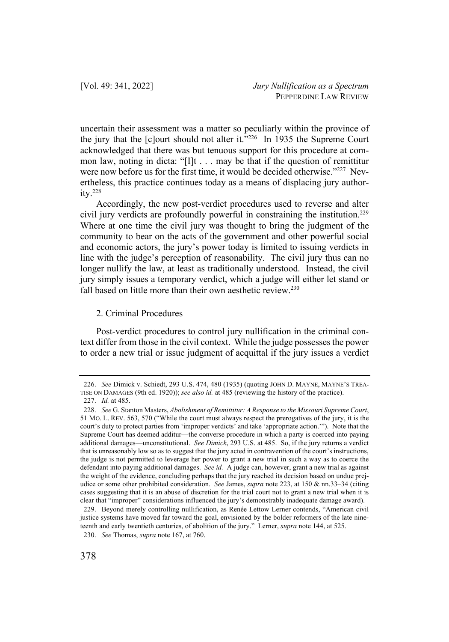uncertain their assessment was a matter so peculiarly within the province of the jury that the [c]ourt should not alter it."<sup>226</sup> In 1935 the Supreme Court acknowledged that there was but tenuous support for this procedure at common law, noting in dicta: "[I]t . . . may be that if the question of remittitur were now before us for the first time, it would be decided otherwise."<sup>227</sup> Nevertheless, this practice continues today as a means of displacing jury authority.228

Accordingly, the new post-verdict procedures used to reverse and alter civil jury verdicts are profoundly powerful in constraining the institution.229 Where at one time the civil jury was thought to bring the judgment of the community to bear on the acts of the government and other powerful social and economic actors, the jury's power today is limited to issuing verdicts in line with the judge's perception of reasonability. The civil jury thus can no longer nullify the law, at least as traditionally understood. Instead, the civil jury simply issues a temporary verdict, which a judge will either let stand or fall based on little more than their own aesthetic review.<sup>230</sup>

## 2. Criminal Procedures

Post-verdict procedures to control jury nullification in the criminal context differ from those in the civil context. While the judge possesses the power to order a new trial or issue judgment of acquittal if the jury issues a verdict

<sup>226.</sup> *See* Dimick v. Schiedt, 293 U.S. 474, 480 (1935) (quoting JOHN D. MAYNE, MAYNE'S TREA-TISE ON DAMAGES (9th ed. 1920)); *see also id.* at 485 (reviewing the history of the practice). 227. *Id.* at 485.

<sup>228.</sup> *See* G. Stanton Masters, *Abolishment of Remittitur: A Response to the Missouri Supreme Court*, 51 MO. L. REV. 563, 570 ("While the court must always respect the prerogatives of the jury, it is the court's duty to protect parties from 'improper verdicts' and take 'appropriate action.'"). Note that the Supreme Court has deemed additur—the converse procedure in which a party is coerced into paying additional damages—unconstitutional. *See Dimick*, 293 U.S. at 485. So, if the jury returns a verdict that is unreasonably low so as to suggest that the jury acted in contravention of the court's instructions, the judge is not permitted to leverage her power to grant a new trial in such a way as to coerce the defendant into paying additional damages. *See id.* A judge can, however, grant a new trial as against the weight of the evidence, concluding perhaps that the jury reached its decision based on undue prejudice or some other prohibited consideration. *See* James, *supra* note 223, at 150 & nn.33–34 (citing cases suggesting that it is an abuse of discretion for the trial court not to grant a new trial when it is clear that "improper" considerations influenced the jury's demonstrably inadequate damage award).

<sup>229.</sup> Beyond merely controlling nullification, as Renée Lettow Lerner contends, "American civil justice systems have moved far toward the goal, envisioned by the bolder reformers of the late nineteenth and early twentieth centuries, of abolition of the jury." Lerner, *supra* note 144, at 525. 230. *See* Thomas, *supra* note 167, at 760.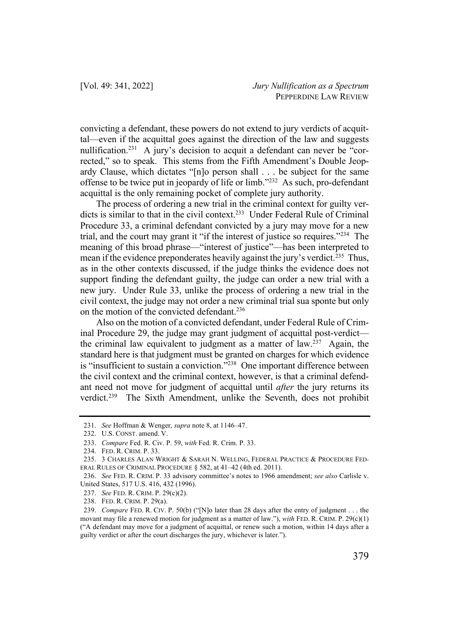convicting a defendant, these powers do not extend to jury verdicts of acquittal—even if the acquittal goes against the direction of the law and suggests nullification.<sup>231</sup> A jury's decision to acquit a defendant can never be "corrected," so to speak. This stems from the Fifth Amendment's Double Jeopardy Clause, which dictates "[n]o person shall . . . be subject for the same offense to be twice put in jeopardy of life or limb."232 As such, pro-defendant acquittal is the only remaining pocket of complete jury authority.

The process of ordering a new trial in the criminal context for guilty verdicts is similar to that in the civil context.<sup>233</sup> Under Federal Rule of Criminal Procedure 33, a criminal defendant convicted by a jury may move for a new trial, and the court may grant it "if the interest of justice so requires."234 The meaning of this broad phrase—"interest of justice"—has been interpreted to mean if the evidence preponderates heavily against the jury's verdict.<sup>235</sup> Thus, as in the other contexts discussed, if the judge thinks the evidence does not support finding the defendant guilty, the judge can order a new trial with a new jury. Under Rule 33, unlike the process of ordering a new trial in the civil context, the judge may not order a new criminal trial sua sponte but only on the motion of the convicted defendant.236

Also on the motion of a convicted defendant, under Federal Rule of Criminal Procedure 29, the judge may grant judgment of acquittal post-verdict the criminal law equivalent to judgment as a matter of law.<sup>237</sup> Again, the standard here is that judgment must be granted on charges for which evidence is "insufficient to sustain a conviction."238 One important difference between the civil context and the criminal context, however, is that a criminal defendant need not move for judgment of acquittal until *after* the jury returns its verdict.<sup>239</sup> The Sixth Amendment, unlike the Seventh, does not prohibit

<sup>231.</sup> *See* Hoffman & Wenger, *supra* note 8, at 1146–47.

<sup>232.</sup> U.S. CONST. amend. V.

<sup>233.</sup> *Compare* Fed. R. Civ. P. 59, *with* Fed. R. Crim. P. 33.

<sup>234.</sup> FED. R. CRIM. P. 33.

<sup>235.</sup> 3 CHARLES ALAN WRIGHT & SARAH N. WELLING, FEDERAL PRACTICE & PROCEDURE FED-ERAL RULES OF CRIMINAL PROCEDURE § 582, at 41–42 (4th ed. 2011).

<sup>236.</sup> *See* FED. R. CRIM. P. 33 advisory committee's notes to 1966 amendment; *see also* Carlisle v. United States, 517 U.S. 416, 432 (1996).

<sup>237.</sup> *See* FED. R. CRIM. P. 29(c)(2).

<sup>238.</sup> FED. R. CRIM. P. 29(a).

<sup>239.</sup> *Compare* FED. R. CIV. P. 50(b) ("[N]o later than 28 days after the entry of judgment . . . the movant may file a renewed motion for judgment as a matter of law."), *with* FED. R. CRIM. P. 29(c)(1) ("A defendant may move for a judgment of acquittal, or renew such a motion, within 14 days after a guilty verdict or after the court discharges the jury, whichever is later.").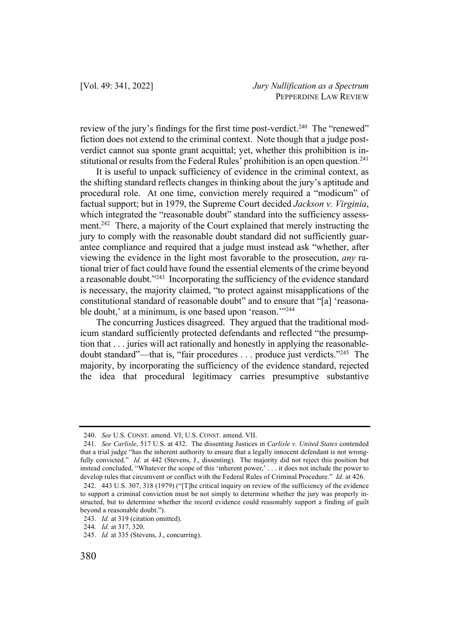review of the jury's findings for the first time post-verdict.<sup>240</sup> The "renewed" fiction does not extend to the criminal context. Note though that a judge postverdict cannot sua sponte grant acquittal; yet, whether this prohibition is institutional or results from the Federal Rules' prohibition is an open question.<sup>241</sup>

It is useful to unpack sufficiency of evidence in the criminal context, as the shifting standard reflects changes in thinking about the jury's aptitude and procedural role. At one time, conviction merely required a "modicum" of factual support; but in 1979, the Supreme Court decided *Jackson v. Virginia*, which integrated the "reasonable doubt" standard into the sufficiency assessment.<sup>242</sup> There, a majority of the Court explained that merely instructing the jury to comply with the reasonable doubt standard did not sufficiently guarantee compliance and required that a judge must instead ask "whether, after viewing the evidence in the light most favorable to the prosecution, *any* rational trier of fact could have found the essential elements of the crime beyond a reasonable doubt."<sup>243</sup> Incorporating the sufficiency of the evidence standard is necessary, the majority claimed, "to protect against misapplications of the constitutional standard of reasonable doubt" and to ensure that "[a] 'reasonable doubt,' at a minimum, is one based upon 'reason.'"<sup>244</sup>

The concurring Justices disagreed. They argued that the traditional modicum standard sufficiently protected defendants and reflected "the presumption that . . . juries will act rationally and honestly in applying the reasonabledoubt standard"—that is, "fair procedures . . . produce just verdicts."245 The majority, by incorporating the sufficiency of the evidence standard, rejected the idea that procedural legitimacy carries presumptive substantive

<sup>240.</sup> *See* U.S. CONST. amend. VI; U.S. CONST. amend. VII.

<sup>241.</sup> *See Carlisle*, 517 U.S. at 432. The dissenting Justices in *Carlisle v. United States* contended that a trial judge "has the inherent authority to ensure that a legally innocent defendant is not wrongfully convicted." *Id.* at 442 (Stevens, J., dissenting). The majority did not reject this position but instead concluded, "Whatever the scope of this 'inherent power,' . . . it does not include the power to develop rules that circumvent or conflict with the Federal Rules of Criminal Procedure." *Id.* at 426.

<sup>242.</sup> 443 U.S. 307, 318 (1979) ("[T]he critical inquiry on review of the sufficiency of the evidence to support a criminal conviction must be not simply to determine whether the jury was properly instructed, but to determine whether the record evidence could reasonably support a finding of guilt beyond a reasonable doubt.").

<sup>243.</sup> *Id.* at 319 (citation omitted).

<sup>244.</sup> *Id.* at 317, 320.

<sup>245.</sup> *Id.* at 335 (Stevens, J., concurring).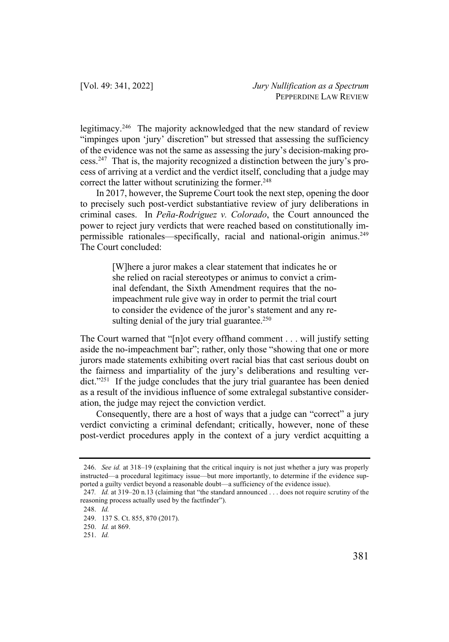legitimacy.246 The majority acknowledged that the new standard of review "impinges upon 'jury' discretion" but stressed that assessing the sufficiency of the evidence was not the same as assessing the jury's decision-making process.247 That is, the majority recognized a distinction between the jury's process of arriving at a verdict and the verdict itself, concluding that a judge may correct the latter without scrutinizing the former. $248$ 

In 2017, however, the Supreme Court took the next step, opening the door to precisely such post-verdict substantiative review of jury deliberations in criminal cases. In *Peña-Rodriguez v. Colorado*, the Court announced the power to reject jury verdicts that were reached based on constitutionally impermissible rationales—specifically, racial and national-origin animus.<sup>249</sup> The Court concluded:

> [W]here a juror makes a clear statement that indicates he or she relied on racial stereotypes or animus to convict a criminal defendant, the Sixth Amendment requires that the noimpeachment rule give way in order to permit the trial court to consider the evidence of the juror's statement and any resulting denial of the jury trial guarantee.<sup>250</sup>

The Court warned that "[n]ot every offhand comment . . . will justify setting aside the no-impeachment bar"; rather, only those "showing that one or more jurors made statements exhibiting overt racial bias that cast serious doubt on the fairness and impartiality of the jury's deliberations and resulting verdict."251 If the judge concludes that the jury trial guarantee has been denied as a result of the invidious influence of some extralegal substantive consideration, the judge may reject the conviction verdict.

Consequently, there are a host of ways that a judge can "correct" a jury verdict convicting a criminal defendant; critically, however, none of these post-verdict procedures apply in the context of a jury verdict acquitting a

<sup>246.</sup> *See id.* at 318–19 (explaining that the critical inquiry is not just whether a jury was properly instructed—a procedural legitimacy issue—but more importantly, to determine if the evidence supported a guilty verdict beyond a reasonable doubt—a sufficiency of the evidence issue).

<sup>247</sup>*. Id.* at 319–20 n.13 (claiming that "the standard announced . . . does not require scrutiny of the reasoning process actually used by the factfinder").

<sup>248.</sup> *Id.* 

<sup>249.</sup> 137 S. Ct. 855, 870 (2017).

<sup>250.</sup> *Id.* at 869.

<sup>251.</sup> *Id.*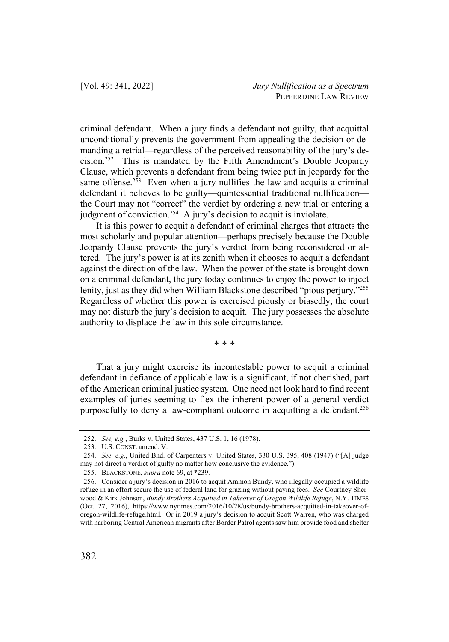criminal defendant. When a jury finds a defendant not guilty, that acquittal unconditionally prevents the government from appealing the decision or demanding a retrial—regardless of the perceived reasonability of the jury's decision.252 This is mandated by the Fifth Amendment's Double Jeopardy Clause, which prevents a defendant from being twice put in jeopardy for the same offense.<sup>253</sup> Even when a jury nullifies the law and acquits a criminal defendant it believes to be guilty—quintessential traditional nullification the Court may not "correct" the verdict by ordering a new trial or entering a judgment of conviction.<sup>254</sup> A jury's decision to acquit is inviolate.

It is this power to acquit a defendant of criminal charges that attracts the most scholarly and popular attention—perhaps precisely because the Double Jeopardy Clause prevents the jury's verdict from being reconsidered or altered. The jury's power is at its zenith when it chooses to acquit a defendant against the direction of the law. When the power of the state is brought down on a criminal defendant, the jury today continues to enjoy the power to inject lenity, just as they did when William Blackstone described "pious perjury."255 Regardless of whether this power is exercised piously or biasedly, the court may not disturb the jury's decision to acquit. The jury possesses the absolute authority to displace the law in this sole circumstance.

\* \* \*

That a jury might exercise its incontestable power to acquit a criminal defendant in defiance of applicable law is a significant, if not cherished, part of the American criminal justice system. One need not look hard to find recent examples of juries seeming to flex the inherent power of a general verdict purposefully to deny a law-compliant outcome in acquitting a defendant.<sup>256</sup>

<sup>252.</sup> *See, e.g.*, Burks v. United States, 437 U.S. 1, 16 (1978).

<sup>253.</sup> U.S. CONST. amend. V.

<sup>254.</sup> *See, e.g.*, United Bhd. of Carpenters v. United States, 330 U.S. 395, 408 (1947) ("[A] judge may not direct a verdict of guilty no matter how conclusive the evidence.").

<sup>255.</sup> BLACKSTONE, *supra* note 69, at \*239.

<sup>256.</sup> Consider a jury's decision in 2016 to acquit Ammon Bundy, who illegally occupied a wildlife refuge in an effort secure the use of federal land for grazing without paying fees. *See* Courtney Sherwood & Kirk Johnson, *Bundy Brothers Acquitted in Takeover of Oregon Wildlife Refuge*, N.Y. TIMES (Oct. 27, 2016), https://www.nytimes.com/2016/10/28/us/bundy-brothers-acquitted-in-takeover-oforegon-wildlife-refuge.html. Or in 2019 a jury's decision to acquit Scott Warren, who was charged with harboring Central American migrants after Border Patrol agents saw him provide food and shelter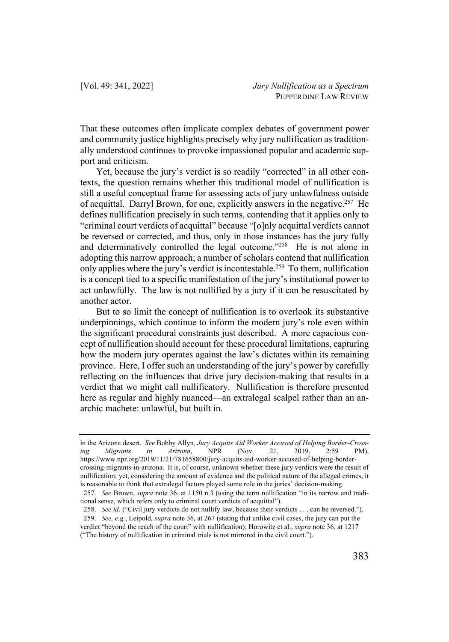That these outcomes often implicate complex debates of government power and community justice highlights precisely why jury nullification as traditionally understood continues to provoke impassioned popular and academic support and criticism.

Yet, because the jury's verdict is so readily "corrected" in all other contexts, the question remains whether this traditional model of nullification is still a useful conceptual frame for assessing acts of jury unlawfulness outside of acquittal. Darryl Brown, for one, explicitly answers in the negative.<sup>257</sup> He defines nullification precisely in such terms, contending that it applies only to "criminal court verdicts of acquittal" because "[o]nly acquittal verdicts cannot be reversed or corrected, and thus, only in those instances has the jury fully and determinatively controlled the legal outcome."<sup>258</sup> He is not alone in adopting this narrow approach; a number of scholars contend that nullification only applies where the jury's verdict is incontestable.<sup>259</sup> To them, nullification is a concept tied to a specific manifestation of the jury's institutional power to act unlawfully. The law is not nullified by a jury if it can be resuscitated by another actor.

But to so limit the concept of nullification is to overlook its substantive underpinnings, which continue to inform the modern jury's role even within the significant procedural constraints just described. A more capacious concept of nullification should account for these procedural limitations, capturing how the modern jury operates against the law's dictates within its remaining province. Here, I offer such an understanding of the jury's power by carefully reflecting on the influences that drive jury decision-making that results in a verdict that we might call nullificatory. Nullification is therefore presented here as regular and highly nuanced—an extralegal scalpel rather than an anarchic machete: unlawful, but built in.

in the Arizona desert. *See* Bobby Allyn, *Jury Acquits Aid Worker Accused of Helping Border-Crossing Migrants in Arizona*, NPR (Nov. 21, 2019, 2:59 PM), https://www.npr.org/2019/11/21/781658800/jury-acquits-aid-worker-accused-of-helping-bordercrossing-migrants-in-arizona. It is, of course, unknown whether these jury verdicts were the result of nullification; yet, considering the amount of evidence and the political nature of the alleged crimes, it is reasonable to think that extralegal factors played some role in the juries' decision-making.

<sup>257.</sup> *See* Brown, *supra* note 36, at 1150 n.3 (using the term nullification "in its narrow and traditional sense, which refers only to criminal court verdicts of acquittal").

<sup>258.</sup> *See id.* ("Civil jury verdicts do not nullify law, because their verdicts . . . can be reversed."). 259. *See, e.g.*, Leipold, *supra* note 36, at 267 (stating that unlike civil cases, the jury can put the verdict "beyond the reach of the court" with nullification); Horowitz et al., *supra* note 36, at 1217

<sup>(&</sup>quot;The history of nullification in criminal trials is not mirrored in the civil court.").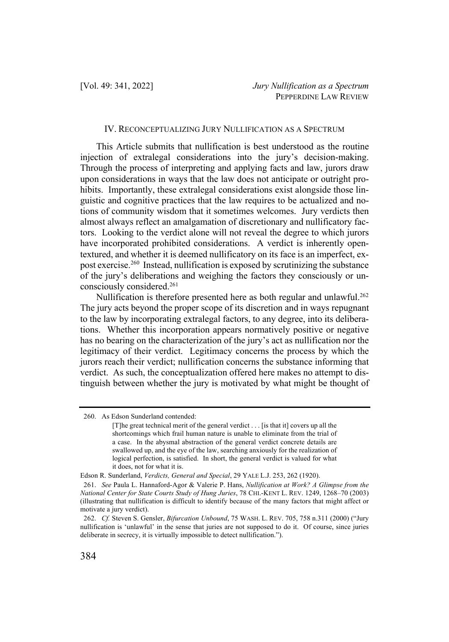## IV. RECONCEPTUALIZING JURY NULLIFICATION AS A SPECTRUM

This Article submits that nullification is best understood as the routine injection of extralegal considerations into the jury's decision-making. Through the process of interpreting and applying facts and law, jurors draw upon considerations in ways that the law does not anticipate or outright prohibits. Importantly, these extralegal considerations exist alongside those linguistic and cognitive practices that the law requires to be actualized and notions of community wisdom that it sometimes welcomes. Jury verdicts then almost always reflect an amalgamation of discretionary and nullificatory factors. Looking to the verdict alone will not reveal the degree to which jurors have incorporated prohibited considerations. A verdict is inherently opentextured, and whether it is deemed nullificatory on its face is an imperfect, expost exercise.260 Instead, nullification is exposed by scrutinizing the substance of the jury's deliberations and weighing the factors they consciously or unconsciously considered.261

Nullification is therefore presented here as both regular and unlawful.<sup>262</sup> The jury acts beyond the proper scope of its discretion and in ways repugnant to the law by incorporating extralegal factors, to any degree, into its deliberations. Whether this incorporation appears normatively positive or negative has no bearing on the characterization of the jury's act as nullification nor the legitimacy of their verdict. Legitimacy concerns the process by which the jurors reach their verdict; nullification concerns the substance informing that verdict. As such, the conceptualization offered here makes no attempt to distinguish between whether the jury is motivated by what might be thought of

<sup>260.</sup> As Edson Sunderland contended:

<sup>[</sup>T]he great technical merit of the general verdict . . . [is that it] covers up all the shortcomings which frail human nature is unable to eliminate from the trial of a case. In the abysmal abstraction of the general verdict concrete details are swallowed up, and the eye of the law, searching anxiously for the realization of logical perfection, is satisfied. In short, the general verdict is valued for what it does, not for what it is.

Edson R. Sunderland, *Verdicts, General and Special*, 29 YALE L.J. 253, 262 (1920).

<sup>261.</sup> *See* Paula L. Hannaford-Agor & Valerie P. Hans, *Nullification at Work? A Glimpse from the National Center for State Courts Study of Hung Juries*, 78 CHI.-KENT L. REV. 1249, 1268–70 (2003) (illustrating that nullification is difficult to identify because of the many factors that might affect or motivate a jury verdict).

<sup>262.</sup> *Cf.* Steven S. Gensler, *Bifurcation Unbound*, 75 WASH. L. REV. 705, 758 n.311 (2000) ("Jury nullification is 'unlawful' in the sense that juries are not supposed to do it. Of course, since juries deliberate in secrecy, it is virtually impossible to detect nullification.").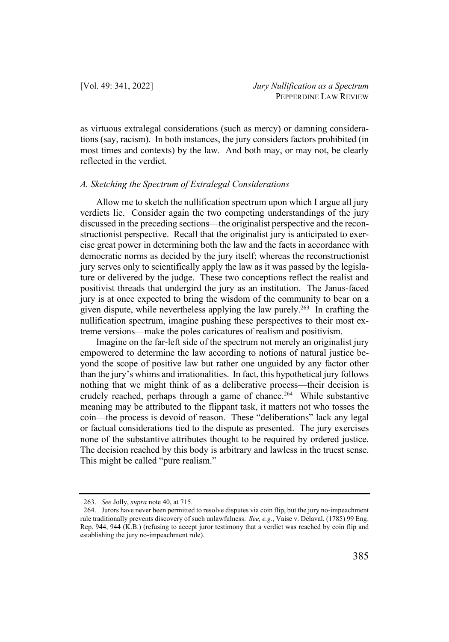as virtuous extralegal considerations (such as mercy) or damning considerations (say, racism). In both instances, the jury considers factors prohibited (in most times and contexts) by the law. And both may, or may not, be clearly reflected in the verdict.

### *A. Sketching the Spectrum of Extralegal Considerations*

Allow me to sketch the nullification spectrum upon which I argue all jury verdicts lie. Consider again the two competing understandings of the jury discussed in the preceding sections—the originalist perspective and the reconstructionist perspective. Recall that the originalist jury is anticipated to exercise great power in determining both the law and the facts in accordance with democratic norms as decided by the jury itself; whereas the reconstructionist jury serves only to scientifically apply the law as it was passed by the legislature or delivered by the judge. These two conceptions reflect the realist and positivist threads that undergird the jury as an institution. The Janus-faced jury is at once expected to bring the wisdom of the community to bear on a given dispute, while nevertheless applying the law purely.263 In crafting the nullification spectrum, imagine pushing these perspectives to their most extreme versions—make the poles caricatures of realism and positivism.

Imagine on the far-left side of the spectrum not merely an originalist jury empowered to determine the law according to notions of natural justice beyond the scope of positive law but rather one unguided by any factor other than the jury's whims and irrationalities. In fact, this hypothetical jury follows nothing that we might think of as a deliberative process—their decision is crudely reached, perhaps through a game of chance.<sup>264</sup> While substantive meaning may be attributed to the flippant task, it matters not who tosses the coin—the process is devoid of reason. These "deliberations" lack any legal or factual considerations tied to the dispute as presented. The jury exercises none of the substantive attributes thought to be required by ordered justice. The decision reached by this body is arbitrary and lawless in the truest sense. This might be called "pure realism."

<sup>263.</sup> *See* Jolly, *supra* note 40, at 715.

<sup>264.</sup> Jurors have never been permitted to resolve disputes via coin flip, but the jury no-impeachment rule traditionally prevents discovery of such unlawfulness. *See, e.g.*, Vaise v. Delaval, (1785) 99 Eng. Rep. 944, 944 (K.B.) (refusing to accept juror testimony that a verdict was reached by coin flip and establishing the jury no-impeachment rule).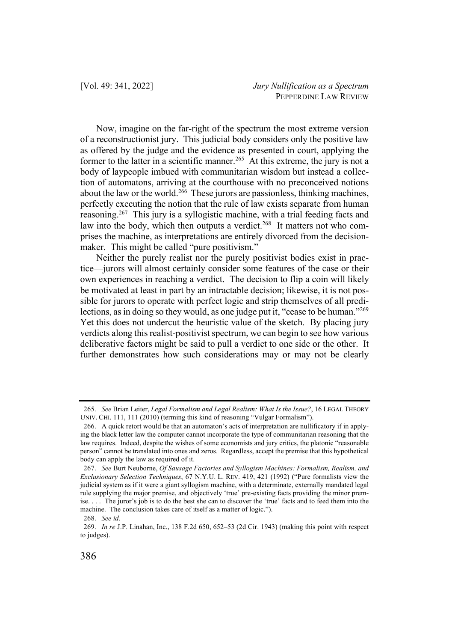Now, imagine on the far-right of the spectrum the most extreme version of a reconstructionist jury. This judicial body considers only the positive law as offered by the judge and the evidence as presented in court, applying the former to the latter in a scientific manner.<sup>265</sup> At this extreme, the jury is not a body of laypeople imbued with communitarian wisdom but instead a collection of automatons, arriving at the courthouse with no preconceived notions about the law or the world.<sup>266</sup> These jurors are passionless, thinking machines, perfectly executing the notion that the rule of law exists separate from human reasoning.<sup>267</sup> This jury is a syllogistic machine, with a trial feeding facts and law into the body, which then outputs a verdict.<sup>268</sup> It matters not who comprises the machine, as interpretations are entirely divorced from the decisionmaker. This might be called "pure positivism."

Neither the purely realist nor the purely positivist bodies exist in practice—jurors will almost certainly consider some features of the case or their own experiences in reaching a verdict. The decision to flip a coin will likely be motivated at least in part by an intractable decision; likewise, it is not possible for jurors to operate with perfect logic and strip themselves of all predilections, as in doing so they would, as one judge put it, "cease to be human."<sup>269</sup> Yet this does not undercut the heuristic value of the sketch. By placing jury verdicts along this realist-positivist spectrum, we can begin to see how various deliberative factors might be said to pull a verdict to one side or the other. It further demonstrates how such considerations may or may not be clearly

<sup>265.</sup> *See* Brian Leiter, *Legal Formalism and Legal Realism: What Is the Issue?*, 16 LEGAL THEORY UNIV. CHI. 111, 111 (2010) (terming this kind of reasoning "Vulgar Formalism").

<sup>266.</sup> A quick retort would be that an automaton's acts of interpretation are nullificatory if in applying the black letter law the computer cannot incorporate the type of communitarian reasoning that the law requires. Indeed, despite the wishes of some economists and jury critics, the platonic "reasonable person" cannot be translated into ones and zeros. Regardless, accept the premise that this hypothetical body can apply the law as required of it.

<sup>267.</sup> *See* Burt Neuborne, *Of Sausage Factories and Syllogism Machines: Formalism, Realism, and Exclusionary Selection Techniques*, 67 N.Y.U. L. REV. 419, 421 (1992) ("Pure formalists view the judicial system as if it were a giant syllogism machine, with a determinate, externally mandated legal rule supplying the major premise, and objectively 'true' pre-existing facts providing the minor premise. . . . The juror's job is to do the best she can to discover the 'true' facts and to feed them into the machine. The conclusion takes care of itself as a matter of logic.").

<sup>268.</sup> *See id.*

<sup>269.</sup> *In re* J.P. Linahan, Inc., 138 F.2d 650, 652–53 (2d Cir. 1943) (making this point with respect to judges).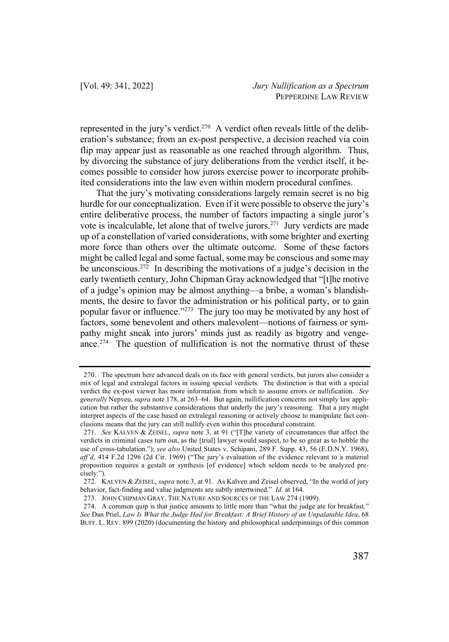represented in the jury's verdict.270 A verdict often reveals little of the deliberation's substance; from an ex-post perspective, a decision reached via coin flip may appear just as reasonable as one reached through algorithm. Thus, by divorcing the substance of jury deliberations from the verdict itself, it becomes possible to consider how jurors exercise power to incorporate prohibited considerations into the law even within modern procedural confines.

That the jury's motivating considerations largely remain secret is no big hurdle for our conceptualization. Even if it were possible to observe the jury's entire deliberative process, the number of factors impacting a single juror's vote is incalculable, let alone that of twelve jurors.<sup>271</sup> Jury verdicts are made up of a constellation of varied considerations, with some brighter and exerting more force than others over the ultimate outcome. Some of these factors might be called legal and some factual, some may be conscious and some may be unconscious.272 In describing the motivations of a judge's decision in the early twentieth century, John Chipman Gray acknowledged that "[t]he motive of a judge's opinion may be almost anything—a bribe, a woman's blandishments, the desire to favor the administration or his political party, or to gain popular favor or influence."273 The jury too may be motivated by any host of factors, some benevolent and others malevolent—notions of fairness or sympathy might sneak into jurors' minds just as readily as bigotry and vengeance.<sup>274</sup> The question of nullification is not the normative thrust of these

<sup>270.</sup> The spectrum here advanced deals on its face with general verdicts, but jurors also consider a mix of legal and extralegal factors in issuing special verdicts. The distinction is that with a special verdict the ex-post viewer has more information from which to assume errors or nullification. *See generally* Nepveu, *supra* note 178, at 263–64. But again, nullification concerns not simply law application but rather the substantive considerations that underly the jury's reasoning. That a jury might interpret aspects of the case based on extralegal reasoning or actively choose to manipulate fact conclusions means that the jury can still nullify even within this procedural constraint.

<sup>271.</sup> *See* KALVEN & ZEISEL, *supra* note 3, at 91 ("[T]he variety of circumstances that affect the verdicts in criminal cases turn out, as the [trial] lawyer would suspect, to be so great as to hobble the use of cross-tabulation."); *see also* United States v. Schipani, 289 F. Supp. 43, 56 (E.D.N.Y. 1968), *aff'd*, 414 F.2d 1296 (2d Cir. 1969) ("The jury's evaluation of the evidence relevant to a material proposition requires a gestalt or synthesis [of evidence] which seldom needs to be analyzed precisely.").

<sup>272.</sup> KALVEN & ZEISEL, *supra* note 3, at 91. As Kalven and Zeisel observed, "In the world of jury behavior, fact-finding and value judgments are subtly intertwined." *Id.* at 164.

<sup>273.</sup> JOHN CHIPMAN GRAY, THE NATURE AND SOURCES OF THE LAW 274 (1909).

<sup>274.</sup> A common quip is that justice amounts to little more than "what the judge ate for breakfast." *See* Dan Priel, *Law Is What the Judge Had for Breakfast: A Brief History of an Unpalatable Idea*, 68 BUFF. L. REV. 899 (2020) (documenting the history and philosophical underpinnings of this common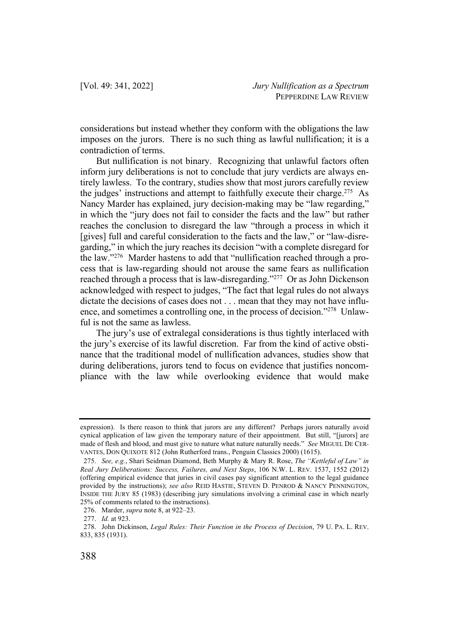considerations but instead whether they conform with the obligations the law imposes on the jurors. There is no such thing as lawful nullification; it is a contradiction of terms.

But nullification is not binary. Recognizing that unlawful factors often inform jury deliberations is not to conclude that jury verdicts are always entirely lawless. To the contrary, studies show that most jurors carefully review the judges' instructions and attempt to faithfully execute their charge.<sup>275</sup> As Nancy Marder has explained, jury decision-making may be "law regarding," in which the "jury does not fail to consider the facts and the law" but rather reaches the conclusion to disregard the law "through a process in which it [gives] full and careful consideration to the facts and the law," or "law-disregarding," in which the jury reaches its decision "with a complete disregard for the law."276 Marder hastens to add that "nullification reached through a process that is law-regarding should not arouse the same fears as nullification reached through a process that is law-disregarding."<sup>277</sup> Or as John Dickenson acknowledged with respect to judges, "The fact that legal rules do not always dictate the decisions of cases does not . . . mean that they may not have influence, and sometimes a controlling one, in the process of decision."278 Unlawful is not the same as lawless.

The jury's use of extralegal considerations is thus tightly interlaced with the jury's exercise of its lawful discretion. Far from the kind of active obstinance that the traditional model of nullification advances, studies show that during deliberations, jurors tend to focus on evidence that justifies noncompliance with the law while overlooking evidence that would make

expression). Is there reason to think that jurors are any different? Perhaps jurors naturally avoid cynical application of law given the temporary nature of their appointment. But still, "[jurors] are made of flesh and blood, and must give to nature what nature naturally needs." *See* MIGUEL DE CER-VANTES, DON QUIXOTE 812 (John Rutherford trans., Penguin Classics 2000) (1615).

<sup>275.</sup> *See, e.g.*, Shari Seidman Diamond, Beth Murphy & Mary R. Rose, *The "Kettleful of Law" in Real Jury Deliberations: Success, Failures, and Next Steps*, 106 N.W. L. REV. 1537, 1552 (2012) (offering empirical evidence that juries in civil cases pay significant attention to the legal guidance provided by the instructions); *see also* REID HASTIE, STEVEN D. PENROD & NANCY PENNINGTON, INSIDE THE JURY 85 (1983) (describing jury simulations involving a criminal case in which nearly 25% of comments related to the instructions).

<sup>276.</sup> Marder, *supra* note 8, at 922–23.

<sup>277.</sup> *Id.* at 923.

<sup>278.</sup> John Dickinson, *Legal Rules: Their Function in the Process of Decision*, 79 U. PA. L. REV. 833, 835 (1931).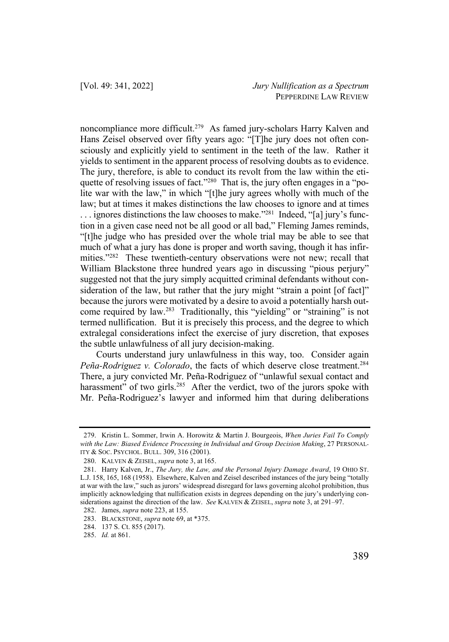noncompliance more difficult.279 As famed jury-scholars Harry Kalven and Hans Zeisel observed over fifty years ago: "[T]he jury does not often consciously and explicitly yield to sentiment in the teeth of the law. Rather it yields to sentiment in the apparent process of resolving doubts as to evidence. The jury, therefore, is able to conduct its revolt from the law within the etiquette of resolving issues of fact."<sup>280</sup> That is, the jury often engages in a "polite war with the law," in which "[t]he jury agrees wholly with much of the law; but at times it makes distinctions the law chooses to ignore and at times  $\ldots$  ignores distinctions the law chooses to make."<sup>281</sup> Indeed, "[a] jury's function in a given case need not be all good or all bad," Fleming James reminds, "[t]he judge who has presided over the whole trial may be able to see that much of what a jury has done is proper and worth saving, though it has infirmities."<sup>282</sup> These twentieth-century observations were not new; recall that William Blackstone three hundred years ago in discussing "pious perjury" suggested not that the jury simply acquitted criminal defendants without consideration of the law, but rather that the jury might "strain a point [of fact]" because the jurors were motivated by a desire to avoid a potentially harsh outcome required by law.283 Traditionally, this "yielding" or "straining" is not termed nullification. But it is precisely this process, and the degree to which extralegal considerations infect the exercise of jury discretion, that exposes the subtle unlawfulness of all jury decision-making.

Courts understand jury unlawfulness in this way, too. Consider again Peña-Rodriguez v. Colorado, the facts of which deserve close treatment.<sup>284</sup> There, a jury convicted Mr. Peña-Rodriguez of "unlawful sexual contact and harassment" of two girls.<sup>285</sup> After the verdict, two of the jurors spoke with Mr. Peña-Rodriguez's lawyer and informed him that during deliberations

<sup>279.</sup> Kristin L. Sommer, Irwin A. Horowitz & Martin J. Bourgeois, *When Juries Fail To Comply with the Law: Biased Evidence Processing in Individual and Group Decision Making*, 27 PERSONAL-ITY & SOC. PSYCHOL. BULL. 309, 316 (2001).

<sup>280.</sup> KALVEN & ZEISEL, *supra* note 3, at 165.

<sup>281.</sup> Harry Kalven, Jr., *The Jury, the Law, and the Personal Injury Damage Award*, 19 OHIO ST. L.J. 158, 165, 168 (1958). Elsewhere, Kalven and Zeisel described instances of the jury being "totally at war with the law," such as jurors' widespread disregard for laws governing alcohol prohibition, thus implicitly acknowledging that nullification exists in degrees depending on the jury's underlying considerations against the direction of the law. *See* KALVEN & ZEISEL, *supra* note 3, at 291–97.

<sup>282.</sup> James, *supra* note 223, at 155.

<sup>283.</sup> BLACKSTONE, *supra* note 69, at \*375.

<sup>284.</sup> 137 S. Ct. 855 (2017).

<sup>285.</sup> *Id.* at 861.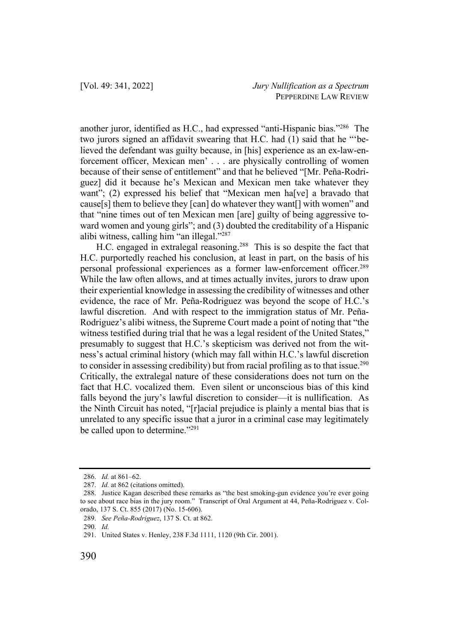another juror, identified as H.C., had expressed "anti-Hispanic bias."286 The two jurors signed an affidavit swearing that H.C. had (1) said that he "'believed the defendant was guilty because, in [his] experience as an ex-law-enforcement officer, Mexican men' . . . are physically controlling of women because of their sense of entitlement" and that he believed "[Mr. Peña-Rodriguez] did it because he's Mexican and Mexican men take whatever they want"; (2) expressed his belief that "Mexican men ha<sup>[</sup>ve] a bravado that cause[s] them to believe they [can] do whatever they want[] with women" and that "nine times out of ten Mexican men [are] guilty of being aggressive toward women and young girls"; and (3) doubted the creditability of a Hispanic alibi witness, calling him "an illegal."287

H.C. engaged in extralegal reasoning.288 This is so despite the fact that H.C. purportedly reached his conclusion, at least in part, on the basis of his personal professional experiences as a former law-enforcement officer.289 While the law often allows, and at times actually invites, jurors to draw upon their experiential knowledge in assessing the credibility of witnesses and other evidence, the race of Mr. Peña-Rodriguez was beyond the scope of H.C.'s lawful discretion. And with respect to the immigration status of Mr. Peña-Rodriguez's alibi witness, the Supreme Court made a point of noting that "the witness testified during trial that he was a legal resident of the United States," presumably to suggest that H.C.'s skepticism was derived not from the witness's actual criminal history (which may fall within H.C.'s lawful discretion to consider in assessing credibility) but from racial profiling as to that issue.<sup>290</sup> Critically, the extralegal nature of these considerations does not turn on the fact that H.C. vocalized them. Even silent or unconscious bias of this kind falls beyond the jury's lawful discretion to consider—it is nullification. As the Ninth Circuit has noted, "[r]acial prejudice is plainly a mental bias that is unrelated to any specific issue that a juror in a criminal case may legitimately be called upon to determine."<sup>291</sup>

<sup>286.</sup> *Id.* at 861–62.

<sup>287.</sup> *Id.* at 862 (citations omitted).

<sup>288.</sup> Justice Kagan described these remarks as "the best smoking-gun evidence you're ever going to see about race bias in the jury room." Transcript of Oral Argument at 44, Peña-Rodriguez v. Colorado, 137 S. Ct. 855 (2017) (No. 15-606).

<sup>289.</sup> *See Peña-Rodriguez*, 137 S. Ct. at 862.

<sup>290.</sup> *Id.*

<sup>291.</sup> United States v. Henley, 238 F.3d 1111, 1120 (9th Cir. 2001).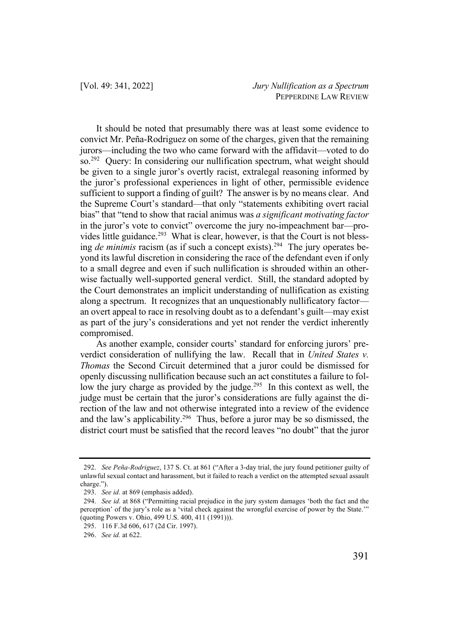It should be noted that presumably there was at least some evidence to convict Mr. Peña-Rodriguez on some of the charges, given that the remaining jurors—including the two who came forward with the affidavit—voted to do so.<sup>292</sup> Query: In considering our nullification spectrum, what weight should be given to a single juror's overtly racist, extralegal reasoning informed by the juror's professional experiences in light of other, permissible evidence sufficient to support a finding of guilt? The answer is by no means clear. And the Supreme Court's standard—that only "statements exhibiting overt racial bias" that "tend to show that racial animus was *a significant motivating factor* in the juror's vote to convict" overcome the jury no-impeachment bar—provides little guidance.<sup>293</sup> What is clear, however, is that the Court is not blessing *de minimis* racism (as if such a concept exists). 294 The jury operates beyond its lawful discretion in considering the race of the defendant even if only to a small degree and even if such nullification is shrouded within an otherwise factually well-supported general verdict. Still, the standard adopted by the Court demonstrates an implicit understanding of nullification as existing along a spectrum. It recognizes that an unquestionably nullificatory factor an overt appeal to race in resolving doubt as to a defendant's guilt—may exist as part of the jury's considerations and yet not render the verdict inherently compromised.

As another example, consider courts' standard for enforcing jurors' preverdict consideration of nullifying the law. Recall that in *United States v. Thomas* the Second Circuit determined that a juror could be dismissed for openly discussing nullification because such an act constitutes a failure to follow the jury charge as provided by the judge.<sup>295</sup> In this context as well, the judge must be certain that the juror's considerations are fully against the direction of the law and not otherwise integrated into a review of the evidence and the law's applicability.<sup>296</sup> Thus, before a juror may be so dismissed, the district court must be satisfied that the record leaves "no doubt" that the juror

<sup>292.</sup> *See Peña-Rodriguez*, 137 S. Ct. at 861 ("After a 3-day trial, the jury found petitioner guilty of unlawful sexual contact and harassment, but it failed to reach a verdict on the attempted sexual assault charge.").

<sup>293.</sup> *See id.* at 869 (emphasis added).

<sup>294.</sup> *See id.* at 868 ("Permitting racial prejudice in the jury system damages 'both the fact and the perception' of the jury's role as a 'vital check against the wrongful exercise of power by the State.'" (quoting Powers v. Ohio, 499 U.S. 400, 411 (1991))).

<sup>295.</sup> 116 F.3d 606, 617 (2d Cir. 1997).

<sup>296.</sup> *See id.* at 622.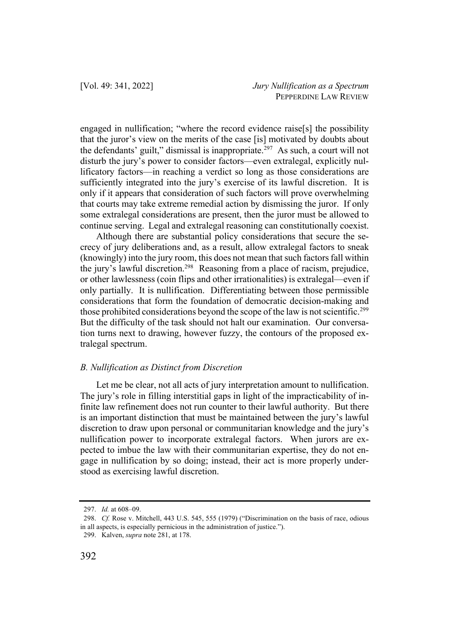engaged in nullification; "where the record evidence raise[s] the possibility that the juror's view on the merits of the case [is] motivated by doubts about the defendants' guilt," dismissal is inappropriate. $297$  As such, a court will not disturb the jury's power to consider factors—even extralegal, explicitly nullificatory factors—in reaching a verdict so long as those considerations are sufficiently integrated into the jury's exercise of its lawful discretion. It is only if it appears that consideration of such factors will prove overwhelming that courts may take extreme remedial action by dismissing the juror. If only some extralegal considerations are present, then the juror must be allowed to continue serving. Legal and extralegal reasoning can constitutionally coexist.

Although there are substantial policy considerations that secure the secrecy of jury deliberations and, as a result, allow extralegal factors to sneak (knowingly) into the jury room, this does not mean that such factors fall within the jury's lawful discretion.<sup>298</sup> Reasoning from a place of racism, prejudice, or other lawlessness (coin flips and other irrationalities) is extralegal—even if only partially. It is nullification. Differentiating between those permissible considerations that form the foundation of democratic decision-making and those prohibited considerations beyond the scope of the law is not scientific.<sup>299</sup> But the difficulty of the task should not halt our examination. Our conversation turns next to drawing, however fuzzy, the contours of the proposed extralegal spectrum.

#### *B. Nullification as Distinct from Discretion*

Let me be clear, not all acts of jury interpretation amount to nullification. The jury's role in filling interstitial gaps in light of the impracticability of infinite law refinement does not run counter to their lawful authority. But there is an important distinction that must be maintained between the jury's lawful discretion to draw upon personal or communitarian knowledge and the jury's nullification power to incorporate extralegal factors. When jurors are expected to imbue the law with their communitarian expertise, they do not engage in nullification by so doing; instead, their act is more properly understood as exercising lawful discretion.

<sup>297.</sup> *Id.* at 608–09.

<sup>298.</sup> *Cf.* Rose v. Mitchell, 443 U.S. 545, 555 (1979) ("Discrimination on the basis of race, odious in all aspects, is especially pernicious in the administration of justice.").

<sup>299.</sup> Kalven, *supra* note 281, at 178.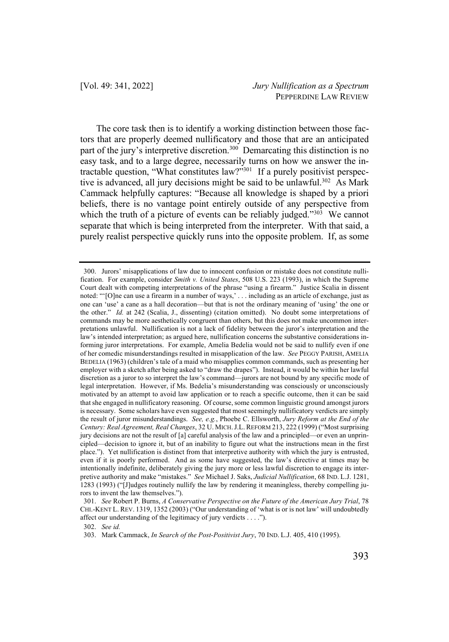The core task then is to identify a working distinction between those factors that are properly deemed nullificatory and those that are an anticipated part of the jury's interpretive discretion.<sup>300</sup> Demarcating this distinction is no easy task, and to a large degree, necessarily turns on how we answer the intractable question, "What constitutes law?"301 If a purely positivist perspective is advanced, all jury decisions might be said to be unlawful.<sup>302</sup> As Mark Cammack helpfully captures: "Because all knowledge is shaped by a priori beliefs, there is no vantage point entirely outside of any perspective from which the truth of a picture of events can be reliably judged."<sup>303</sup> We cannot separate that which is being interpreted from the interpreter. With that said, a purely realist perspective quickly runs into the opposite problem. If, as some

<sup>300.</sup> Jurors' misapplications of law due to innocent confusion or mistake does not constitute nullification. For example, consider *Smith v. United States*, 508 U.S. 223 (1993), in which the Supreme Court dealt with competing interpretations of the phrase "using a firearm." Justice Scalia in dissent noted: "'[O]ne can use a firearm in a number of ways,' . . . including as an article of exchange, just as one can 'use' a cane as a hall decoration—but that is not the ordinary meaning of 'using' the one or the other." *Id.* at 242 (Scalia, J., dissenting) (citation omitted). No doubt some interpretations of commands may be more aesthetically congruent than others, but this does not make uncommon interpretations unlawful. Nullification is not a lack of fidelity between the juror's interpretation and the law's intended interpretation; as argued here, nullification concerns the substantive considerations informing juror interpretations. For example, Amelia Bedelia would not be said to nullify even if one of her comedic misunderstandings resulted in misapplication of the law. *See* PEGGY PARISH, AMELIA BEDELIA (1963) (children's tale of a maid who misapplies common commands, such as presenting her employer with a sketch after being asked to "draw the drapes"). Instead, it would be within her lawful discretion as a juror to so interpret the law's command—jurors are not bound by any specific mode of legal interpretation. However, if Ms. Bedelia's misunderstanding was consciously or unconsciously motivated by an attempt to avoid law application or to reach a specific outcome, then it can be said that she engaged in nullificatory reasoning. Of course, some common linguistic ground amongst jurors is necessary. Some scholars have even suggested that most seemingly nullificatory verdicts are simply the result of juror misunderstandings. *See, e.g.*, Phoebe C. Ellsworth, *Jury Reform at the End of the Century: Real Agreement, Real Changes*, 32 U. MICH.J.L. REFORM 213, 222 (1999) ("Most surprising jury decisions are not the result of [a] careful analysis of the law and a principled—or even an unprincipled—decision to ignore it, but of an inability to figure out what the instructions mean in the first place."). Yet nullification is distinct from that interpretive authority with which the jury is entrusted, even if it is poorly performed. And as some have suggested, the law's directive at times may be intentionally indefinite, deliberately giving the jury more or less lawful discretion to engage its interpretive authority and make "mistakes." *See* Michael J. Saks, *Judicial Nullification*, 68 IND. L.J. 1281, 1283 (1993) ("[J]udges routinely nullify the law by rendering it meaningless, thereby compelling jurors to invent the law themselves.").

<sup>301.</sup> *See* Robert P. Burns, *A Conservative Perspective on the Future of the American Jury Trial*, 78 CHI.-KENT L. REV. 1319, 1352 (2003) ("Our understanding of 'what is or is not law' will undoubtedly affect our understanding of the legitimacy of jury verdicts . . . .").

<sup>302.</sup> *See id.* 

<sup>303.</sup> Mark Cammack, *In Search of the Post-Positivist Jury*, 70 IND. L.J. 405, 410 (1995).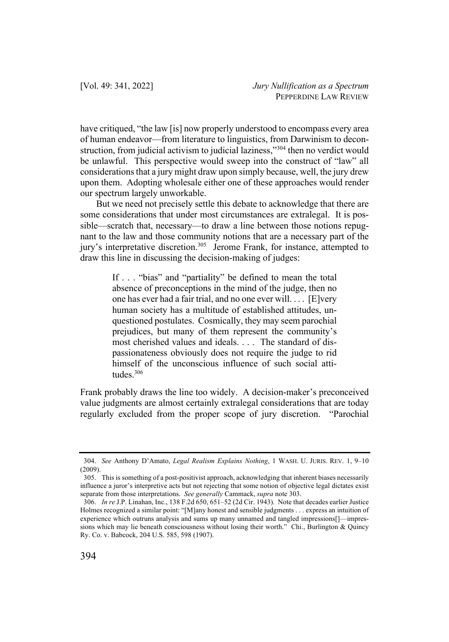have critiqued, "the law [is] now properly understood to encompass every area of human endeavor—from literature to linguistics, from Darwinism to deconstruction, from judicial activism to judicial laziness,"<sup>304</sup> then no verdict would be unlawful. This perspective would sweep into the construct of "law" all considerations that a jury might draw upon simply because, well, the jury drew upon them. Adopting wholesale either one of these approaches would render our spectrum largely unworkable.

But we need not precisely settle this debate to acknowledge that there are some considerations that under most circumstances are extralegal. It is possible—scratch that, necessary—to draw a line between those notions repugnant to the law and those community notions that are a necessary part of the jury's interpretative discretion.<sup>305</sup> Jerome Frank, for instance, attempted to draw this line in discussing the decision-making of judges:

> If . . . "bias" and "partiality" be defined to mean the total absence of preconceptions in the mind of the judge, then no one has ever had a fair trial, and no one ever will. . . . [E]very human society has a multitude of established attitudes, unquestioned postulates. Cosmically, they may seem parochial prejudices, but many of them represent the community's most cherished values and ideals. . . . The standard of dispassionateness obviously does not require the judge to rid himself of the unconscious influence of such social attitudes.306

Frank probably draws the line too widely. A decision-maker's preconceived value judgments are almost certainly extralegal considerations that are today regularly excluded from the proper scope of jury discretion. "Parochial

<sup>304.</sup> *See* Anthony D'Amato, *Legal Realism Explains Nothing*, 1 WASH. U. JURIS. REV. 1, 9–10 (2009).

<sup>305.</sup> This is something of a post-positivist approach, acknowledging that inherent biases necessarily influence a juror's interpretive acts but not rejecting that some notion of objective legal dictates exist separate from those interpretations. *See generally* Cammack, *supra* note 303.

<sup>306.</sup> *In re* J.P. Linahan, Inc., 138 F.2d 650, 651–52 (2d Cir. 1943). Note that decades earlier Justice Holmes recognized a similar point: "[M]any honest and sensible judgments . . . express an intuition of experience which outruns analysis and sums up many unnamed and tangled impressions[]—impressions which may lie beneath consciousness without losing their worth." Chi., Burlington & Quincy Ry. Co. v. Babcock, 204 U.S. 585, 598 (1907).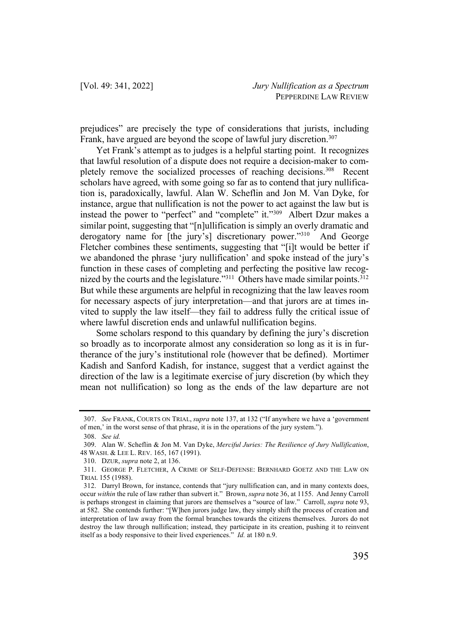prejudices" are precisely the type of considerations that jurists, including Frank, have argued are beyond the scope of lawful jury discretion.<sup>307</sup>

Yet Frank's attempt as to judges is a helpful starting point. It recognizes that lawful resolution of a dispute does not require a decision-maker to completely remove the socialized processes of reaching decisions.<sup>308</sup> Recent scholars have agreed, with some going so far as to contend that jury nullification is, paradoxically, lawful. Alan W. Scheflin and Jon M. Van Dyke, for instance, argue that nullification is not the power to act against the law but is instead the power to "perfect" and "complete" it."<sup>309</sup> Albert Dzur makes a similar point, suggesting that "[n]ullification is simply an overly dramatic and derogatory name for [the jury's] discretionary power."<sup>310</sup> And George Fletcher combines these sentiments, suggesting that "[i]t would be better if we abandoned the phrase 'jury nullification' and spoke instead of the jury's function in these cases of completing and perfecting the positive law recognized by the courts and the legislature."<sup>311</sup> Others have made similar points. $312$ But while these arguments are helpful in recognizing that the law leaves room for necessary aspects of jury interpretation—and that jurors are at times invited to supply the law itself—they fail to address fully the critical issue of where lawful discretion ends and unlawful nullification begins.

Some scholars respond to this quandary by defining the jury's discretion so broadly as to incorporate almost any consideration so long as it is in furtherance of the jury's institutional role (however that be defined). Mortimer Kadish and Sanford Kadish, for instance, suggest that a verdict against the direction of the law is a legitimate exercise of jury discretion (by which they mean not nullification) so long as the ends of the law departure are not

<sup>307.</sup> *See* FRANK, COURTS ON TRIAL, *supra* note 137, at 132 ("If anywhere we have a 'government of men,' in the worst sense of that phrase, it is in the operations of the jury system.").

<sup>308.</sup> *See id.*

<sup>309.</sup> Alan W. Scheflin & Jon M. Van Dyke, *Merciful Juries: The Resilience of Jury Nullification*, 48 WASH. & LEE L. REV. 165, 167 (1991).

<sup>310.</sup> DZUR, *supra* note 2, at 136.

<sup>311.</sup> GEORGE P. FLETCHER, A CRIME OF SELF-DEFENSE: BERNHARD GOETZ AND THE LAW ON TRIAL 155 (1988).

<sup>312.</sup> Darryl Brown, for instance, contends that "jury nullification can, and in many contexts does, occur *within* the rule of law rather than subvert it." Brown, *supra* note 36, at 1155. And Jenny Carroll is perhaps strongest in claiming that jurors are themselves a "source of law." Carroll, *supra* note 93, at 582. She contends further: "[W]hen jurors judge law, they simply shift the process of creation and interpretation of law away from the formal branches towards the citizens themselves. Jurors do not destroy the law through nullification; instead, they participate in its creation, pushing it to reinvent itself as a body responsive to their lived experiences." *Id.* at 180 n.9.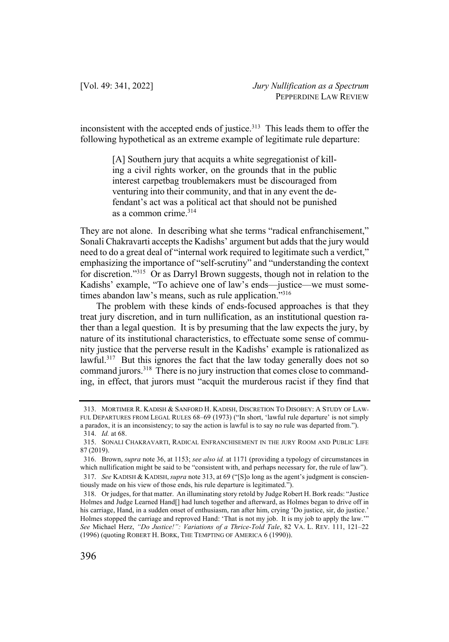inconsistent with the accepted ends of justice.<sup>313</sup> This leads them to offer the following hypothetical as an extreme example of legitimate rule departure:

> [A] Southern jury that acquits a white segregationist of killing a civil rights worker, on the grounds that in the public interest carpetbag troublemakers must be discouraged from venturing into their community, and that in any event the defendant's act was a political act that should not be punished as a common crime.<sup>314</sup>

They are not alone. In describing what she terms "radical enfranchisement," Sonali Chakravarti accepts the Kadishs' argument but adds that the jury would need to do a great deal of "internal work required to legitimate such a verdict," emphasizing the importance of "self-scrutiny" and "understanding the context for discretion."315 Or as Darryl Brown suggests, though not in relation to the Kadishs' example, "To achieve one of law's ends—justice—we must sometimes abandon law's means, such as rule application."<sup>316</sup>

The problem with these kinds of ends-focused approaches is that they treat jury discretion, and in turn nullification, as an institutional question rather than a legal question. It is by presuming that the law expects the jury, by nature of its institutional characteristics, to effectuate some sense of community justice that the perverse result in the Kadishs' example is rationalized as lawful.<sup>317</sup> But this ignores the fact that the law today generally does not so command jurors.318 There is no jury instruction that comes close to commanding, in effect, that jurors must "acquit the murderous racist if they find that

<sup>313.</sup> MORTIMER R. KADISH & SANFORD H. KADISH, DISCRETION TO DISOBEY: A STUDY OF LAW-FUL DEPARTURES FROM LEGAL RULES 68–69 (1973) ("In short, 'lawful rule departure' is not simply a paradox, it is an inconsistency; to say the action is lawful is to say no rule was departed from."). 314. *Id.* at 68.

<sup>315.</sup> SONALI CHAKRAVARTI, RADICAL ENFRANCHISEMENT IN THE JURY ROOM AND PUBLIC LIFE 87 (2019).

<sup>316.</sup> Brown, *supra* note 36, at 1153; *see also id.* at 1171 (providing a typology of circumstances in which nullification might be said to be "consistent with, and perhaps necessary for, the rule of law").

<sup>317.</sup> *See* KADISH & KADISH, *supra* note 313, at 69 ("[S]o long as the agent's judgment is conscientiously made on his view of those ends, his rule departure is legitimated.").

<sup>318.</sup> Or judges, for that matter. An illuminating story retold by Judge Robert H. Bork reads: "Justice Holmes and Judge Learned Hand[] had lunch together and afterward, as Holmes began to drive off in his carriage, Hand, in a sudden onset of enthusiasm, ran after him, crying 'Do justice, sir, do justice.' Holmes stopped the carriage and reproved Hand: 'That is not my job. It is my job to apply the law.'" *See* Michael Herz, *"Do Justice!": Variations of a Thrice-Told Tale*, 82 VA. L. REV. 111, 121–22 (1996) (quoting ROBERT H. BORK, THE TEMPTING OF AMERICA 6 (1990)).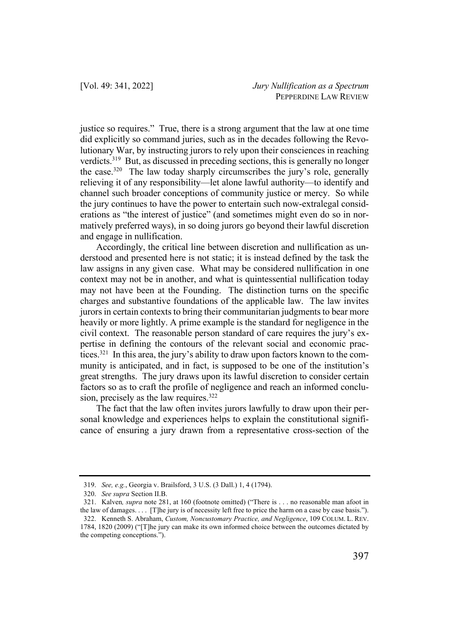justice so requires." True, there is a strong argument that the law at one time did explicitly so command juries, such as in the decades following the Revolutionary War, by instructing jurors to rely upon their consciences in reaching verdicts. <sup>319</sup> But, as discussed in preceding sections, this is generally no longer the case. $320$  The law today sharply circumscribes the jury's role, generally relieving it of any responsibility—let alone lawful authority—to identify and channel such broader conceptions of community justice or mercy. So while the jury continues to have the power to entertain such now-extralegal considerations as "the interest of justice" (and sometimes might even do so in normatively preferred ways), in so doing jurors go beyond their lawful discretion and engage in nullification.

Accordingly, the critical line between discretion and nullification as understood and presented here is not static; it is instead defined by the task the law assigns in any given case. What may be considered nullification in one context may not be in another, and what is quintessential nullification today may not have been at the Founding. The distinction turns on the specific charges and substantive foundations of the applicable law. The law invites jurors in certain contexts to bring their communitarian judgments to bear more heavily or more lightly. A prime example is the standard for negligence in the civil context. The reasonable person standard of care requires the jury's expertise in defining the contours of the relevant social and economic practices.321 In this area, the jury's ability to draw upon factors known to the community is anticipated, and in fact, is supposed to be one of the institution's great strengths. The jury draws upon its lawful discretion to consider certain factors so as to craft the profile of negligence and reach an informed conclusion, precisely as the law requires.<sup>322</sup>

The fact that the law often invites jurors lawfully to draw upon their personal knowledge and experiences helps to explain the constitutional significance of ensuring a jury drawn from a representative cross-section of the

<sup>319.</sup> *See, e.g.*, Georgia v. Brailsford, 3 U.S. (3 Dall.) 1, 4 (1794).

<sup>320.</sup> *See supra* Section II.B.

<sup>321.</sup> Kalven*, supra* note 281, at 160 (footnote omitted) ("There is . . . no reasonable man afoot in the law of damages. . . . [T]he jury is of necessity left free to price the harm on a case by case basis."). 322. Kenneth S. Abraham, *Custom, Noncustomary Practice, and Negligence*, 109 COLUM. L. REV. 1784, 1820 (2009) ("[T]he jury can make its own informed choice between the outcomes dictated by

the competing conceptions.").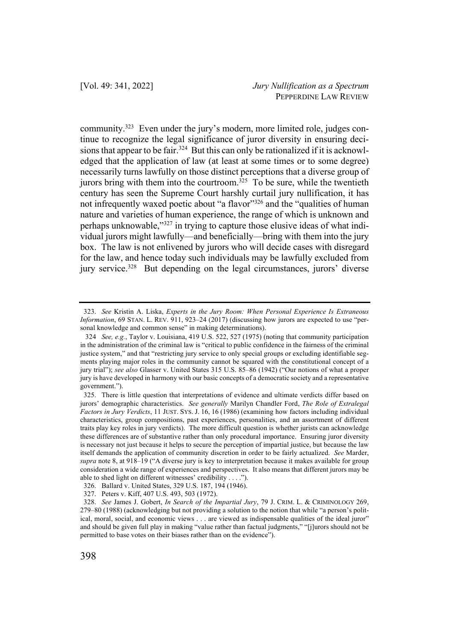community. <sup>323</sup> Even under the jury's modern, more limited role, judges continue to recognize the legal significance of juror diversity in ensuring decisions that appear to be fair.<sup>324</sup> But this can only be rationalized if it is acknowledged that the application of law (at least at some times or to some degree) necessarily turns lawfully on those distinct perceptions that a diverse group of jurors bring with them into the courtroom.<sup>325</sup> To be sure, while the twentieth century has seen the Supreme Court harshly curtail jury nullification, it has not infrequently waxed poetic about "a flavor"<sup>326</sup> and the "qualities of human nature and varieties of human experience, the range of which is unknown and perhaps unknowable,"327 in trying to capture those elusive ideas of what individual jurors might lawfully—and beneficially—bring with them into the jury box. The law is not enlivened by jurors who will decide cases with disregard for the law, and hence today such individuals may be lawfully excluded from jury service. <sup>328</sup> But depending on the legal circumstances, jurors' diverse

<sup>323.</sup> *See* Kristin A. Liska, *Experts in the Jury Room: When Personal Experience Is Extraneous Information*, 69 STAN. L. REV. 911, 923–24 (2017) (discussing how jurors are expected to use "personal knowledge and common sense" in making determinations).

<sup>324</sup> *See, e.g.*, Taylor v. Louisiana, 419 U.S. 522, 527 (1975) (noting that community participation in the administration of the criminal law is "critical to public confidence in the fairness of the criminal justice system," and that "restricting jury service to only special groups or excluding identifiable segments playing major roles in the community cannot be squared with the constitutional concept of a jury trial"); *see also* Glasser v. United States 315 U.S. 85–86 (1942) ("Our notions of what a proper jury is have developed in harmony with our basic concepts of a democratic society and a representative government.").

<sup>325.</sup> There is little question that interpretations of evidence and ultimate verdicts differ based on jurors' demographic characteristics. *See generally* Marilyn Chandler Ford, *The Role of Extralegal Factors in Jury Verdicts*, 11 JUST. SYS. J. 16, 16 (1986) (examining how factors including individual characteristics, group compositions, past experiences, personalities, and an assortment of different traits play key roles in jury verdicts). The more difficult question is whether jurists can acknowledge these differences are of substantive rather than only procedural importance. Ensuring juror diversity is necessary not just because it helps to secure the perception of impartial justice, but because the law itself demands the application of community discretion in order to be fairly actualized. *See* Marder, *supra* note 8, at 918–19 ("A diverse jury is key to interpretation because it makes available for group consideration a wide range of experiences and perspectives. It also means that different jurors may be able to shed light on different witnesses' credibility . . . .").

<sup>326.</sup> Ballard v. United States, 329 U.S. 187, 194 (1946).

<sup>327.</sup> Peters v. Kiff, 407 U.S. 493, 503 (1972).

<sup>328.</sup> *See* James J. Gobert, *In Search of the Impartial Jury*, 79 J. CRIM. L. & CRIMINOLOGY 269, 279–80 (1988) (acknowledging but not providing a solution to the notion that while "a person's political, moral, social, and economic views . . . are viewed as indispensable qualities of the ideal juror" and should be given full play in making "value rather than factual judgments," "[j]urors should not be permitted to base votes on their biases rather than on the evidence").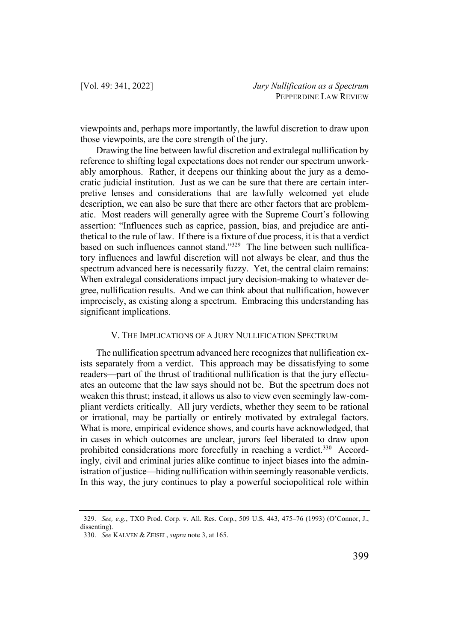viewpoints and, perhaps more importantly, the lawful discretion to draw upon those viewpoints, are the core strength of the jury.

Drawing the line between lawful discretion and extralegal nullification by reference to shifting legal expectations does not render our spectrum unworkably amorphous. Rather, it deepens our thinking about the jury as a democratic judicial institution. Just as we can be sure that there are certain interpretive lenses and considerations that are lawfully welcomed yet elude description, we can also be sure that there are other factors that are problematic. Most readers will generally agree with the Supreme Court's following assertion: "Influences such as caprice, passion, bias, and prejudice are antithetical to the rule of law. If there is a fixture of due process, it is that a verdict based on such influences cannot stand."329 The line between such nullificatory influences and lawful discretion will not always be clear, and thus the spectrum advanced here is necessarily fuzzy. Yet, the central claim remains: When extralegal considerations impact jury decision-making to whatever degree, nullification results. And we can think about that nullification, however imprecisely, as existing along a spectrum. Embracing this understanding has significant implications.

## V. THE IMPLICATIONS OF A JURY NULLIFICATION SPECTRUM

The nullification spectrum advanced here recognizes that nullification exists separately from a verdict. This approach may be dissatisfying to some readers—part of the thrust of traditional nullification is that the jury effectuates an outcome that the law says should not be. But the spectrum does not weaken this thrust; instead, it allows us also to view even seemingly law-compliant verdicts critically. All jury verdicts, whether they seem to be rational or irrational, may be partially or entirely motivated by extralegal factors. What is more, empirical evidence shows, and courts have acknowledged, that in cases in which outcomes are unclear, jurors feel liberated to draw upon prohibited considerations more forcefully in reaching a verdict.<sup>330</sup> Accordingly, civil and criminal juries alike continue to inject biases into the administration of justice—hiding nullification within seemingly reasonable verdicts. In this way, the jury continues to play a powerful sociopolitical role within

<sup>329.</sup> *See, e.g.*, TXO Prod. Corp. v. All. Res. Corp., 509 U.S. 443, 475–76 (1993) (O'Connor, J., dissenting).

<sup>330.</sup> *See* KALVEN & ZEISEL, *supra* note 3, at 165.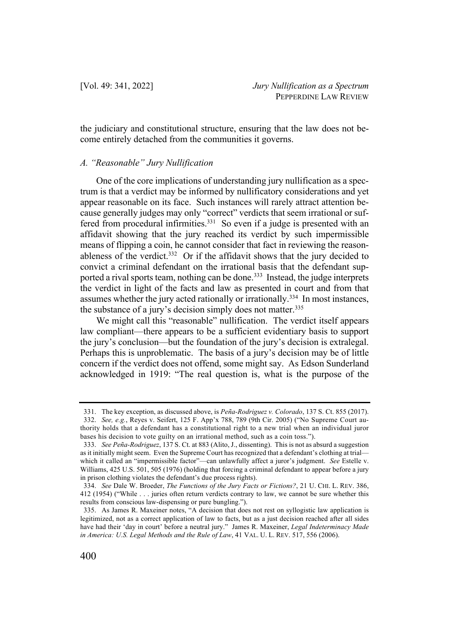the judiciary and constitutional structure, ensuring that the law does not become entirely detached from the communities it governs.

### *A. "Reasonable" Jury Nullification*

One of the core implications of understanding jury nullification as a spectrum is that a verdict may be informed by nullificatory considerations and yet appear reasonable on its face. Such instances will rarely attract attention because generally judges may only "correct" verdicts that seem irrational or suffered from procedural infirmities.<sup>331</sup> So even if a judge is presented with an affidavit showing that the jury reached its verdict by such impermissible means of flipping a coin, he cannot consider that fact in reviewing the reasonableness of the verdict. $332$  Or if the affidavit shows that the jury decided to convict a criminal defendant on the irrational basis that the defendant supported a rival sports team, nothing can be done.<sup>333</sup> Instead, the judge interprets the verdict in light of the facts and law as presented in court and from that assumes whether the jury acted rationally or irrationally.334 In most instances, the substance of a jury's decision simply does not matter.<sup>335</sup>

We might call this "reasonable" nullification. The verdict itself appears law compliant—there appears to be a sufficient evidentiary basis to support the jury's conclusion—but the foundation of the jury's decision is extralegal. Perhaps this is unproblematic. The basis of a jury's decision may be of little concern if the verdict does not offend, some might say. As Edson Sunderland acknowledged in 1919: "The real question is, what is the purpose of the

<sup>331.</sup> The key exception, as discussed above, is *Peña-Rodriguez v. Colorado*, 137 S. Ct. 855 (2017). 332. *See, e.g.*, Reyes v. Seifert, 125 F. App'x 788, 789 (9th Cir. 2005) ("No Supreme Court authority holds that a defendant has a constitutional right to a new trial when an individual juror bases his decision to vote guilty on an irrational method, such as a coin toss.").

<sup>333.</sup> *See Peña-Rodriguez*, 137 S. Ct. at 883 (Alito, J., dissenting). This is not as absurd a suggestion as it initially might seem. Even the Supreme Court has recognized that a defendant's clothing at trial which it called an "impermissible factor"—can unlawfully affect a juror's judgment. *See* Estelle v. Williams, 425 U.S. 501, 505 (1976) (holding that forcing a criminal defendant to appear before a jury in prison clothing violates the defendant's due process rights).

<sup>334.</sup> *See* Dale W. Broeder, *The Functions of the Jury Facts or Fictions?*, 21 U. CHI. L. REV. 386, 412 (1954) ("While . . . juries often return verdicts contrary to law, we cannot be sure whether this results from conscious law-dispensing or pure bungling.").

<sup>335.</sup> As James R. Maxeiner notes, "A decision that does not rest on syllogistic law application is legitimized, not as a correct application of law to facts, but as a just decision reached after all sides have had their 'day in court' before a neutral jury." James R. Maxeiner, *Legal Indeterminacy Made in America: U.S. Legal Methods and the Rule of Law*, 41 VAL. U. L. REV. 517, 556 (2006).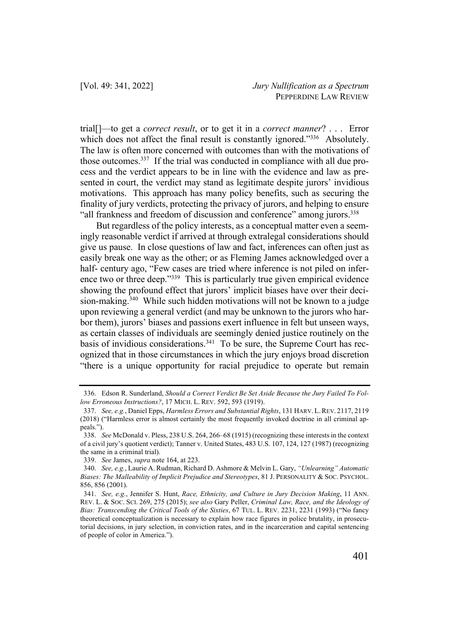trial[]—to get a *correct result*, or to get it in a *correct manner*? . . . Error which does not affect the final result is constantly ignored."336 Absolutely. The law is often more concerned with outcomes than with the motivations of those outcomes.<sup>337</sup> If the trial was conducted in compliance with all due process and the verdict appears to be in line with the evidence and law as presented in court, the verdict may stand as legitimate despite jurors' invidious motivations. This approach has many policy benefits, such as securing the finality of jury verdicts, protecting the privacy of jurors, and helping to ensure "all frankness and freedom of discussion and conference" among jurors.<sup>338</sup>

But regardless of the policy interests, as a conceptual matter even a seemingly reasonable verdict if arrived at through extralegal considerations should give us pause. In close questions of law and fact, inferences can often just as easily break one way as the other; or as Fleming James acknowledged over a half- century ago, "Few cases are tried where inference is not piled on inference two or three deep."339 This is particularly true given empirical evidence showing the profound effect that jurors' implicit biases have over their decision-making.<sup>340</sup> While such hidden motivations will not be known to a judge upon reviewing a general verdict (and may be unknown to the jurors who harbor them), jurors' biases and passions exert influence in felt but unseen ways, as certain classes of individuals are seemingly denied justice routinely on the basis of invidious considerations.<sup>341</sup> To be sure, the Supreme Court has recognized that in those circumstances in which the jury enjoys broad discretion "there is a unique opportunity for racial prejudice to operate but remain

<sup>336.</sup> Edson R. Sunderland, *Should a Correct Verdict Be Set Aside Because the Jury Failed To Follow Erroneous Instructions?*, 17 MICH. L. REV. 592, 593 (1919).

<sup>337.</sup> *See, e.g.*, Daniel Epps, *Harmless Errors and Substantial Rights*, 131 HARV. L.REV. 2117, 2119 (2018) ("Harmless error is almost certainly the most frequently invoked doctrine in all criminal appeals.").

<sup>338.</sup> *See* McDonald v. Pless, 238 U.S. 264, 266–68 (1915) (recognizing these interests in the context of a civil jury's quotient verdict); Tanner v. United States, 483 U.S. 107, 124, 127 (1987) (recognizing the same in a criminal trial).

<sup>339.</sup> *See* James, *supra* note 164, at 223.

<sup>340.</sup> *See, e.g.*, Laurie A. Rudman, Richard D. Ashmore & Melvin L. Gary, *"Unlearning" Automatic Biases: The Malleability of Implicit Prejudice and Stereotypes*, 81 J. PERSONALITY & SOC. PSYCHOL. 856, 856 (2001).

<sup>341.</sup> *See, e.g.*, Jennifer S. Hunt, *Race, Ethnicity, and Culture in Jury Decision Making*, 11 ANN. REV. L. & SOC. SCI. 269, 275 (2015); *see also* Gary Peller, *Criminal Law, Race, and the Ideology of Bias: Transcending the Critical Tools of the Sixties*, 67 TUL. L. REV. 2231, 2231 (1993) ("No fancy theoretical conceptualization is necessary to explain how race figures in police brutality, in prosecutorial decisions, in jury selection, in conviction rates, and in the incarceration and capital sentencing of people of color in America.").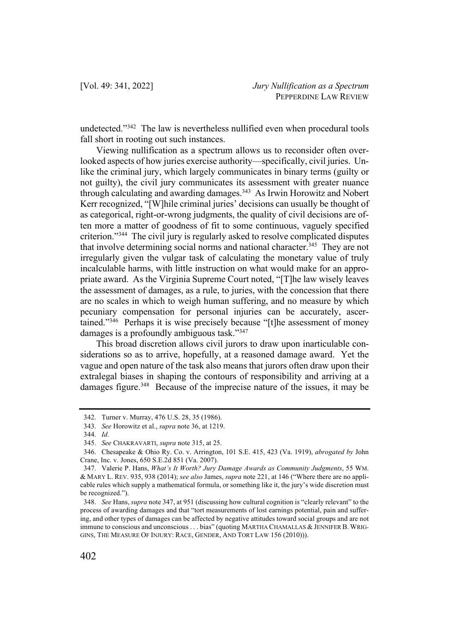undetected."342 The law is nevertheless nullified even when procedural tools fall short in rooting out such instances.

Viewing nullification as a spectrum allows us to reconsider often overlooked aspects of how juries exercise authority—specifically, civil juries. Unlike the criminal jury, which largely communicates in binary terms (guilty or not guilty), the civil jury communicates its assessment with greater nuance through calculating and awarding damages.<sup>343</sup> As Irwin Horowitz and Nobert Kerr recognized, "[W]hile criminal juries' decisions can usually be thought of as categorical, right-or-wrong judgments, the quality of civil decisions are often more a matter of goodness of fit to some continuous, vaguely specified criterion."344 The civil jury is regularly asked to resolve complicated disputes that involve determining social norms and national character.<sup>345</sup> They are not irregularly given the vulgar task of calculating the monetary value of truly incalculable harms, with little instruction on what would make for an appropriate award. As the Virginia Supreme Court noted, "[T]he law wisely leaves the assessment of damages, as a rule, to juries, with the concession that there are no scales in which to weigh human suffering, and no measure by which pecuniary compensation for personal injuries can be accurately, ascertained."<sup>346</sup> Perhaps it is wise precisely because "[t]he assessment of money damages is a profoundly ambiguous task."347

This broad discretion allows civil jurors to draw upon inarticulable considerations so as to arrive, hopefully, at a reasoned damage award. Yet the vague and open nature of the task also means that jurors often draw upon their extralegal biases in shaping the contours of responsibility and arriving at a damages figure.<sup>348</sup> Because of the imprecise nature of the issues, it may be

<sup>342.</sup> Turner v. Murray, 476 U.S. 28, 35 (1986).

<sup>343.</sup> *See* Horowitz et al., *supra* note 36, at 1219.

<sup>344.</sup> *Id.*

<sup>345.</sup> *See* CHAKRAVARTI, *supra* note 315, at 25.

<sup>346.</sup> Chesapeake & Ohio Ry. Co. v. Arrington, 101 S.E. 415, 423 (Va. 1919), *abrogated by* John Crane, Inc. v. Jones, 650 S.E.2d 851 (Va. 2007).

<sup>347.</sup> Valerie P. Hans, *What's It Worth? Jury Damage Awards as Community Judgments*, 55 WM. & MARY L. REV. 935, 938 (2014); *see also* James, *supra* note 221, at 146 ("Where there are no applicable rules which supply a mathematical formula, or something like it, the jury's wide discretion must be recognized.").

<sup>348.</sup> *See* Hans, *supra* note 347, at 951 (discussing how cultural cognition is "clearly relevant" to the process of awarding damages and that "tort measurements of lost earnings potential, pain and suffering, and other types of damages can be affected by negative attitudes toward social groups and are not immune to conscious and unconscious . . . bias" (quoting MARTHA CHAMALLAS & JENNIFER B. WRIG-GINS, THE MEASURE OF INJURY: RACE, GENDER, AND TORT LAW 156 (2010))).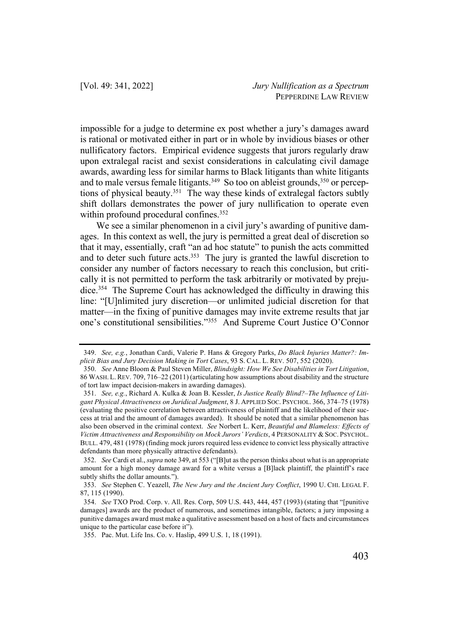impossible for a judge to determine ex post whether a jury's damages award is rational or motivated either in part or in whole by invidious biases or other nullificatory factors. Empirical evidence suggests that jurors regularly draw upon extralegal racist and sexist considerations in calculating civil damage awards, awarding less for similar harms to Black litigants than white litigants and to male versus female litigants.<sup>349</sup> So too on ableist grounds,<sup>350</sup> or perceptions of physical beauty.<sup>351</sup> The way these kinds of extralegal factors subtly shift dollars demonstrates the power of jury nullification to operate even within profound procedural confines.<sup>352</sup>

We see a similar phenomenon in a civil jury's awarding of punitive damages. In this context as well, the jury is permitted a great deal of discretion so that it may, essentially, craft "an ad hoc statute" to punish the acts committed and to deter such future acts. $353$  The jury is granted the lawful discretion to consider any number of factors necessary to reach this conclusion, but critically it is not permitted to perform the task arbitrarily or motivated by prejudice.354 The Supreme Court has acknowledged the difficulty in drawing this line: "[U]nlimited jury discretion—or unlimited judicial discretion for that matter—in the fixing of punitive damages may invite extreme results that jar one's constitutional sensibilities."355 And Supreme Court Justice O'Connor

<sup>349.</sup> *See, e.g.*, Jonathan Cardi, Valerie P. Hans & Gregory Parks, *Do Black Injuries Matter?: Implicit Bias and Jury Decision Making in Tort Cases*, 93 S. CAL. L. REV. 507, 552 (2020).

<sup>350.</sup> *See* Anne Bloom & Paul Steven Miller, *Blindsight: How We See Disabilities in Tort Litigation*, 86 WASH. L. REV. 709, 716–22 (2011) (articulating how assumptions about disability and the structure of tort law impact decision-makers in awarding damages).

<sup>351.</sup> *See, e.g.*, Richard A. Kulka & Joan B. Kessler, *Is Justice Really Blind?–The Influence of Litigant Physical Attractiveness on Juridical Judgment*, 8 J. APPLIED SOC. PSYCHOL. 366, 374–75 (1978) (evaluating the positive correlation between attractiveness of plaintiff and the likelihood of their success at trial and the amount of damages awarded). It should be noted that a similar phenomenon has also been observed in the criminal context. *See* Norbert L. Kerr, *Beautiful and Blameless: Effects of Victim Attractiveness and Responsibility on Mock Jurors' Verdicts*, 4 PERSONALITY & SOC. PSYCHOL. BULL. 479, 481 (1978) (finding mock jurors required less evidence to convict less physically attractive defendants than more physically attractive defendants).

<sup>352.</sup> *See* Cardi et al., *supra* note 349, at 553 ("[B]ut as the person thinks about what is an appropriate amount for a high money damage award for a white versus a [B]lack plaintiff, the plaintiff's race subtly shifts the dollar amounts.").

<sup>353.</sup> *See* Stephen C. Yeazell, *The New Jury and the Ancient Jury Conflict*, 1990 U. CHI. LEGAL F. 87, 115 (1990).

<sup>354.</sup> *See* TXO Prod. Corp. v. All. Res. Corp, 509 U.S. 443, 444, 457 (1993) (stating that "[punitive damages] awards are the product of numerous, and sometimes intangible, factors; a jury imposing a punitive damages award must make a qualitative assessment based on a host of facts and circumstances unique to the particular case before it").

<sup>355.</sup> Pac. Mut. Life Ins. Co. v. Haslip, 499 U.S. 1, 18 (1991).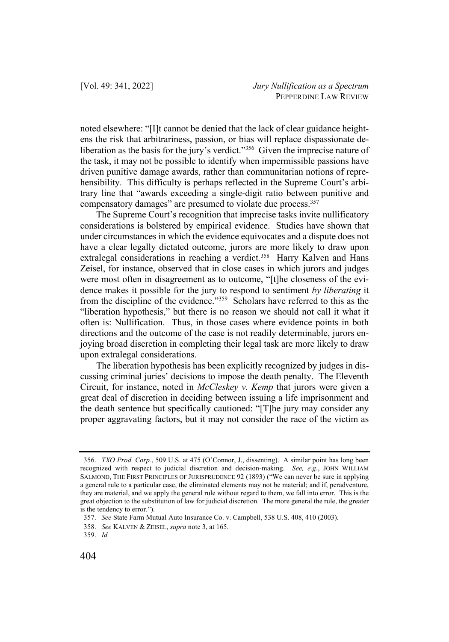noted elsewhere: "[I]t cannot be denied that the lack of clear guidance heightens the risk that arbitrariness, passion, or bias will replace dispassionate deliberation as the basis for the jury's verdict."<sup>356</sup> Given the imprecise nature of the task, it may not be possible to identify when impermissible passions have driven punitive damage awards, rather than communitarian notions of reprehensibility. This difficulty is perhaps reflected in the Supreme Court's arbitrary line that "awards exceeding a single-digit ratio between punitive and compensatory damages" are presumed to violate due process.<sup>357</sup>

The Supreme Court's recognition that imprecise tasks invite nullificatory considerations is bolstered by empirical evidence. Studies have shown that under circumstances in which the evidence equivocates and a dispute does not have a clear legally dictated outcome, jurors are more likely to draw upon extralegal considerations in reaching a verdict.<sup>358</sup> Harry Kalven and Hans Zeisel, for instance, observed that in close cases in which jurors and judges were most often in disagreement as to outcome, "[t]he closeness of the evidence makes it possible for the jury to respond to sentiment *by liberating* it from the discipline of the evidence."<sup>359</sup> Scholars have referred to this as the "liberation hypothesis," but there is no reason we should not call it what it often is: Nullification. Thus, in those cases where evidence points in both directions and the outcome of the case is not readily determinable, jurors enjoying broad discretion in completing their legal task are more likely to draw upon extralegal considerations.

The liberation hypothesis has been explicitly recognized by judges in discussing criminal juries' decisions to impose the death penalty. The Eleventh Circuit, for instance, noted in *McCleskey v. Kemp* that jurors were given a great deal of discretion in deciding between issuing a life imprisonment and the death sentence but specifically cautioned: "[T]he jury may consider any proper aggravating factors, but it may not consider the race of the victim as

<sup>356.</sup> *TXO Prod. Corp.*, 509 U.S. at 475 (O'Connor, J., dissenting). A similar point has long been recognized with respect to judicial discretion and decision-making. *See, e.g.*, JOHN WILLIAM SALMOND, THE FIRST PRINCIPLES OF JURISPRUDENCE 92 (1893) ("We can never be sure in applying a general rule to a particular case, the eliminated elements may not be material; and if, peradventure, they are material, and we apply the general rule without regard to them, we fall into error. This is the great objection to the substitution of law for judicial discretion. The more general the rule, the greater is the tendency to error.").

<sup>357.</sup> *See* State Farm Mutual Auto Insurance Co. v. Campbell, 538 U.S. 408, 410 (2003).

<sup>358.</sup> *See* KALVEN & ZEISEL, *supra* note 3, at 165.

<sup>359.</sup> *Id.*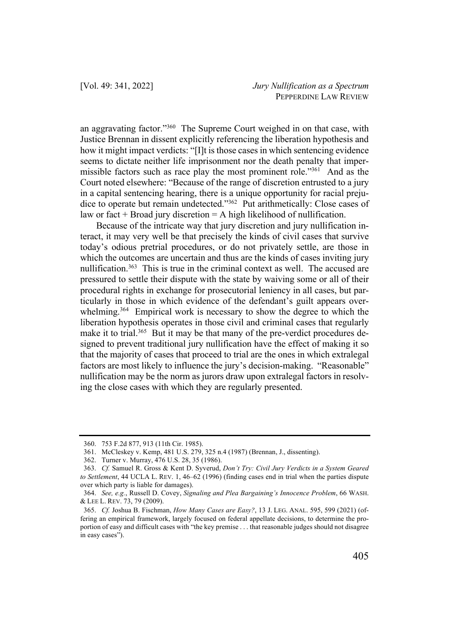an aggravating factor."360 The Supreme Court weighed in on that case, with Justice Brennan in dissent explicitly referencing the liberation hypothesis and how it might impact verdicts: "[I]t is those cases in which sentencing evidence seems to dictate neither life imprisonment nor the death penalty that impermissible factors such as race play the most prominent role."<sup>361</sup> And as the Court noted elsewhere: "Because of the range of discretion entrusted to a jury in a capital sentencing hearing, there is a unique opportunity for racial prejudice to operate but remain undetected."362 Put arithmetically: Close cases of law or fact  $+$  Broad jury discretion  $=$  A high likelihood of nullification.

Because of the intricate way that jury discretion and jury nullification interact, it may very well be that precisely the kinds of civil cases that survive today's odious pretrial procedures, or do not privately settle, are those in which the outcomes are uncertain and thus are the kinds of cases inviting jury nullification.<sup>363</sup> This is true in the criminal context as well. The accused are pressured to settle their dispute with the state by waiving some or all of their procedural rights in exchange for prosecutorial leniency in all cases, but particularly in those in which evidence of the defendant's guilt appears overwhelming.<sup>364</sup> Empirical work is necessary to show the degree to which the liberation hypothesis operates in those civil and criminal cases that regularly make it to trial.<sup>365</sup> But it may be that many of the pre-verdict procedures designed to prevent traditional jury nullification have the effect of making it so that the majority of cases that proceed to trial are the ones in which extralegal factors are most likely to influence the jury's decision-making. "Reasonable" nullification may be the norm as jurors draw upon extralegal factors in resolving the close cases with which they are regularly presented.

<sup>360.</sup> 753 F.2d 877, 913 (11th Cir. 1985).

<sup>361.</sup> McCleskey v. Kemp, 481 U.S. 279, 325 n.4 (1987) (Brennan, J., dissenting).

<sup>362.</sup> Turner v. Murray, 476 U.S. 28, 35 (1986).

<sup>363.</sup> *Cf.* Samuel R. Gross & Kent D. Syverud, *Don't Try: Civil Jury Verdicts in a System Geared to Settlement*, 44 UCLA L. REV. 1, 46–62 (1996) (finding cases end in trial when the parties dispute over which party is liable for damages).

<sup>364.</sup> *See, e.g.*, Russell D. Covey, *Signaling and Plea Bargaining's Innocence Problem*, 66 WASH. & LEE L. REV. 73, 79 (2009).

<sup>365.</sup> *Cf.* Joshua B. Fischman, *How Many Cases are Easy?*, 13 J. LEG. ANAL. 595, 599 (2021) (offering an empirical framework, largely focused on federal appellate decisions, to determine the proportion of easy and difficult cases with "the key premise . . . that reasonable judges should not disagree in easy cases").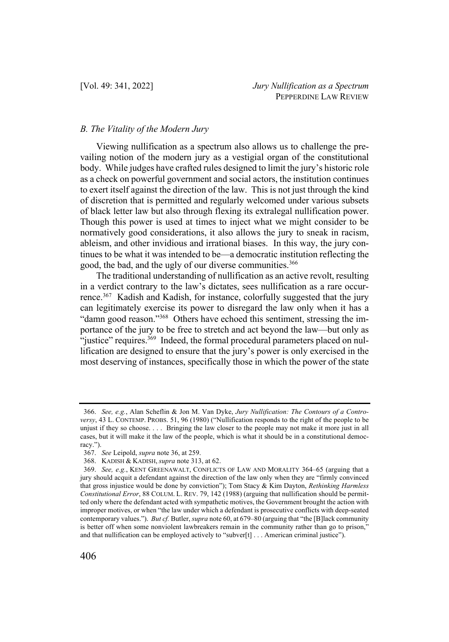## *B. The Vitality of the Modern Jury*

Viewing nullification as a spectrum also allows us to challenge the prevailing notion of the modern jury as a vestigial organ of the constitutional body. While judges have crafted rules designed to limit the jury's historic role as a check on powerful government and social actors, the institution continues to exert itself against the direction of the law. This is not just through the kind of discretion that is permitted and regularly welcomed under various subsets of black letter law but also through flexing its extralegal nullification power. Though this power is used at times to inject what we might consider to be normatively good considerations, it also allows the jury to sneak in racism, ableism, and other invidious and irrational biases. In this way, the jury continues to be what it was intended to be—a democratic institution reflecting the good, the bad, and the ugly of our diverse communities.<sup>366</sup>

The traditional understanding of nullification as an active revolt, resulting in a verdict contrary to the law's dictates, sees nullification as a rare occurrence.<sup>367</sup> Kadish and Kadish, for instance, colorfully suggested that the jury can legitimately exercise its power to disregard the law only when it has a "damn good reason."<sup>368</sup> Others have echoed this sentiment, stressing the importance of the jury to be free to stretch and act beyond the law—but only as "justice" requires.<sup>369</sup> Indeed, the formal procedural parameters placed on nullification are designed to ensure that the jury's power is only exercised in the most deserving of instances, specifically those in which the power of the state

<sup>366.</sup> *See, e.g.*, Alan Scheflin & Jon M. Van Dyke, *Jury Nullification: The Contours of a Controversy*, 43 L. CONTEMP. PROBS. 51, 96 (1980) ("Nullification responds to the right of the people to be unjust if they so choose. . . . Bringing the law closer to the people may not make it more just in all cases, but it will make it the law of the people, which is what it should be in a constitutional democracy.").

<sup>367.</sup> *See* Leipold, *supra* note 36, at 259.

<sup>368.</sup> KADISH & KADISH, *supra* note 313, at 62.

<sup>369.</sup> *See, e.g.*, KENT GREENAWALT, CONFLICTS OF LAW AND MORALITY 364–65 (arguing that a jury should acquit a defendant against the direction of the law only when they are "firmly convinced that gross injustice would be done by conviction"); Tom Stacy & Kim Dayton, *Rethinking Harmless Constitutional Error*, 88 COLUM. L. REV. 79, 142 (1988) (arguing that nullification should be permitted only where the defendant acted with sympathetic motives, the Government brought the action with improper motives, or when "the law under which a defendant is prosecutive conflicts with deep-seated contemporary values."). *But cf.* Butler, *supra* note 60, at 679–80 (arguing that "the [B]lack community is better off when some nonviolent lawbreakers remain in the community rather than go to prison," and that nullification can be employed actively to "subver[t] . . . American criminal justice").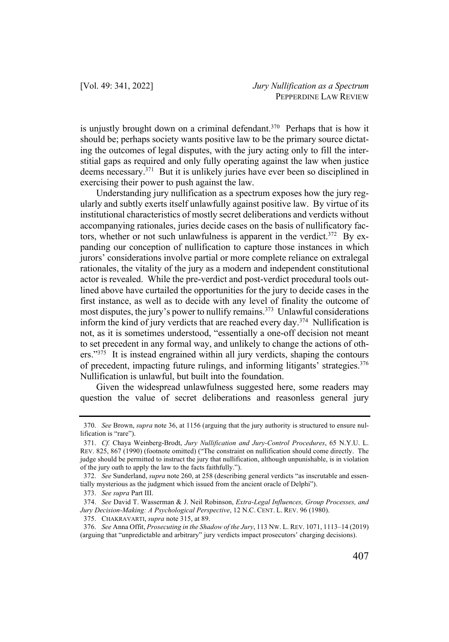is unjustly brought down on a criminal defendant.<sup>370</sup> Perhaps that is how it should be; perhaps society wants positive law to be the primary source dictating the outcomes of legal disputes, with the jury acting only to fill the interstitial gaps as required and only fully operating against the law when justice deems necessary.371 But it is unlikely juries have ever been so disciplined in exercising their power to push against the law.

Understanding jury nullification as a spectrum exposes how the jury regularly and subtly exerts itself unlawfully against positive law. By virtue of its institutional characteristics of mostly secret deliberations and verdicts without accompanying rationales, juries decide cases on the basis of nullificatory factors, whether or not such unlawfulness is apparent in the verdict. $372$  By expanding our conception of nullification to capture those instances in which jurors' considerations involve partial or more complete reliance on extralegal rationales, the vitality of the jury as a modern and independent constitutional actor is revealed. While the pre-verdict and post-verdict procedural tools outlined above have curtailed the opportunities for the jury to decide cases in the first instance, as well as to decide with any level of finality the outcome of most disputes, the jury's power to nullify remains.373 Unlawful considerations inform the kind of jury verdicts that are reached every day.374 Nullification is not, as it is sometimes understood, "essentially a one-off decision not meant to set precedent in any formal way, and unlikely to change the actions of others."<sup>375</sup> It is instead engrained within all jury verdicts, shaping the contours of precedent, impacting future rulings, and informing litigants' strategies. 376 Nullification is unlawful, but built into the foundation.

Given the widespread unlawfulness suggested here, some readers may question the value of secret deliberations and reasonless general jury

<sup>370.</sup> *See* Brown, *supra* note 36, at 1156 (arguing that the jury authority is structured to ensure nullification is "rare").

<sup>371.</sup> *Cf.* Chaya Weinberg-Brodt, *Jury Nullification and Jury-Control Procedures*, 65 N.Y.U. L. REV. 825, 867 (1990) (footnote omitted) ("The constraint on nullification should come directly. The judge should be permitted to instruct the jury that nullification, although unpunishable, is in violation of the jury oath to apply the law to the facts faithfully.").

<sup>372.</sup> *See* Sunderland, *supra* note 260, at 258 (describing general verdicts "as inscrutable and essentially mysterious as the judgment which issued from the ancient oracle of Delphi").

<sup>373.</sup> *See supra* Part III.

<sup>374.</sup> *See* David T. Wasserman & J. Neil Robinson, *Extra-Legal Influences, Group Processes, and Jury Decision-Making: A Psychological Perspective*, 12 N.C. CENT. L. REV. 96 (1980).

<sup>375.</sup> CHAKRAVARTI, *supra* note 315, at 89.

<sup>376.</sup> *See* Anna Offit, *Prosecuting in the Shadow of the Jury*, 113 NW. L. REV. 1071, 1113–14 (2019) (arguing that "unpredictable and arbitrary" jury verdicts impact prosecutors' charging decisions).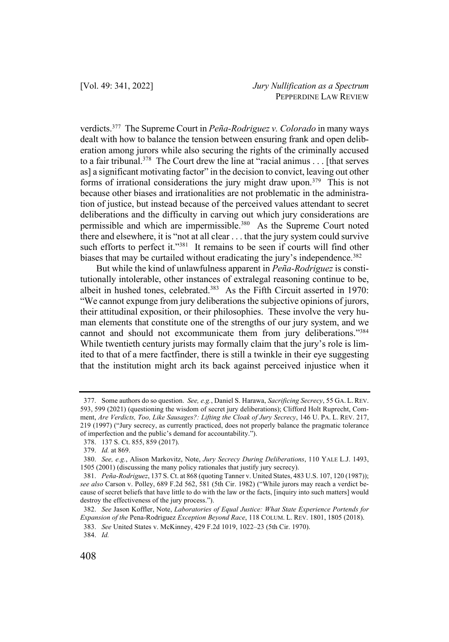verdicts.377 The Supreme Court in *Peña-Rodriguez v. Colorado* in many ways dealt with how to balance the tension between ensuring frank and open deliberation among jurors while also securing the rights of the criminally accused to a fair tribunal.<sup>378</sup> The Court drew the line at "racial animus  $\dots$  [that serves] as] a significant motivating factor" in the decision to convict, leaving out other forms of irrational considerations the jury might draw upon.<sup>379</sup> This is not because other biases and irrationalities are not problematic in the administration of justice, but instead because of the perceived values attendant to secret deliberations and the difficulty in carving out which jury considerations are permissible and which are impermissible.<sup>380</sup> As the Supreme Court noted there and elsewhere, it is "not at all clear . . . that the jury system could survive such efforts to perfect it."<sup>381</sup> It remains to be seen if courts will find other biases that may be curtailed without eradicating the jury's independence.<sup>382</sup>

But while the kind of unlawfulness apparent in *Peña-Rodriguez* is constitutionally intolerable, other instances of extralegal reasoning continue to be, albeit in hushed tones, celebrated.383 As the Fifth Circuit asserted in 1970: "We cannot expunge from jury deliberations the subjective opinions of jurors, their attitudinal exposition, or their philosophies. These involve the very human elements that constitute one of the strengths of our jury system, and we cannot and should not excommunicate them from jury deliberations."384 While twentieth century jurists may formally claim that the jury's role is limited to that of a mere factfinder, there is still a twinkle in their eye suggesting that the institution might arch its back against perceived injustice when it

384. *Id.*

<sup>377.</sup> Some authors do so question. *See, e.g.*, Daniel S. Harawa, *Sacrificing Secrecy*, 55 GA. L. REV. 593, 599 (2021) (questioning the wisdom of secret jury deliberations); Clifford Holt Ruprecht, Comment, *Are Verdicts, Too, Like Sausages?: Lifting the Cloak of Jury Secrecy*, 146 U. PA. L. REV. 217, 219 (1997) ("Jury secrecy, as currently practiced, does not properly balance the pragmatic tolerance of imperfection and the public's demand for accountability.").

<sup>378.</sup> 137 S. Ct. 855, 859 (2017).

<sup>379.</sup> *Id.* at 869.

<sup>380.</sup> *See, e.g.*, Alison Markovitz, Note, *Jury Secrecy During Deliberations*, 110 YALE L.J. 1493, 1505 (2001) (discussing the many policy rationales that justify jury secrecy).

<sup>381.</sup> *Peña-Rodriguez*, 137 S. Ct. at 868 (quoting Tanner v. United States, 483 U.S. 107, 120 (1987)); *see also* Carson v. Polley, 689 F.2d 562, 581 (5th Cir. 1982) ("While jurors may reach a verdict because of secret beliefs that have little to do with the law or the facts, [inquiry into such matters] would destroy the effectiveness of the jury process.").

<sup>382.</sup> *See* Jason Koffler, Note, *Laboratories of Equal Justice: What State Experience Portends for Expansion of the* Pena-Rodriguez *Exception Beyond Race*, 118 COLUM. L. REV. 1801, 1805 (2018).

<sup>383.</sup> *See* United States v. McKinney, 429 F.2d 1019, 1022–23 (5th Cir. 1970).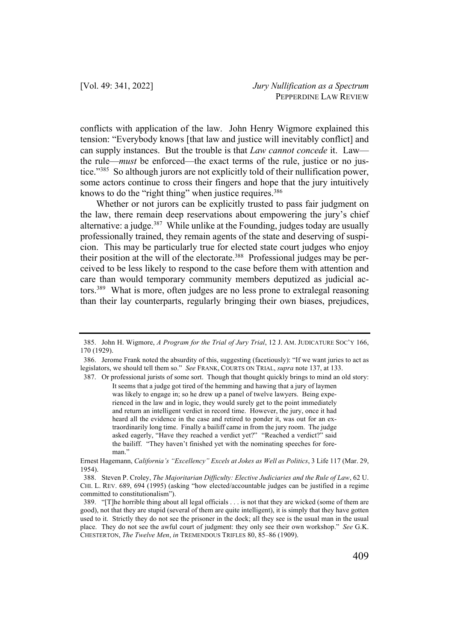conflicts with application of the law. John Henry Wigmore explained this tension: "Everybody knows [that law and justice will inevitably conflict] and can supply instances. But the trouble is that *Law cannot concede* it. Law the rule—*must* be enforced—the exact terms of the rule, justice or no justice."385 So although jurors are not explicitly told of their nullification power, some actors continue to cross their fingers and hope that the jury intuitively knows to do the "right thing" when justice requires.<sup>386</sup>

Whether or not jurors can be explicitly trusted to pass fair judgment on the law, there remain deep reservations about empowering the jury's chief alternative: a judge.<sup>387</sup> While unlike at the Founding, judges today are usually professionally trained, they remain agents of the state and deserving of suspicion. This may be particularly true for elected state court judges who enjoy their position at the will of the electorate.<sup>388</sup> Professional judges may be perceived to be less likely to respond to the case before them with attention and care than would temporary community members deputized as judicial actors.389 What is more, often judges are no less prone to extralegal reasoning than their lay counterparts, regularly bringing their own biases, prejudices,

387. Or professional jurists of some sort. Though that thought quickly brings to mind an old story: It seems that a judge got tired of the hemming and hawing that a jury of laymen was likely to engage in; so he drew up a panel of twelve lawyers. Being experienced in the law and in logic, they would surely get to the point immediately and return an intelligent verdict in record time. However, the jury, once it had heard all the evidence in the case and retired to ponder it, was out for an extraordinarily long time. Finally a bailiff came in from the jury room. The judge asked eagerly, "Have they reached a verdict yet?" "Reached a verdict?" said the bailiff. "They haven't finished yet with the nominating speeches for foreman"

<sup>385.</sup> John H. Wigmore, *A Program for the Trial of Jury Trial*, 12 J. AM. JUDICATURE SOC'Y 166, 170 (1929).

<sup>386.</sup> Jerome Frank noted the absurdity of this, suggesting (facetiously): "If we want juries to act as legislators, we should tell them so." *See* FRANK, COURTS ON TRIAL, *supra* note 137, at 133.

Ernest Hagemann, *California's "Excellency" Excels at Jokes as Well as Politics*, 3 Life 117 (Mar. 29, 1954).

<sup>388.</sup> Steven P. Croley, *The Majoritarian Difficulty: Elective Judiciaries and the Rule of Law*, 62 U. CHI. L. REV. 689, 694 (1995) (asking "how elected/accountable judges can be justified in a regime committed to constitutionalism").

<sup>389.</sup> "[T]he horrible thing about all legal officials . . . is not that they are wicked (some of them are good), not that they are stupid (several of them are quite intelligent), it is simply that they have gotten used to it. Strictly they do not see the prisoner in the dock; all they see is the usual man in the usual place. They do not see the awful court of judgment: they only see their own workshop." *See* G.K. CHESTERTON, *The Twelve Men*, *in* TREMENDOUS TRIFLES 80, 85–86 (1909).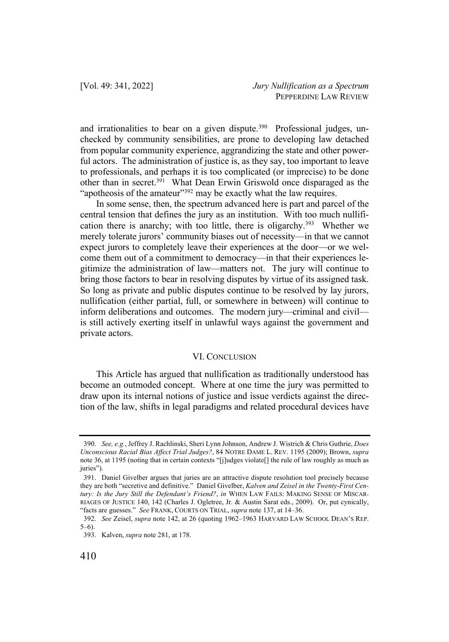and irrationalities to bear on a given dispute.<sup>390</sup> Professional judges, unchecked by community sensibilities, are prone to developing law detached from popular community experience, aggrandizing the state and other powerful actors. The administration of justice is, as they say, too important to leave to professionals, and perhaps it is too complicated (or imprecise) to be done other than in secret.391 What Dean Erwin Griswold once disparaged as the "apotheosis of the amateur"<sup>392</sup> may be exactly what the law requires.

In some sense, then, the spectrum advanced here is part and parcel of the central tension that defines the jury as an institution. With too much nullification there is anarchy; with too little, there is oligarchy.<sup>393</sup> Whether we merely tolerate jurors' community biases out of necessity—in that we cannot expect jurors to completely leave their experiences at the door—or we welcome them out of a commitment to democracy—in that their experiences legitimize the administration of law—matters not. The jury will continue to bring those factors to bear in resolving disputes by virtue of its assigned task. So long as private and public disputes continue to be resolved by lay jurors, nullification (either partial, full, or somewhere in between) will continue to inform deliberations and outcomes. The modern jury—criminal and civil is still actively exerting itself in unlawful ways against the government and private actors.

# VI. CONCLUSION

This Article has argued that nullification as traditionally understood has become an outmoded concept. Where at one time the jury was permitted to draw upon its internal notions of justice and issue verdicts against the direction of the law, shifts in legal paradigms and related procedural devices have

<sup>390.</sup> *See, e.g.*, Jeffrey J. Rachlinski, Sheri Lynn Johnson, Andrew J. Wistrich & Chris Guthrie, *Does Unconscious Racial Bias Affect Trial Judges?*, 84 NOTRE DAME L. REV. 1195 (2009); Brown, *supra*  note 36, at 1195 (noting that in certain contexts "[j]udges violate[] the rule of law roughly as much as juries").

<sup>391.</sup> Daniel Givelber argues that juries are an attractive dispute resolution tool precisely because they are both "secretive and definitive." Daniel Givelber, *Kalven and Zeisel in the Twenty-First Century: Is the Jury Still the Defendant's Friend?*, *in* WHEN LAW FAILS: MAKING SENSE OF MISCAR-RIAGES OF JUSTICE 140, 142 (Charles J. Ogletree, Jr. & Austin Sarat eds., 2009). Or, put cynically, "facts are guesses." *See* FRANK, COURTS ON TRIAL, *supra* note 137, at 14–36.

<sup>392.</sup> *See* Zeisel, *supra* note 142, at 26 (quoting 1962–1963 HARVARD LAW SCHOOL DEAN'S REP. 5–6).

<sup>393.</sup> Kalven, *supra* note 281, at 178.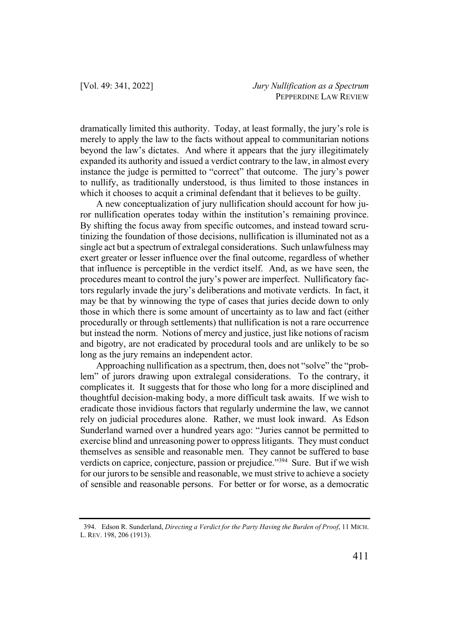dramatically limited this authority. Today, at least formally, the jury's role is merely to apply the law to the facts without appeal to communitarian notions beyond the law's dictates. And where it appears that the jury illegitimately expanded its authority and issued a verdict contrary to the law, in almost every instance the judge is permitted to "correct" that outcome. The jury's power to nullify, as traditionally understood, is thus limited to those instances in which it chooses to acquit a criminal defendant that it believes to be guilty.

A new conceptualization of jury nullification should account for how juror nullification operates today within the institution's remaining province. By shifting the focus away from specific outcomes, and instead toward scrutinizing the foundation of those decisions, nullification is illuminated not as a single act but a spectrum of extralegal considerations. Such unlawfulness may exert greater or lesser influence over the final outcome, regardless of whether that influence is perceptible in the verdict itself. And, as we have seen, the procedures meant to control the jury's power are imperfect. Nullificatory factors regularly invade the jury's deliberations and motivate verdicts. In fact, it may be that by winnowing the type of cases that juries decide down to only those in which there is some amount of uncertainty as to law and fact (either procedurally or through settlements) that nullification is not a rare occurrence but instead the norm. Notions of mercy and justice, just like notions of racism and bigotry, are not eradicated by procedural tools and are unlikely to be so long as the jury remains an independent actor.

Approaching nullification as a spectrum, then, does not "solve" the "problem" of jurors drawing upon extralegal considerations. To the contrary, it complicates it. It suggests that for those who long for a more disciplined and thoughtful decision-making body, a more difficult task awaits. If we wish to eradicate those invidious factors that regularly undermine the law, we cannot rely on judicial procedures alone. Rather, we must look inward. As Edson Sunderland warned over a hundred years ago: "Juries cannot be permitted to exercise blind and unreasoning power to oppress litigants. They must conduct themselves as sensible and reasonable men. They cannot be suffered to base verdicts on caprice, conjecture, passion or prejudice."<sup>394</sup> Sure. But if we wish for our jurors to be sensible and reasonable, we must strive to achieve a society of sensible and reasonable persons. For better or for worse, as a democratic

<sup>394.</sup> Edson R. Sunderland, *Directing a Verdict for the Party Having the Burden of Proof*, 11 MICH. L. REV. 198, 206 (1913).